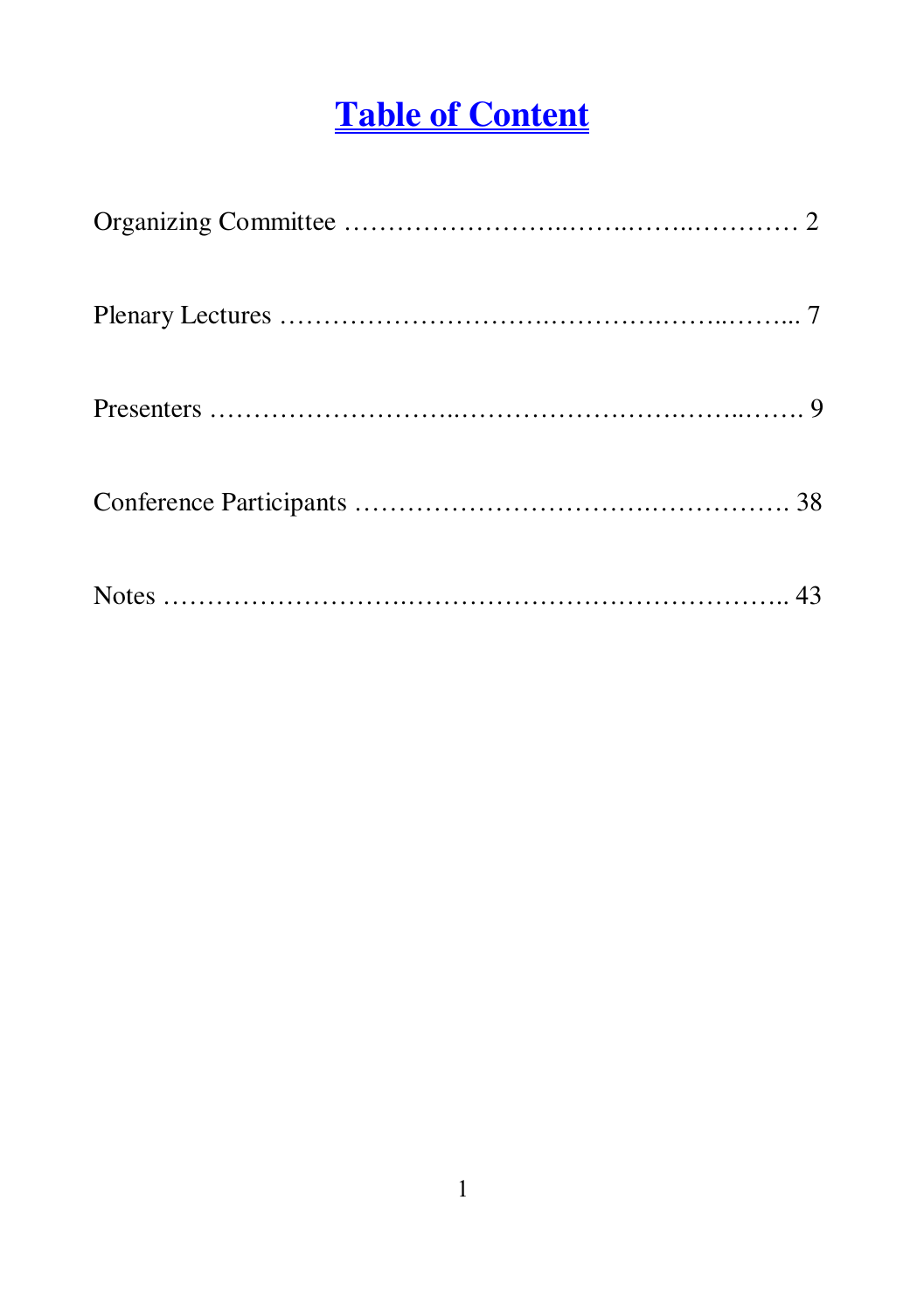# **Table of Content**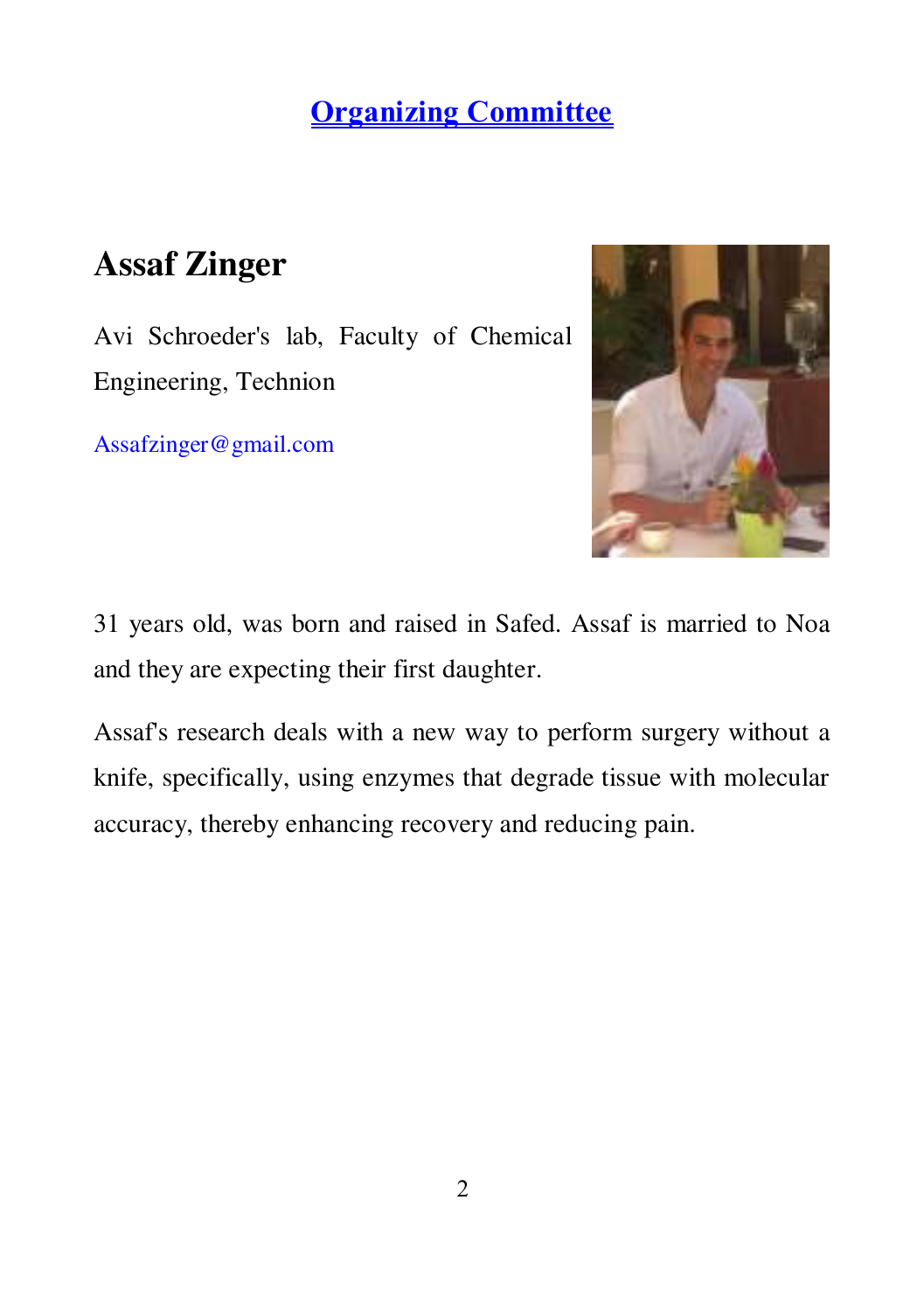## **Assaf Zinger**

Avi Schroeder's lab, Faculty of Chemical Engineering, Technion

[Assafzinger@gmail.com](mailto:Assafzinger@gmail.com) 



31 years old, was born and raised in Safed. Assaf is married to Noa and they are expecting their first daughter.

Assaf's research deals with a new way to perform surgery without a knife, specifically, using enzymes that degrade tissue with molecular accuracy, thereby enhancing recovery and reducing pain.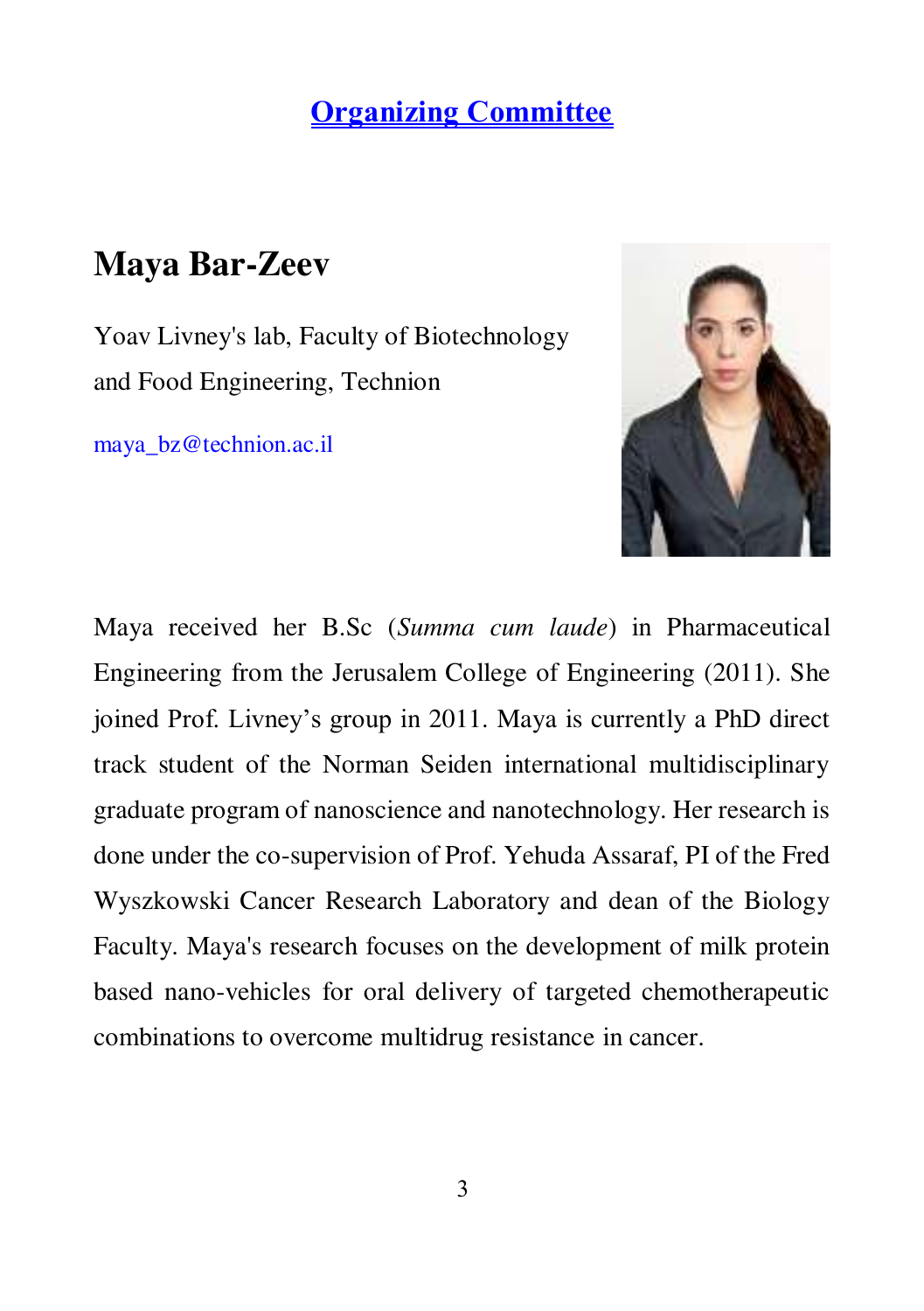## **Maya Bar-Zeev**

Yoav Livney's lab, Faculty of Biotechnology and Food Engineering, Technion

[maya\\_bz@technion.ac.il](mailto:maya_bz@technion.ac.il) 



Maya received her B.Sc (*Summa cum laude*) in Pharmaceutical Engineering from the Jerusalem College of Engineering (2011). She joined Prof. Livney's group in 2011. Maya is currently a PhD direct track student of the Norman Seiden international multidisciplinary graduate program of nanoscience and nanotechnology. Her research is done under the co-supervision of Prof. Yehuda Assaraf, PI of the Fred Wyszkowski Cancer Research Laboratory and dean of the Biology Faculty. Maya's research focuses on the development of milk protein based nano-vehicles for oral delivery of targeted chemotherapeutic combinations to overcome multidrug resistance in cancer.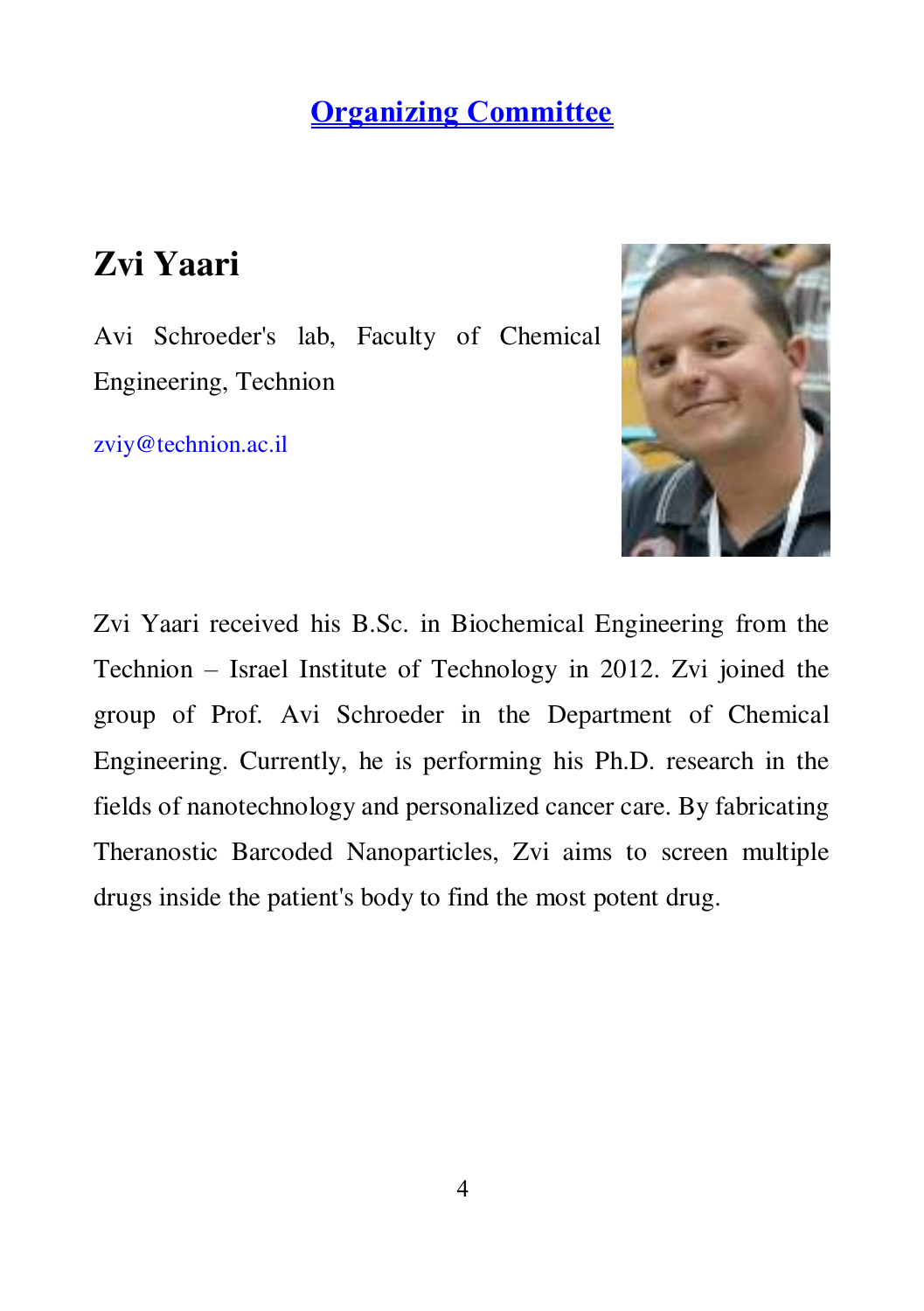## **Zvi Yaari**

Avi Schroeder's lab, Faculty of Chemical Engineering, Technion

[zviy@technion.ac.il](mailto:zviy@technion.ac.il) 



Zvi Yaari received his B.Sc. in Biochemical Engineering from the Technion – Israel Institute of Technology in 2012. Zvi joined the group of Prof. Avi Schroeder in the Department of Chemical Engineering. Currently, he is performing his Ph.D. research in the fields of nanotechnology and personalized cancer care. By fabricating Theranostic Barcoded Nanoparticles, Zvi aims to screen multiple drugs inside the patient's body to find the most potent drug.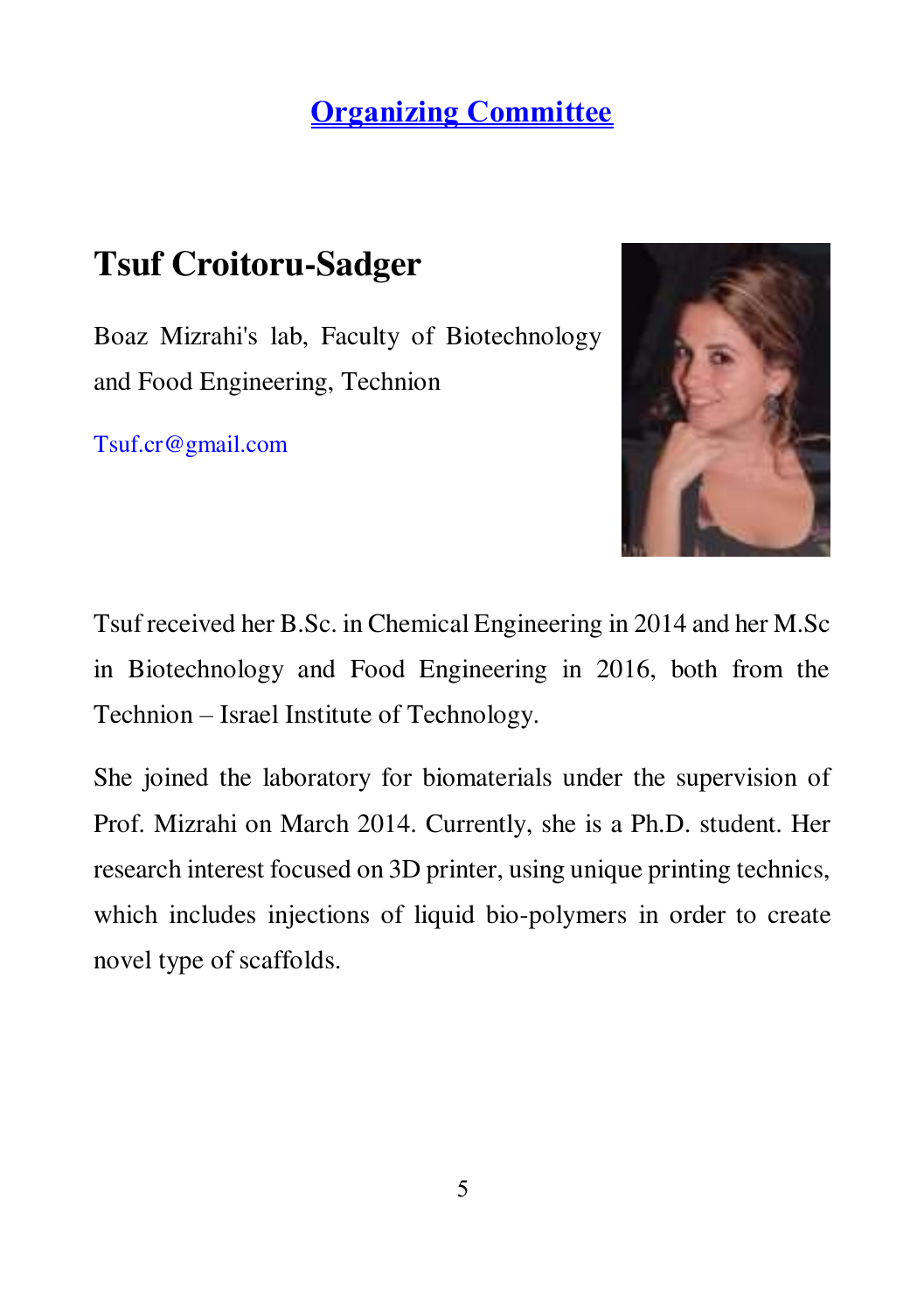## **Tsuf Croitoru-Sadger**

Boaz Mizrahi's lab, Faculty of Biotechnology and Food Engineering, Technion

[Tsuf.cr@gmail.com](mailto:Tsuf.cr@gmail.com) 



Tsuf received her B.Sc. in Chemical Engineering in 2014 and her M.Sc in Biotechnology and Food Engineering in 2016, both from the Technion – Israel Institute of Technology.

She joined the laboratory for biomaterials under the supervision of Prof. Mizrahi on March 2014. Currently, she is a Ph.D. student. Her research interest focused on 3D printer, using unique printing technics, which includes injections of liquid bio-polymers in order to create novel type of scaffolds.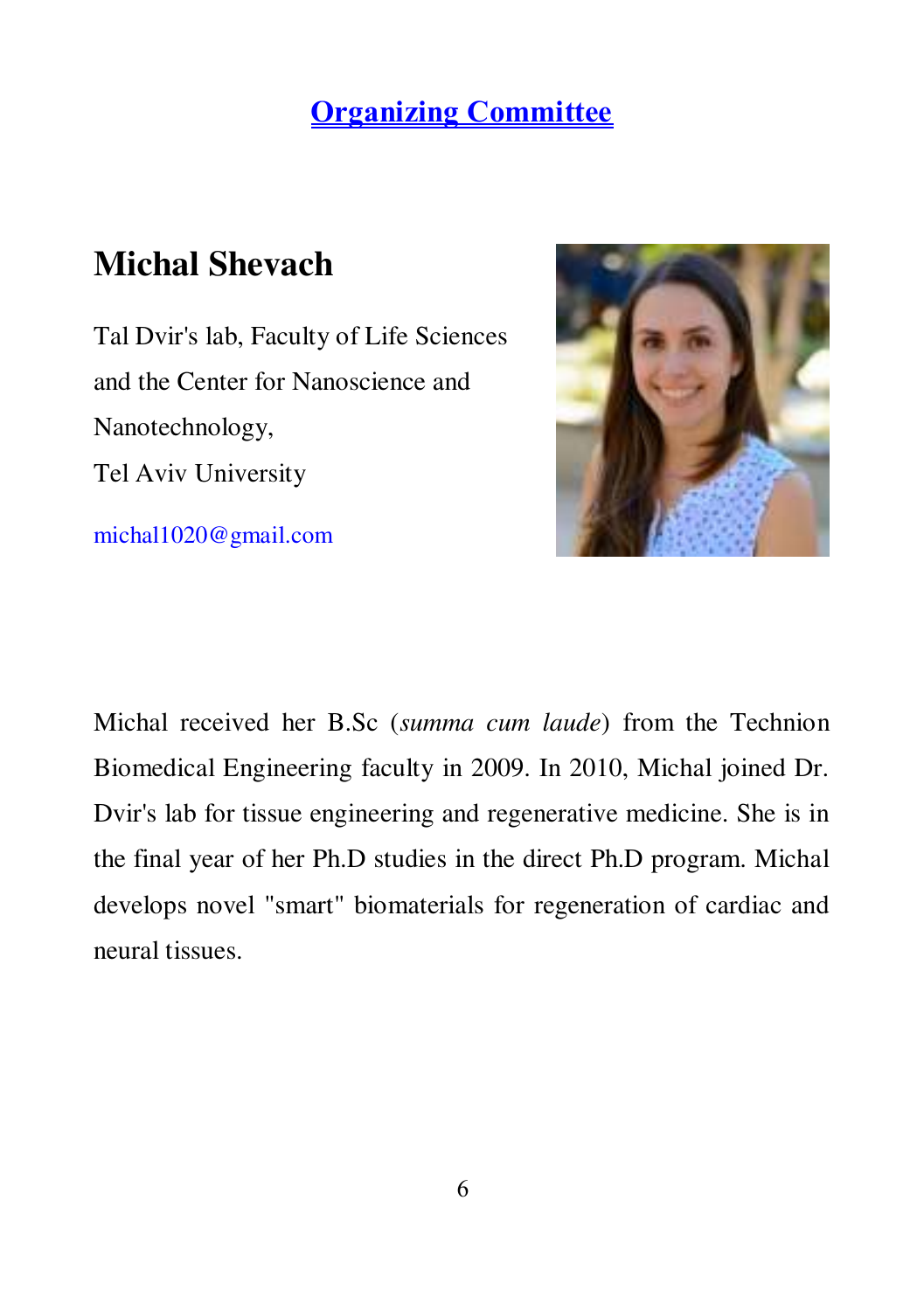## **Michal Shevach**

Tal Dvir's lab, Faculty of Life Sciences and the Center for Nanoscience and Nanotechnology, Tel Aviv University

[michal1020@gmail.com](mailto:michal1020@gmail.com) 



Michal received her B.Sc (*summa cum laude*) from the Technion Biomedical Engineering faculty in 2009. In 2010, Michal joined Dr. Dvir's lab for tissue engineering and regenerative medicine. She is in the final year of her Ph.D studies in the direct Ph.D program. Michal develops novel "smart" biomaterials for regeneration of cardiac and neural tissues.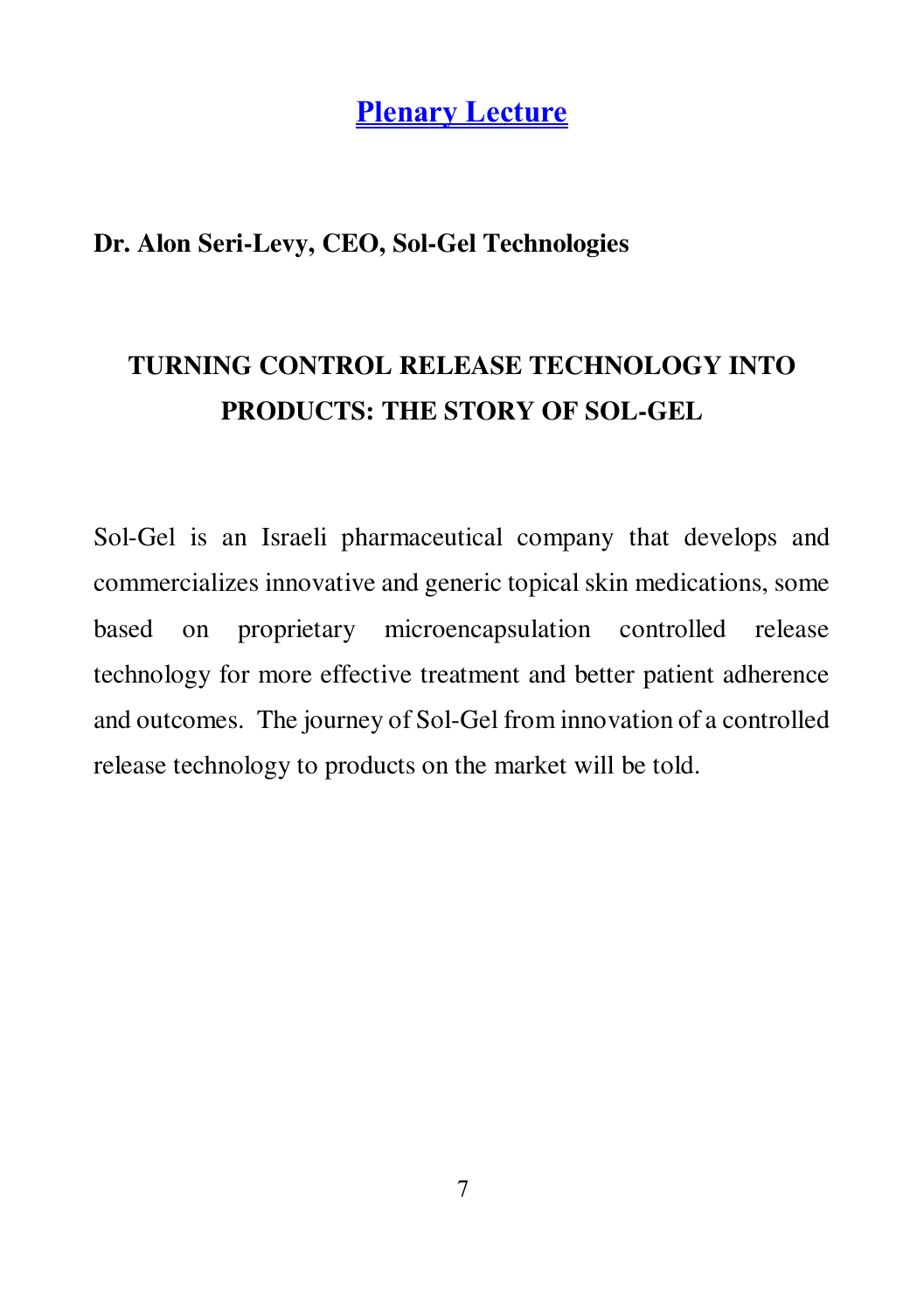**Plenary Lecture**

### **Dr. Alon Seri-Levy, CEO, Sol-Gel Technologies**

## **TURNING CONTROL RELEASE TECHNOLOGY INTO PRODUCTS: THE STORY OF SOL-GEL**

Sol-Gel is an Israeli pharmaceutical company that develops and commercializes innovative and generic topical skin medications, some based on proprietary microencapsulation controlled release technology for more effective treatment and better patient adherence and outcomes. The journey of Sol-Gel from innovation of a controlled release technology to products on the market will be told.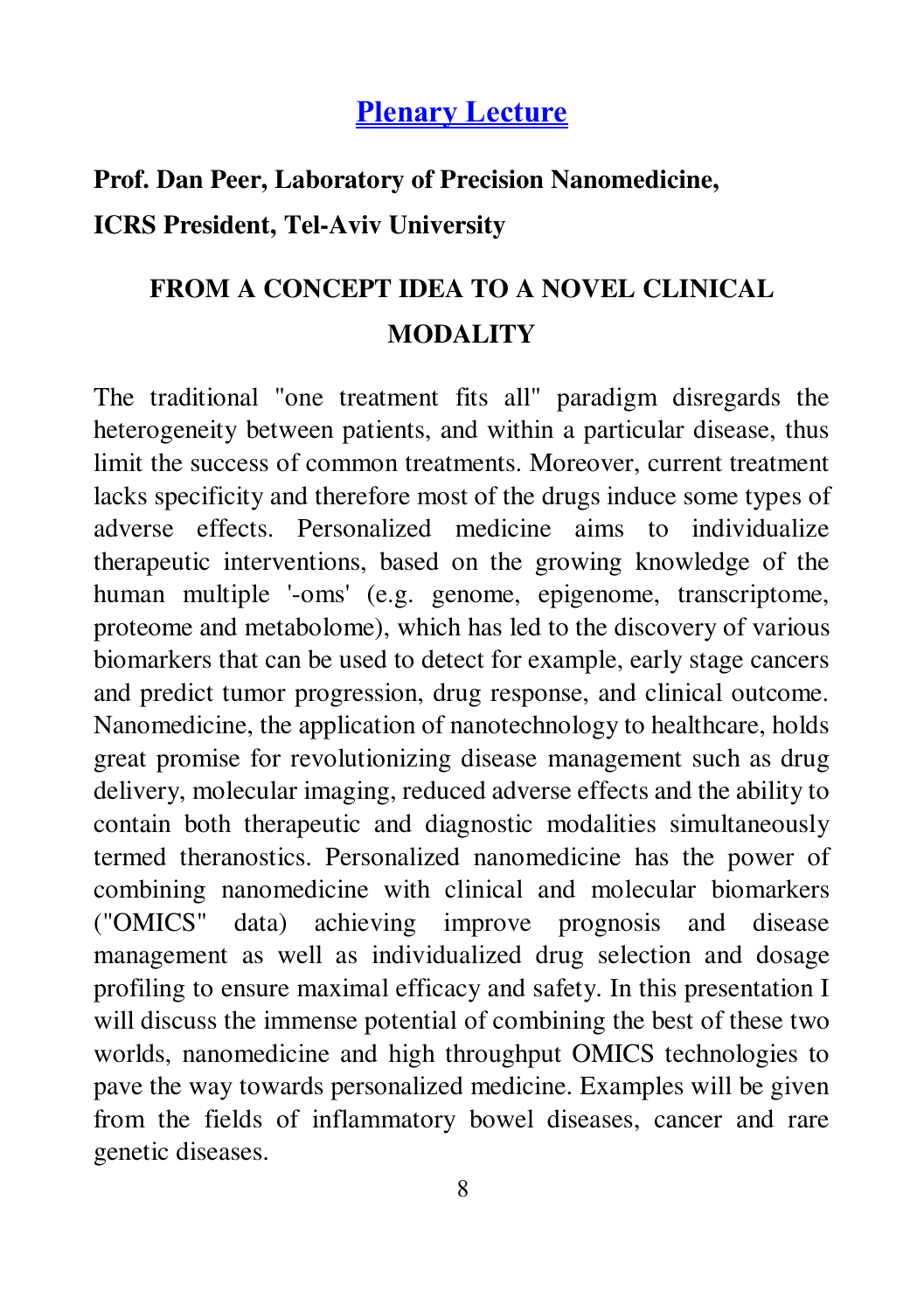## **Plenary Lecture**

## **Prof. Dan Peer, Laboratory of Precision Nanomedicine, ICRS President, Tel-Aviv University**

## **FROM A CONCEPT IDEA TO A NOVEL CLINICAL MODALITY**

The traditional "one treatment fits all" paradigm disregards the heterogeneity between patients, and within a particular disease, thus limit the success of common treatments. Moreover, current treatment lacks specificity and therefore most of the drugs induce some types of adverse effects. Personalized medicine aims to individualize therapeutic interventions, based on the growing knowledge of the human multiple '-oms' (e.g. genome, epigenome, transcriptome, proteome and metabolome), which has led to the discovery of various biomarkers that can be used to detect for example, early stage cancers and predict tumor progression, drug response, and clinical outcome. Nanomedicine, the application of nanotechnology to healthcare, holds great promise for revolutionizing disease management such as drug delivery, molecular imaging, reduced adverse effects and the ability to contain both therapeutic and diagnostic modalities simultaneously termed theranostics. Personalized nanomedicine has the power of combining nanomedicine with clinical and molecular biomarkers ("OMICS" data) achieving improve prognosis and disease management as well as individualized drug selection and dosage profiling to ensure maximal efficacy and safety. In this presentation I will discuss the immense potential of combining the best of these two worlds, nanomedicine and high throughput OMICS technologies to pave the way towards personalized medicine. Examples will be given from the fields of inflammatory bowel diseases, cancer and rare genetic diseases.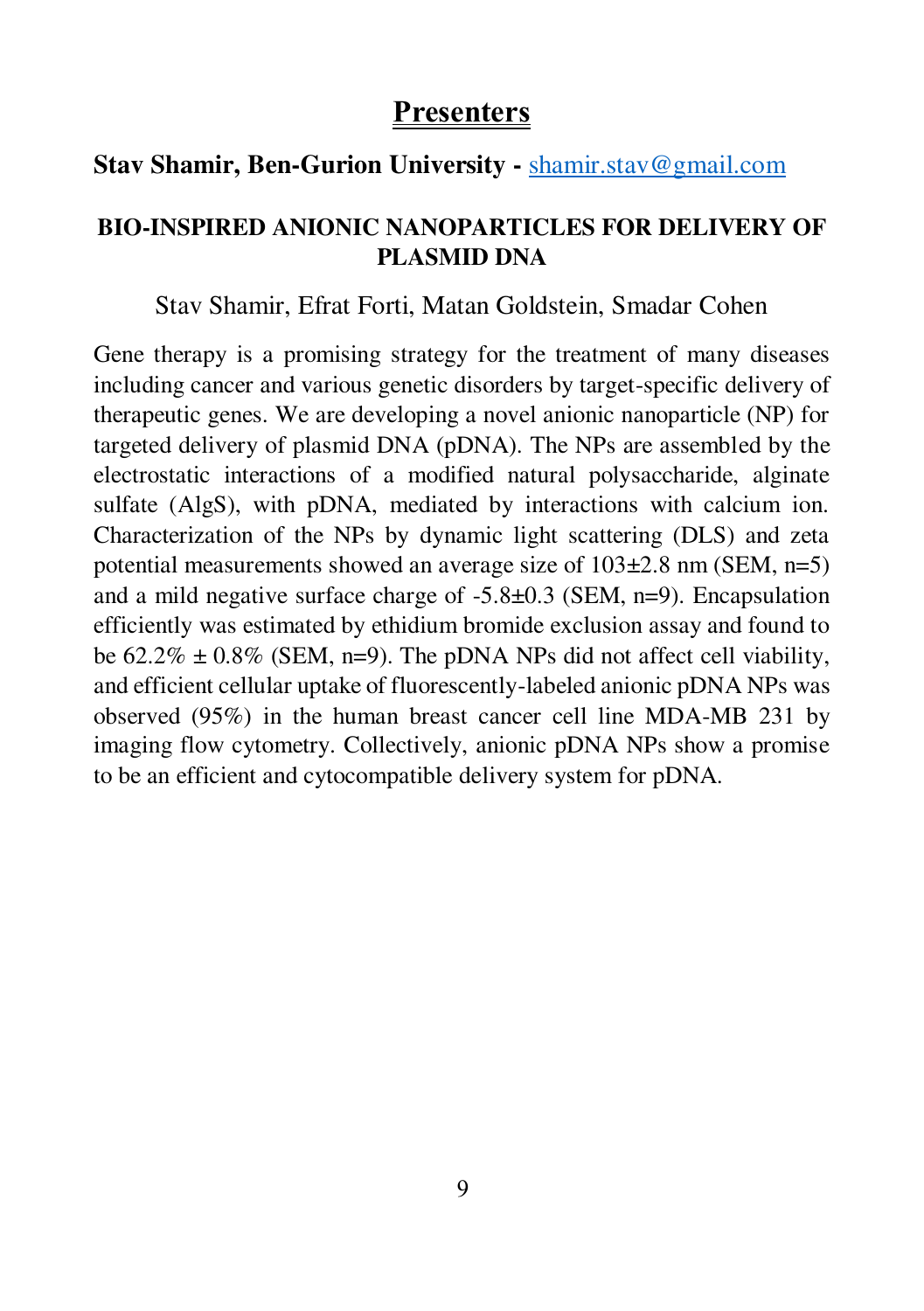## **Stav Shamir, Ben-Gurion University -** [shamir.stav@gmail.com](mailto:shamir.stav@gmail.com)

#### **BIO-INSPIRED ANIONIC NANOPARTICLES FOR DELIVERY OF PLASMID DNA**

#### Stav Shamir, Efrat Forti, Matan Goldstein, Smadar Cohen

Gene therapy is a promising strategy for the treatment of many diseases including cancer and various genetic disorders by target-specific delivery of therapeutic genes. We are developing a novel anionic nanoparticle (NP) for targeted delivery of plasmid DNA (pDNA). The NPs are assembled by the electrostatic interactions of a modified natural polysaccharide, alginate sulfate (AlgS), with pDNA, mediated by interactions with calcium ion. Characterization of the NPs by dynamic light scattering (DLS) and zeta potential measurements showed an average size of 103±2.8 nm (SEM, n=5) and a mild negative surface charge of -5.8±0.3 (SEM, n=9). Encapsulation efficiently was estimated by ethidium bromide exclusion assay and found to be  $62.2\% \pm 0.8\%$  (SEM, n=9). The pDNA NPs did not affect cell viability, and efficient cellular uptake of fluorescently-labeled anionic pDNA NPs was observed (95%) in the human breast cancer cell line MDA-MB 231 by imaging flow cytometry. Collectively, anionic pDNA NPs show a promise to be an efficient and cytocompatible delivery system for pDNA.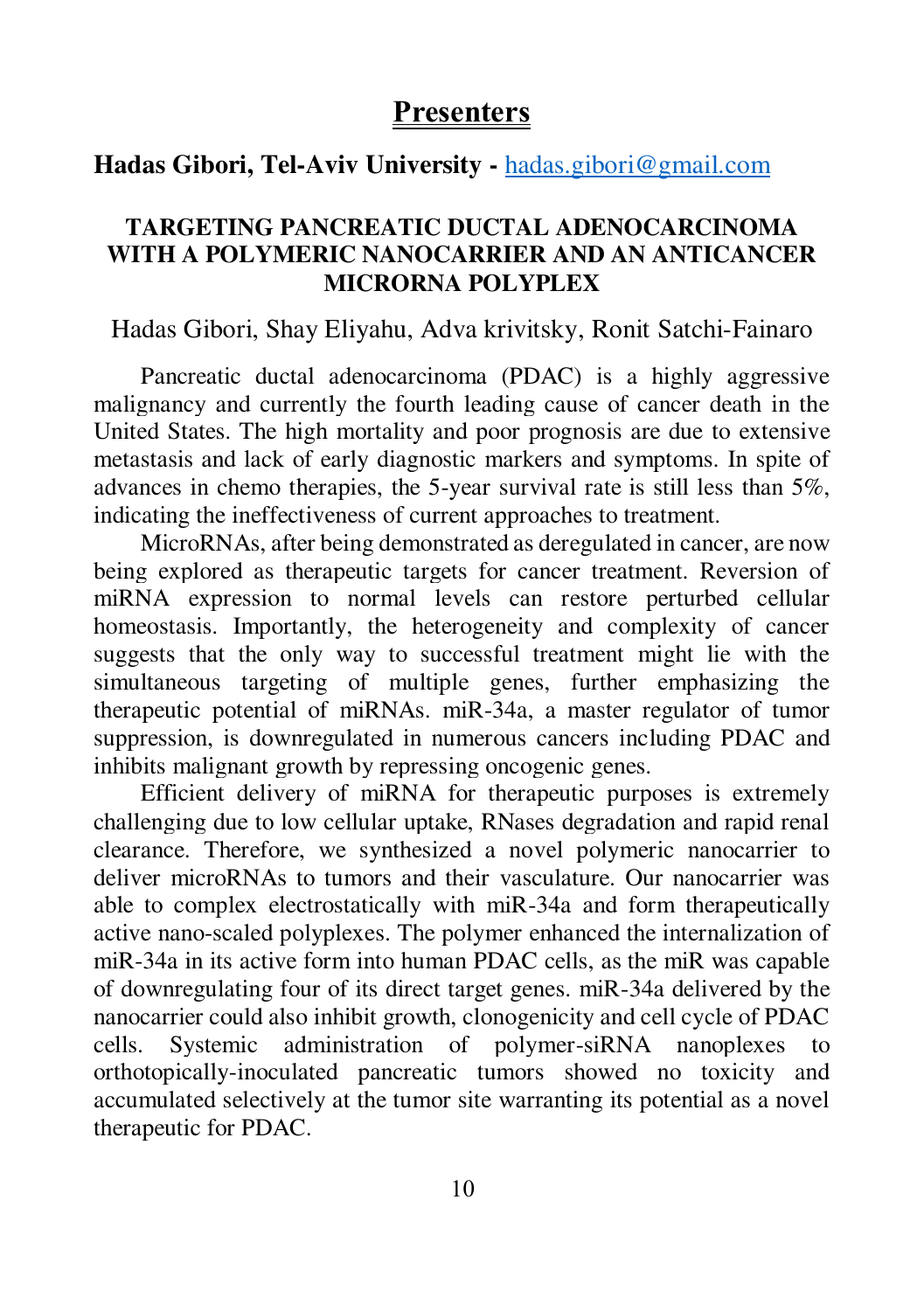#### **Hadas Gibori, Tel-Aviv University -** [hadas.gibori@gmail.com](mailto:hadas.gibori@gmail.com)

#### **TARGETING PANCREATIC DUCTAL ADENOCARCINOMA WITH A POLYMERIC NANOCARRIER AND AN ANTICANCER MICRORNA POLYPLEX**

#### Hadas Gibori, Shay Eliyahu, Adva krivitsky, Ronit Satchi-Fainaro

Pancreatic ductal adenocarcinoma (PDAC) is a highly aggressive malignancy and currently the fourth leading cause of cancer death in the United States. The high mortality and poor prognosis are due to extensive metastasis and lack of early diagnostic markers and symptoms. In spite of advances in chemo therapies, the 5-year survival rate is still less than 5%, indicating the ineffectiveness of current approaches to treatment.

MicroRNAs, after being demonstrated as deregulated in cancer, are now being explored as therapeutic targets for cancer treatment. Reversion of miRNA expression to normal levels can restore perturbed cellular homeostasis. Importantly, the heterogeneity and complexity of cancer suggests that the only way to successful treatment might lie with the simultaneous targeting of multiple genes, further emphasizing the therapeutic potential of miRNAs. miR-34a, a master regulator of tumor suppression, is downregulated in numerous cancers including PDAC and inhibits malignant growth by repressing oncogenic genes.

Efficient delivery of miRNA for therapeutic purposes is extremely challenging due to low cellular uptake, RNases degradation and rapid renal clearance. Therefore, we synthesized a novel polymeric nanocarrier to deliver microRNAs to tumors and their vasculature. Our nanocarrier was able to complex electrostatically with miR-34a and form therapeutically active nano-scaled polyplexes. The polymer enhanced the internalization of miR-34a in its active form into human PDAC cells, as the miR was capable of downregulating four of its direct target genes. miR-34a delivered by the nanocarrier could also inhibit growth, clonogenicity and cell cycle of PDAC cells. Systemic administration of polymer-siRNA nanoplexes to orthotopically-inoculated pancreatic tumors showed no toxicity and accumulated selectively at the tumor site warranting its potential as a novel therapeutic for PDAC.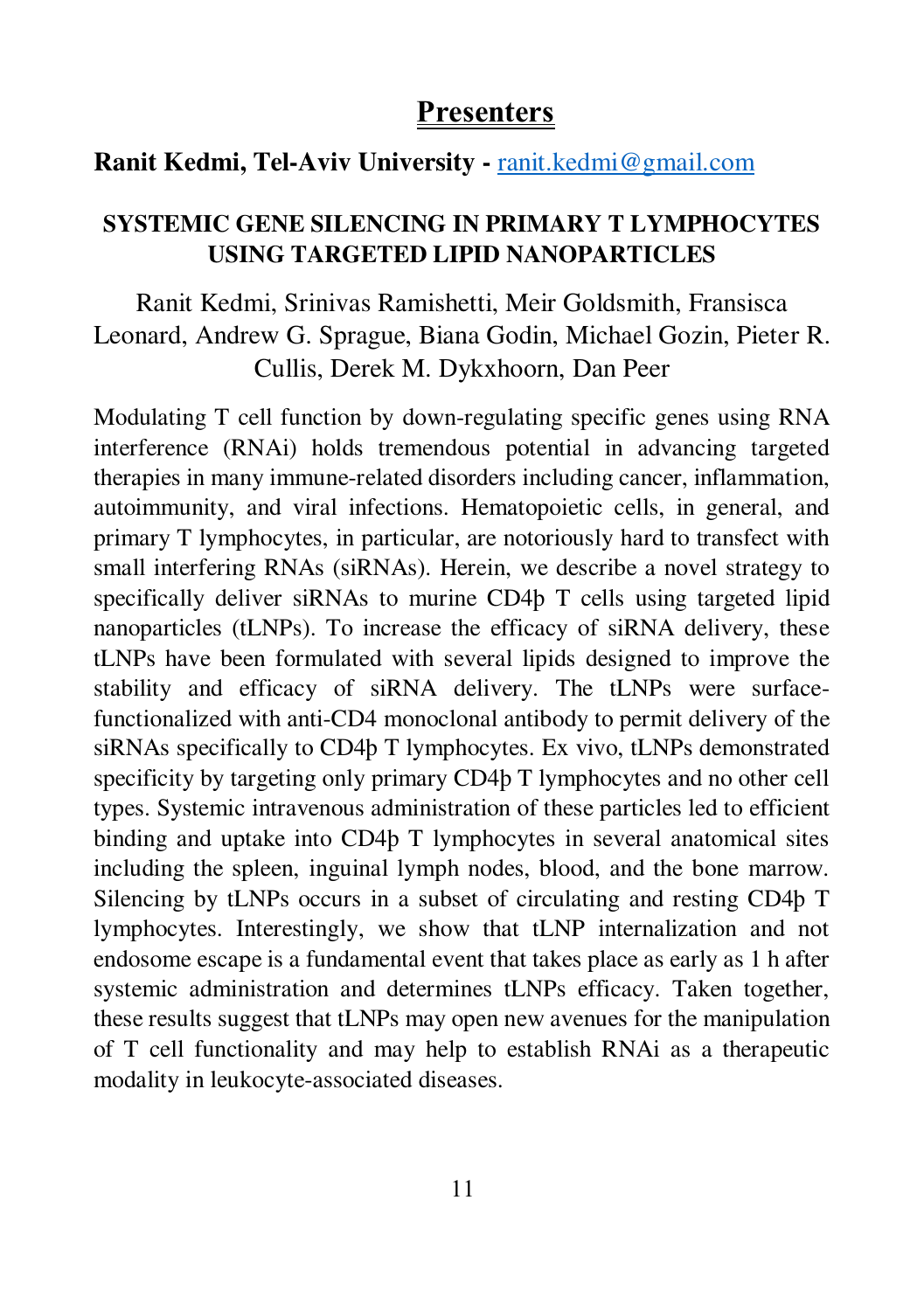#### **Ranit Kedmi, Tel-Aviv University -** [ranit.kedmi@gmail.com](mailto:ranit.kedmi@gmail.com)

#### **SYSTEMIC GENE SILENCING IN PRIMARY T LYMPHOCYTES USING TARGETED LIPID NANOPARTICLES**

Ranit Kedmi, Srinivas Ramishetti, Meir Goldsmith, Fransisca Leonard, Andrew G. Sprague, Biana Godin, Michael Gozin, Pieter R. Cullis, Derek M. Dykxhoorn, Dan Peer

Modulating T cell function by down-regulating specific genes using RNA interference (RNAi) holds tremendous potential in advancing targeted therapies in many immune-related disorders including cancer, inflammation, autoimmunity, and viral infections. Hematopoietic cells, in general, and primary T lymphocytes, in particular, are notoriously hard to transfect with small interfering RNAs (siRNAs). Herein, we describe a novel strategy to specifically deliver siRNAs to murine CD4þ T cells using targeted lipid nanoparticles (tLNPs). To increase the efficacy of siRNA delivery, these tLNPs have been formulated with several lipids designed to improve the stability and efficacy of siRNA delivery. The tLNPs were surfacefunctionalized with anti-CD4 monoclonal antibody to permit delivery of the siRNAs specifically to CD4þ T lymphocytes. Ex vivo, tLNPs demonstrated specificity by targeting only primary CD4þ T lymphocytes and no other cell types. Systemic intravenous administration of these particles led to efficient binding and uptake into CD4þ T lymphocytes in several anatomical sites including the spleen, inguinal lymph nodes, blood, and the bone marrow. Silencing by tLNPs occurs in a subset of circulating and resting CD4þ T lymphocytes. Interestingly, we show that tLNP internalization and not endosome escape is a fundamental event that takes place as early as 1 h after systemic administration and determines tLNPs efficacy. Taken together, these results suggest that tLNPs may open new avenues for the manipulation of T cell functionality and may help to establish RNAi as a therapeutic modality in leukocyte-associated diseases.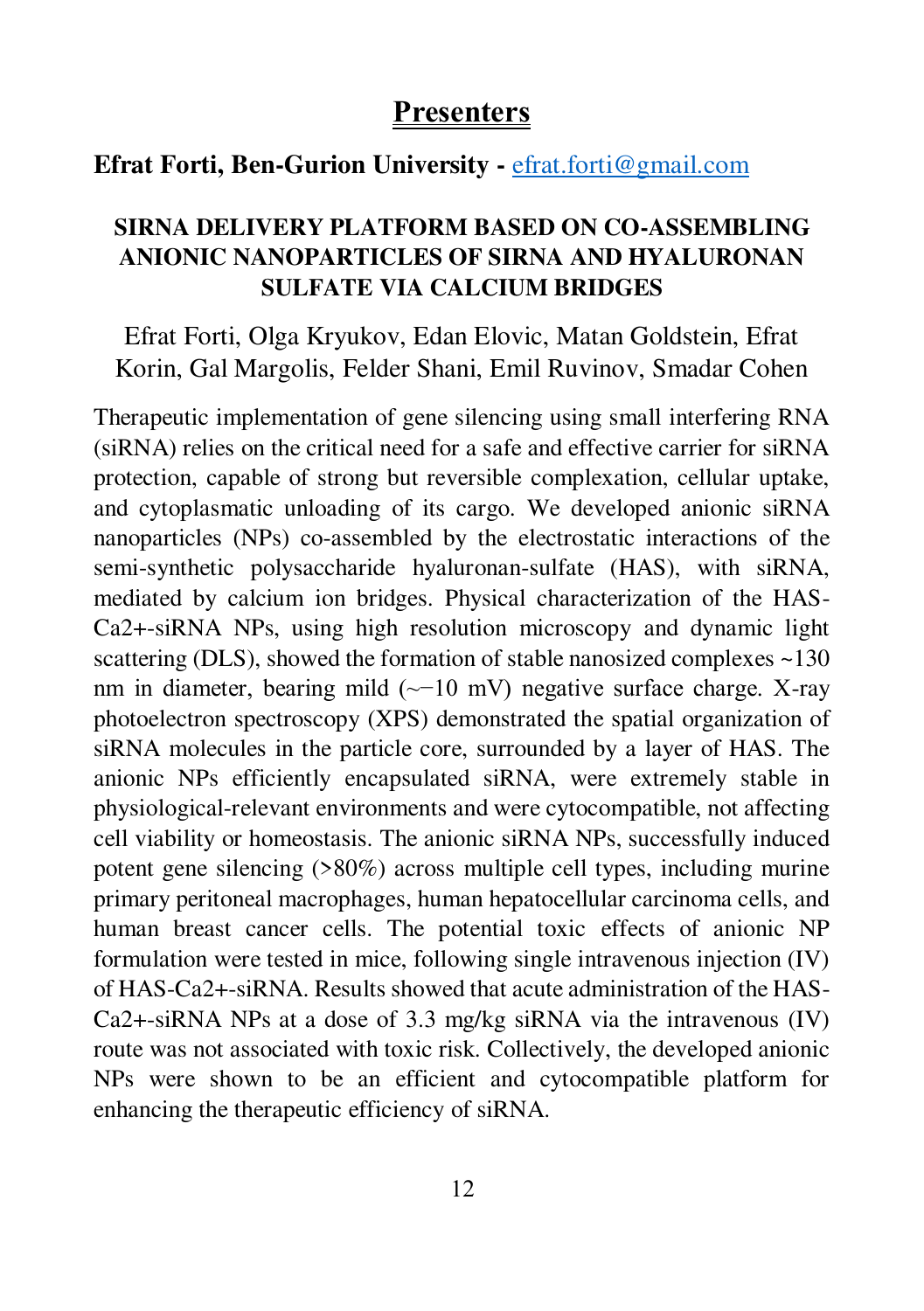#### **Efrat Forti, Ben-Gurion University -** [efrat.forti@gmail.com](mailto:efrat.forti@gmail.com)

#### **SIRNA DELIVERY PLATFORM BASED ON CO-ASSEMBLING ANIONIC NANOPARTICLES OF SIRNA AND HYALURONAN SULFATE VIA CALCIUM BRIDGES**

Efrat Forti, Olga Kryukov, Edan Elovic, Matan Goldstein, Efrat Korin, Gal Margolis, Felder Shani, Emil Ruvinov, Smadar Cohen

Therapeutic implementation of gene silencing using small interfering RNA (siRNA) relies on the critical need for a safe and effective carrier for siRNA protection, capable of strong but reversible complexation, cellular uptake, and cytoplasmatic unloading of its cargo. We developed anionic siRNA nanoparticles (NPs) co-assembled by the electrostatic interactions of the semi-synthetic polysaccharide hyaluronan-sulfate (HAS), with siRNA, mediated by calcium ion bridges. Physical characterization of the HAS-Ca2+-siRNA NPs, using high resolution microscopy and dynamic light scattering (DLS), showed the formation of stable nanosized complexes ~130 nm in diameter, bearing mild (~−10 mV) negative surface charge. X-ray photoelectron spectroscopy (XPS) demonstrated the spatial organization of siRNA molecules in the particle core, surrounded by a layer of HAS. The anionic NPs efficiently encapsulated siRNA, were extremely stable in physiological-relevant environments and were cytocompatible, not affecting cell viability or homeostasis. The anionic siRNA NPs, successfully induced potent gene silencing (>80%) across multiple cell types, including murine primary peritoneal macrophages, human hepatocellular carcinoma cells, and human breast cancer cells. The potential toxic effects of anionic NP formulation were tested in mice, following single intravenous injection (IV) of HAS-Ca2+-siRNA. Results showed that acute administration of the HAS-Ca2+-siRNA NPs at a dose of 3.3 mg/kg siRNA via the intravenous (IV) route was not associated with toxic risk. Collectively, the developed anionic NPs were shown to be an efficient and cytocompatible platform for enhancing the therapeutic efficiency of siRNA.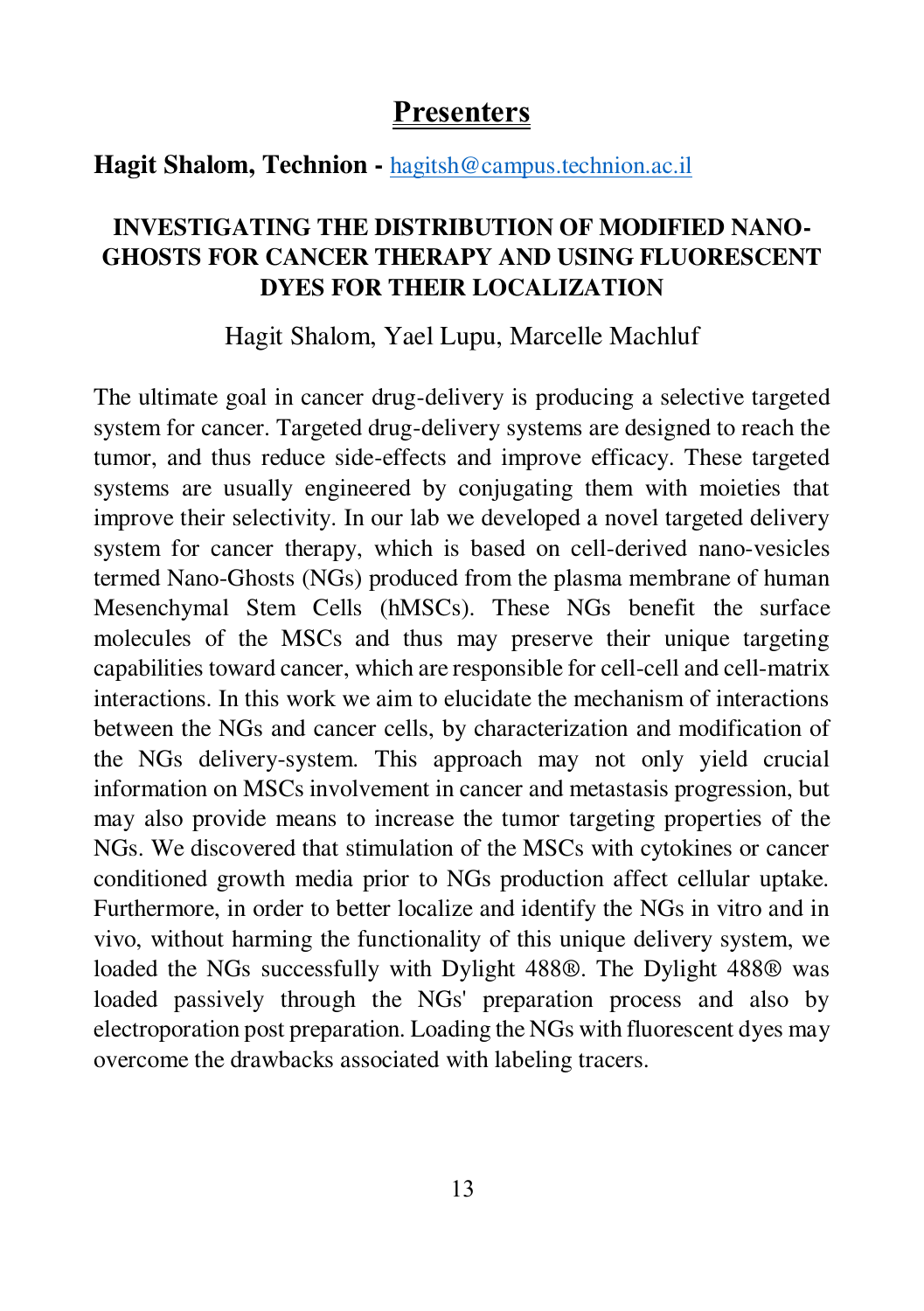#### **Hagit Shalom, Technion -** [hagitsh@campus.technion.ac.il](mailto:hagitsh@campus.technion.ac.il)

#### **INVESTIGATING THE DISTRIBUTION OF MODIFIED NANO-GHOSTS FOR CANCER THERAPY AND USING FLUORESCENT DYES FOR THEIR LOCALIZATION**

Hagit Shalom, Yael Lupu, Marcelle Machluf

The ultimate goal in cancer drug-delivery is producing a selective targeted system for cancer. Targeted drug-delivery systems are designed to reach the tumor, and thus reduce side-effects and improve efficacy. These targeted systems are usually engineered by conjugating them with moieties that improve their selectivity. In our lab we developed a novel targeted delivery system for cancer therapy, which is based on cell-derived nano-vesicles termed Nano-Ghosts (NGs) produced from the plasma membrane of human Mesenchymal Stem Cells (hMSCs). These NGs benefit the surface molecules of the MSCs and thus may preserve their unique targeting capabilities toward cancer, which are responsible for cell-cell and cell-matrix interactions. In this work we aim to elucidate the mechanism of interactions between the NGs and cancer cells, by characterization and modification of the NGs delivery-system. This approach may not only yield crucial information on MSCs involvement in cancer and metastasis progression, but may also provide means to increase the tumor targeting properties of the NGs. We discovered that stimulation of the MSCs with cytokines or cancer conditioned growth media prior to NGs production affect cellular uptake. Furthermore, in order to better localize and identify the NGs in vitro and in vivo, without harming the functionality of this unique delivery system, we loaded the NGs successfully with Dylight 488®. The Dylight 488® was loaded passively through the NGs' preparation process and also by electroporation post preparation. Loading the NGs with fluorescent dyes may overcome the drawbacks associated with labeling tracers.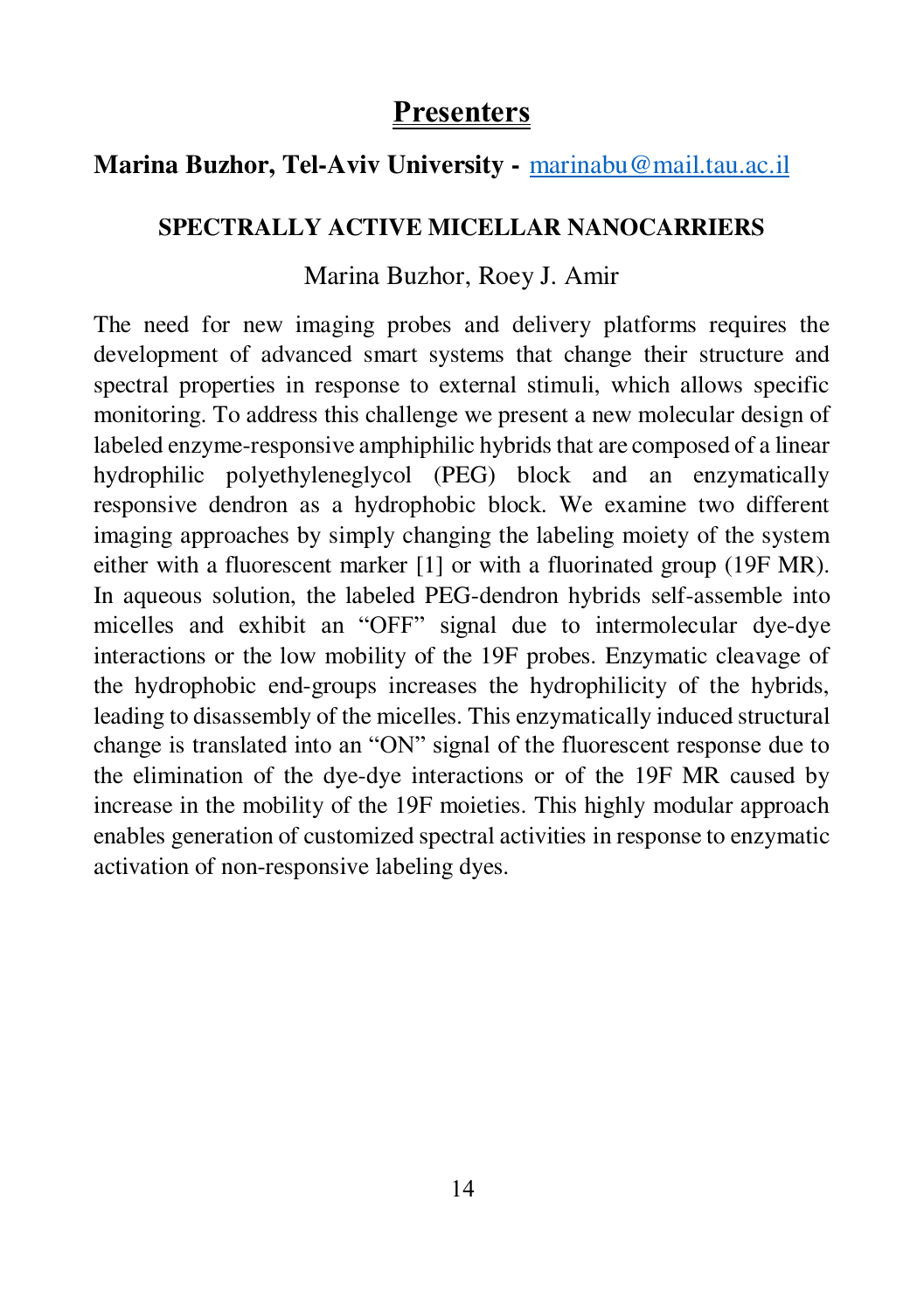## **Marina Buzhor, Tel-Aviv University -** [marinabu@mail.tau.ac.il](mailto:marinabu@mail.tau.ac.il)

#### **SPECTRALLY ACTIVE MICELLAR NANOCARRIERS**

#### Marina Buzhor, Roey J. Amir

The need for new imaging probes and delivery platforms requires the development of advanced smart systems that change their structure and spectral properties in response to external stimuli, which allows specific monitoring. To address this challenge we present a new molecular design of labeled enzyme-responsive amphiphilic hybrids that are composed of a linear hydrophilic polyethyleneglycol (PEG) block and an enzymatically responsive dendron as a hydrophobic block. We examine two different imaging approaches by simply changing the labeling moiety of the system either with a fluorescent marker [1] or with a fluorinated group (19F MR). In aqueous solution, the labeled PEG-dendron hybrids self-assemble into micelles and exhibit an "OFF" signal due to intermolecular dye-dye interactions or the low mobility of the 19F probes. Enzymatic cleavage of the hydrophobic end-groups increases the hydrophilicity of the hybrids, leading to disassembly of the micelles. This enzymatically induced structural change is translated into an "ON" signal of the fluorescent response due to the elimination of the dye-dye interactions or of the 19F MR caused by increase in the mobility of the 19F moieties. This highly modular approach enables generation of customized spectral activities in response to enzymatic activation of non-responsive labeling dyes.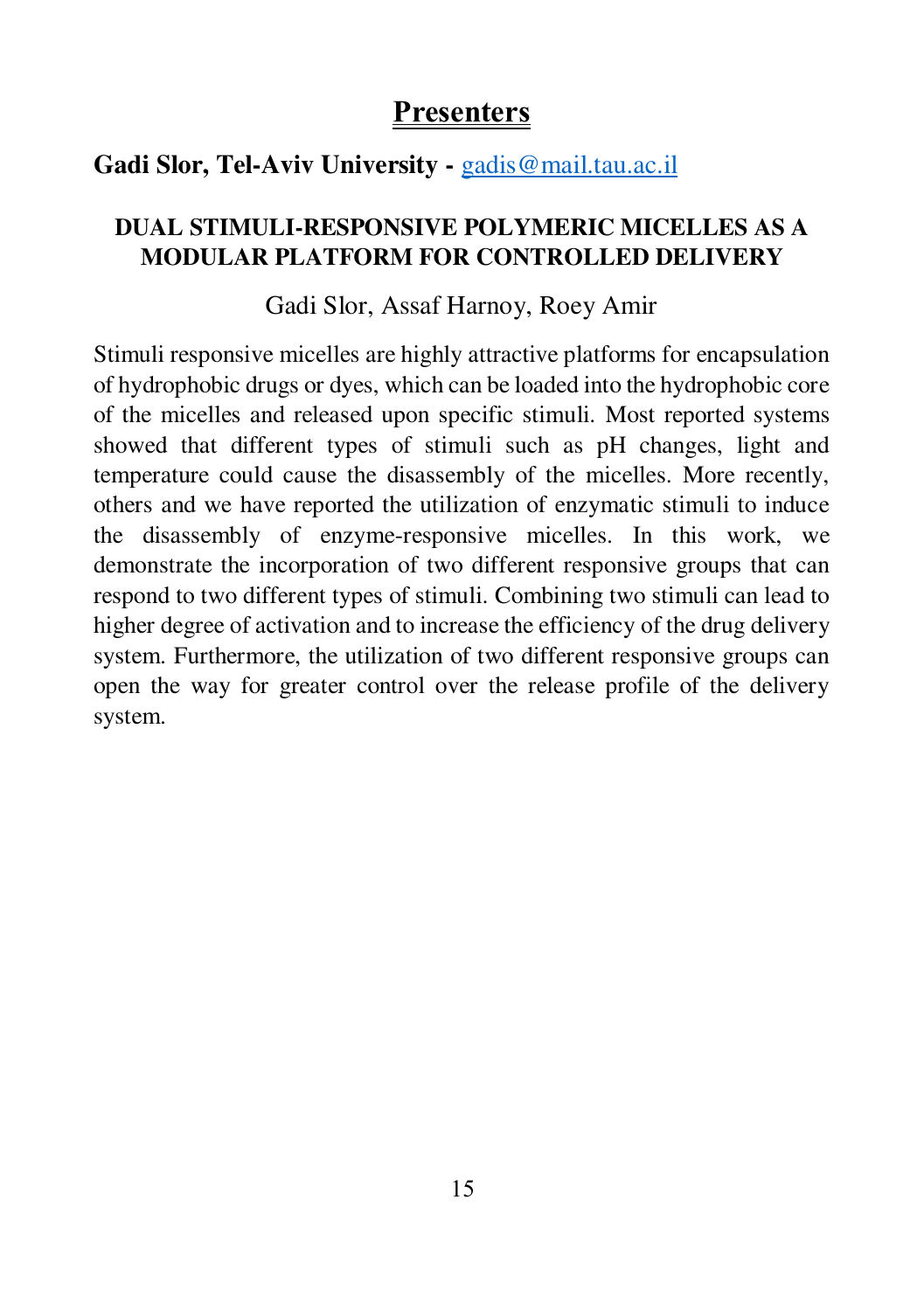## **Gadi Slor, Tel-Aviv University -** [gadis@mail.tau.ac.il](mailto:gadis@mail.tau.ac.il)

## **DUAL STIMULI-RESPONSIVE POLYMERIC MICELLES AS A MODULAR PLATFORM FOR CONTROLLED DELIVERY**

#### Gadi Slor, Assaf Harnoy, Roey Amir

Stimuli responsive micelles are highly attractive platforms for encapsulation of hydrophobic drugs or dyes, which can be loaded into the hydrophobic core of the micelles and released upon specific stimuli. Most reported systems showed that different types of stimuli such as pH changes, light and temperature could cause the disassembly of the micelles. More recently, others and we have reported the utilization of enzymatic stimuli to induce the disassembly of enzyme-responsive micelles. In this work, we demonstrate the incorporation of two different responsive groups that can respond to two different types of stimuli. Combining two stimuli can lead to higher degree of activation and to increase the efficiency of the drug delivery system. Furthermore, the utilization of two different responsive groups can open the way for greater control over the release profile of the delivery system.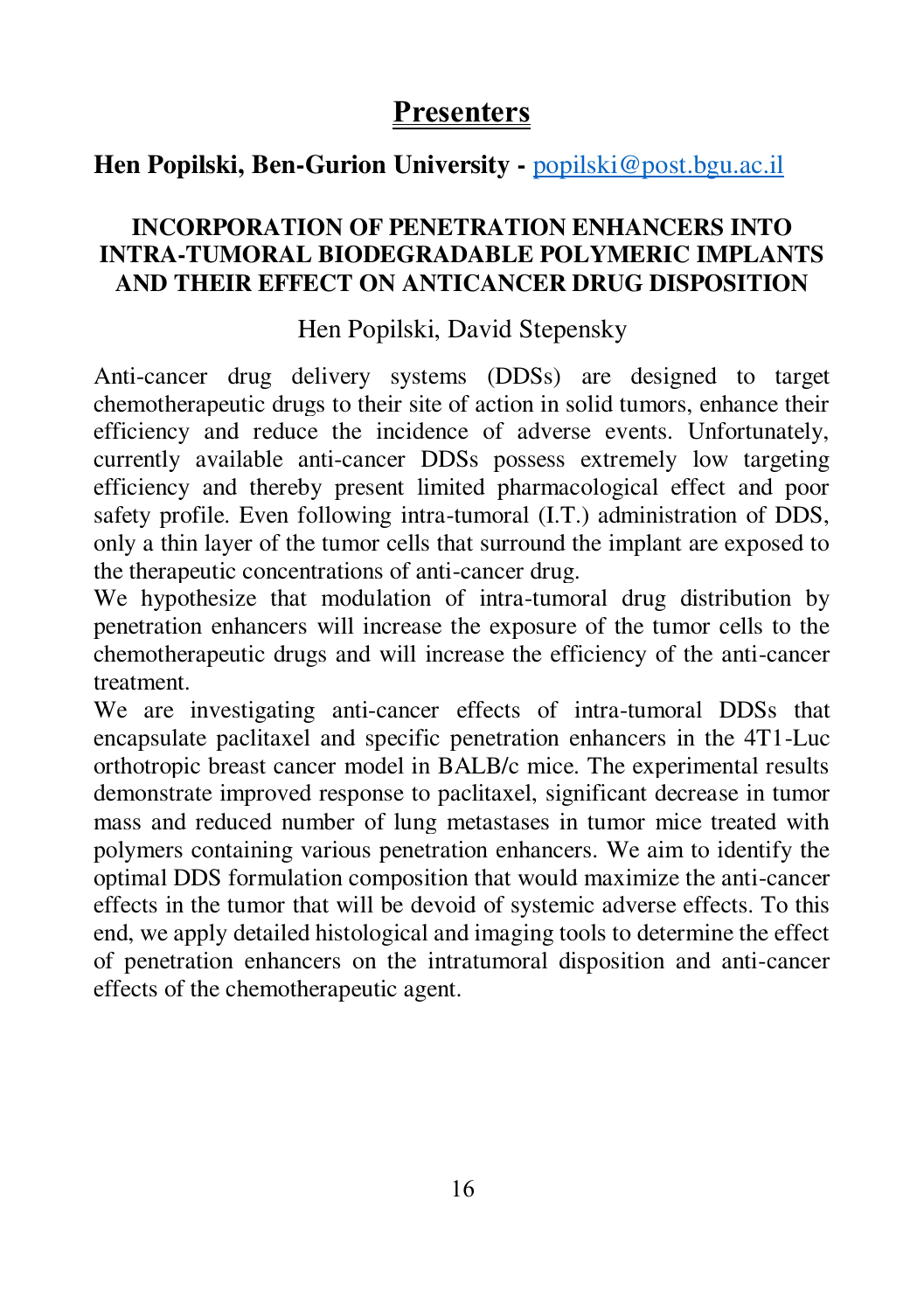## **Hen Popilski, Ben-Gurion University -** [popilski@post.bgu.ac.il](mailto:popilski@post.bgu.ac.il)

#### **INCORPORATION OF PENETRATION ENHANCERS INTO INTRA-TUMORAL BIODEGRADABLE POLYMERIC IMPLANTS AND THEIR EFFECT ON ANTICANCER DRUG DISPOSITION**

### Hen Popilski, David Stepensky

Anti-cancer drug delivery systems (DDSs) are designed to target chemotherapeutic drugs to their site of action in solid tumors, enhance their efficiency and reduce the incidence of adverse events. Unfortunately, currently available anti-cancer DDSs possess extremely low targeting efficiency and thereby present limited pharmacological effect and poor safety profile. Even following intra-tumoral (I.T.) administration of DDS, only a thin layer of the tumor cells that surround the implant are exposed to the therapeutic concentrations of anti-cancer drug.

We hypothesize that modulation of intra-tumoral drug distribution by penetration enhancers will increase the exposure of the tumor cells to the chemotherapeutic drugs and will increase the efficiency of the anti-cancer treatment.

We are investigating anti-cancer effects of intra-tumoral DDSs that encapsulate paclitaxel and specific penetration enhancers in the 4T1-Luc orthotropic breast cancer model in BALB/c mice. The experimental results demonstrate improved response to paclitaxel, significant decrease in tumor mass and reduced number of lung metastases in tumor mice treated with polymers containing various penetration enhancers. We aim to identify the optimal DDS formulation composition that would maximize the anti-cancer effects in the tumor that will be devoid of systemic adverse effects. To this end, we apply detailed histological and imaging tools to determine the effect of penetration enhancers on the intratumoral disposition and anti-cancer effects of the chemotherapeutic agent.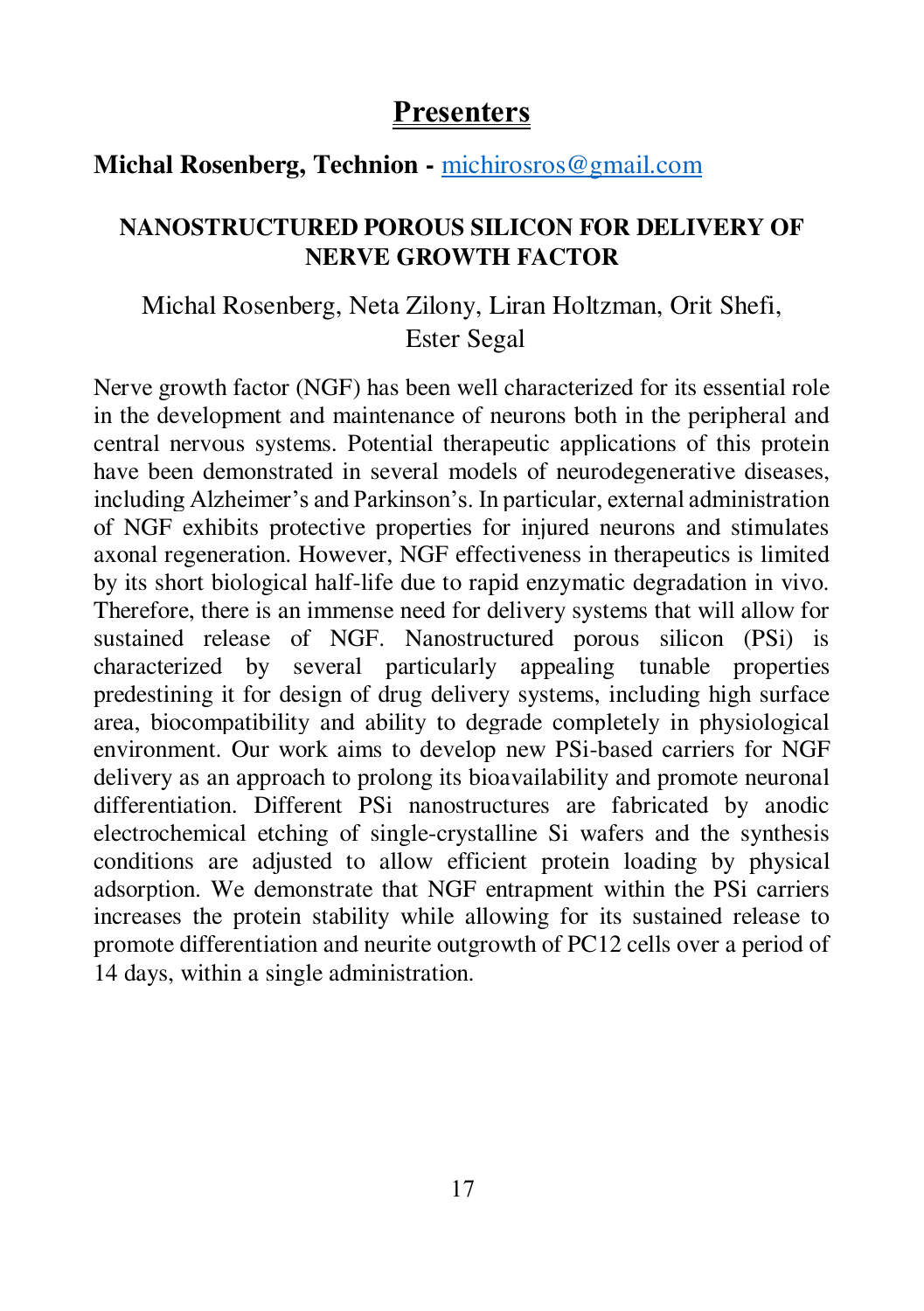#### **Michal Rosenberg, Technion -** [michirosros@gmail.com](mailto:michirosros@gmail.com)

#### **NANOSTRUCTURED POROUS SILICON FOR DELIVERY OF NERVE GROWTH FACTOR**

#### Michal Rosenberg, Neta Zilony, Liran Holtzman, Orit Shefi, Ester Segal

Nerve growth factor (NGF) has been well characterized for its essential role in the development and maintenance of neurons both in the peripheral and central nervous systems. Potential therapeutic applications of this protein have been demonstrated in several models of neurodegenerative diseases, including Alzheimer's and Parkinson's. In particular, external administration of NGF exhibits protective properties for injured neurons and stimulates axonal regeneration. However, NGF effectiveness in therapeutics is limited by its short biological half-life due to rapid enzymatic degradation in vivo. Therefore, there is an immense need for delivery systems that will allow for sustained release of NGF. Nanostructured porous silicon (PSi) is characterized by several particularly appealing tunable properties predestining it for design of drug delivery systems, including high surface area, biocompatibility and ability to degrade completely in physiological environment. Our work aims to develop new PSi-based carriers for NGF delivery as an approach to prolong its bioavailability and promote neuronal differentiation. Different PSi nanostructures are fabricated by anodic electrochemical etching of single-crystalline Si wafers and the synthesis conditions are adjusted to allow efficient protein loading by physical adsorption. We demonstrate that NGF entrapment within the PSi carriers increases the protein stability while allowing for its sustained release to promote differentiation and neurite outgrowth of PC12 cells over a period of 14 days, within a single administration.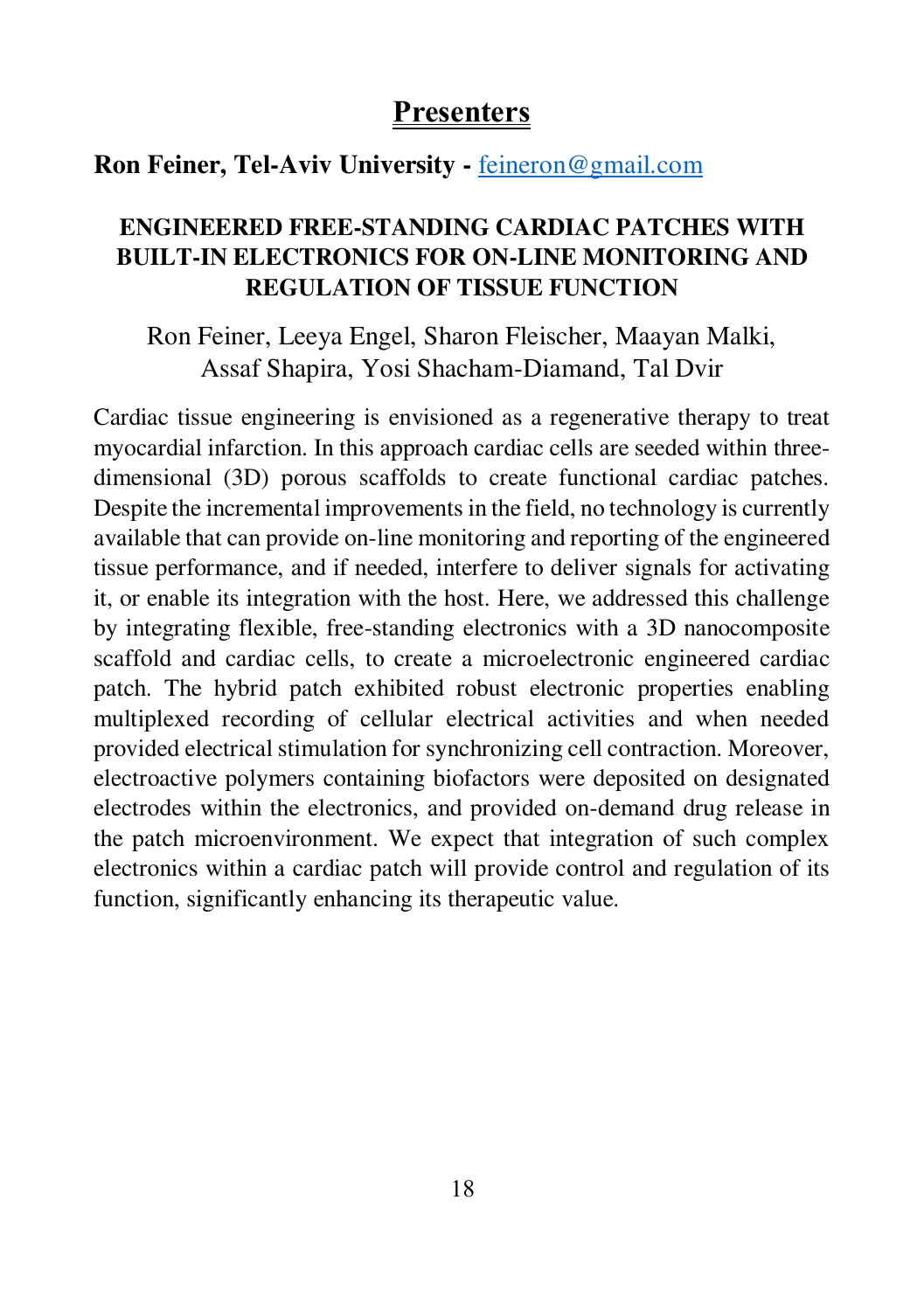#### **Ron Feiner, Tel-Aviv University -** [feineron@gmail.com](mailto:feineron@gmail.com)

#### **ENGINEERED FREE-STANDING CARDIAC PATCHES WITH BUILT-IN ELECTRONICS FOR ON-LINE MONITORING AND REGULATION OF TISSUE FUNCTION**

Ron Feiner, Leeya Engel, Sharon Fleischer, Maayan Malki, Assaf Shapira, Yosi Shacham-Diamand, Tal Dvir

Cardiac tissue engineering is envisioned as a regenerative therapy to treat myocardial infarction. In this approach cardiac cells are seeded within threedimensional (3D) porous scaffolds to create functional cardiac patches. Despite the incremental improvements in the field, no technology is currently available that can provide on-line monitoring and reporting of the engineered tissue performance, and if needed, interfere to deliver signals for activating it, or enable its integration with the host. Here, we addressed this challenge by integrating flexible, free-standing electronics with a 3D nanocomposite scaffold and cardiac cells, to create a microelectronic engineered cardiac patch. The hybrid patch exhibited robust electronic properties enabling multiplexed recording of cellular electrical activities and when needed provided electrical stimulation for synchronizing cell contraction. Moreover, electroactive polymers containing biofactors were deposited on designated electrodes within the electronics, and provided on-demand drug release in the patch microenvironment. We expect that integration of such complex electronics within a cardiac patch will provide control and regulation of its function, significantly enhancing its therapeutic value.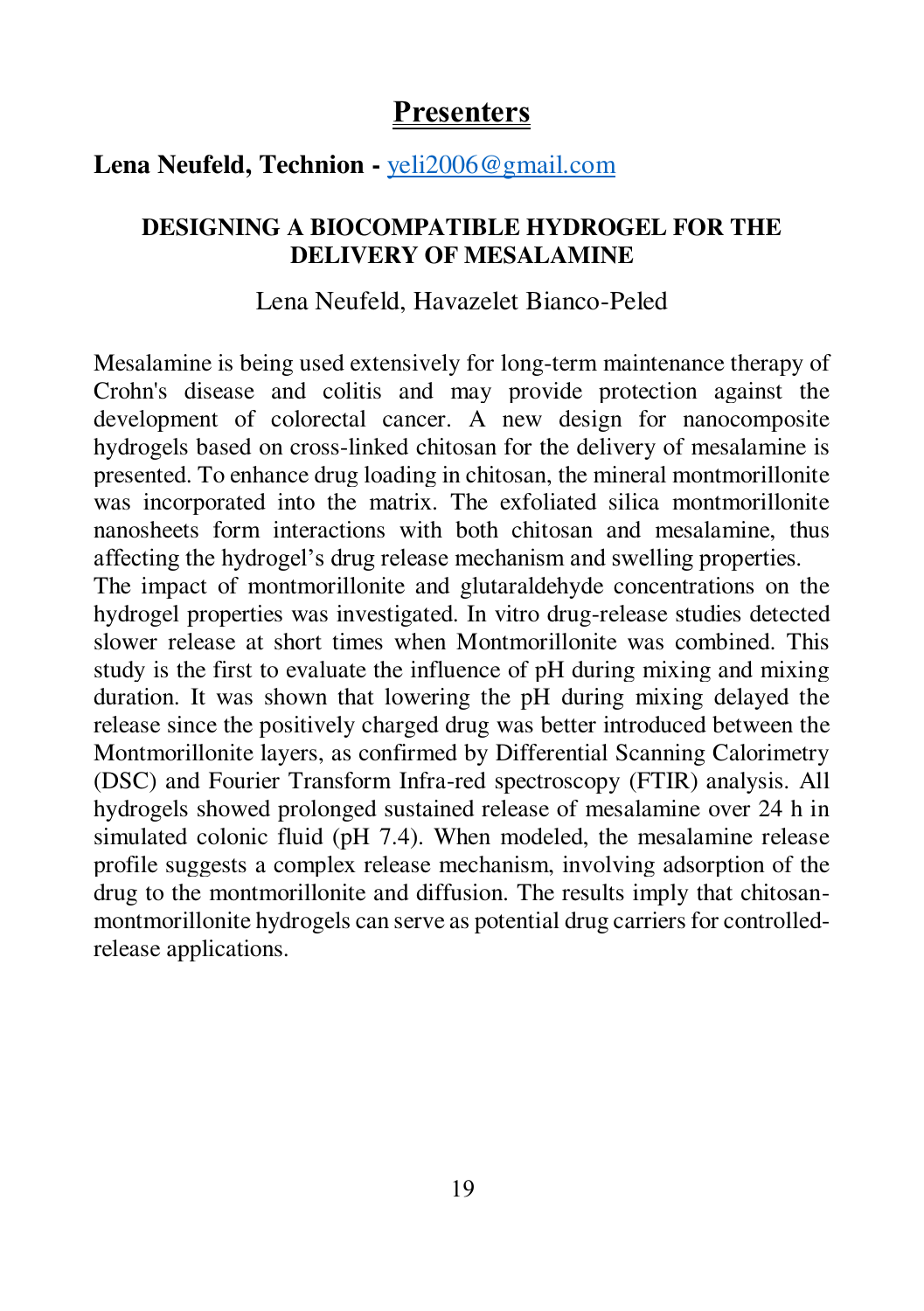#### **Lena Neufeld, Technion -** [yeli2006@gmail.com](mailto:yeli2006@gmail.com)

#### **DESIGNING A BIOCOMPATIBLE HYDROGEL FOR THE DELIVERY OF MESALAMINE**

#### Lena Neufeld, Havazelet Bianco-Peled

Mesalamine is being used extensively for long-term maintenance therapy of Crohn's disease and colitis and may provide protection against the development of colorectal cancer. A new design for nanocomposite hydrogels based on cross-linked chitosan for the delivery of mesalamine is presented. To enhance drug loading in chitosan, the mineral montmorillonite was incorporated into the matrix. The exfoliated silica montmorillonite nanosheets form interactions with both chitosan and mesalamine, thus affecting the hydrogel's drug release mechanism and swelling properties.

The impact of montmorillonite and glutaraldehyde concentrations on the hydrogel properties was investigated. In vitro drug-release studies detected slower release at short times when Montmorillonite was combined. This study is the first to evaluate the influence of pH during mixing and mixing duration. It was shown that lowering the pH during mixing delayed the release since the positively charged drug was better introduced between the Montmorillonite layers, as confirmed by Differential Scanning Calorimetry (DSC) and Fourier Transform Infra-red spectroscopy (FTIR) analysis. All hydrogels showed prolonged sustained release of mesalamine over 24 h in simulated colonic fluid (pH 7.4). When modeled, the mesalamine release profile suggests a complex release mechanism, involving adsorption of the drug to the montmorillonite and diffusion. The results imply that chitosanmontmorillonite hydrogels can serve as potential drug carriers for controlledrelease applications.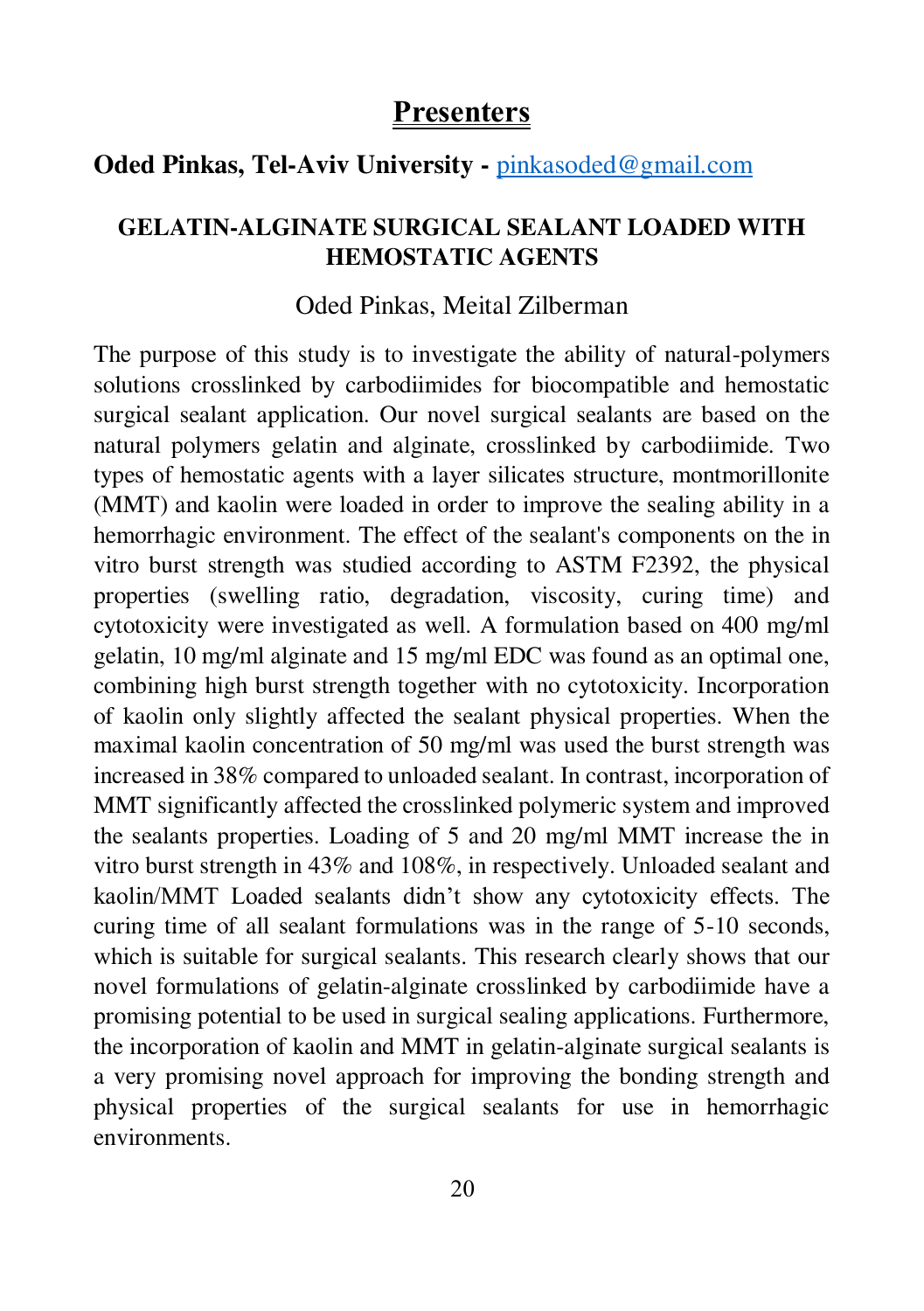#### **Oded Pinkas, Tel-Aviv University -** [pinkasoded@gmail.com](mailto:pinkasoded@gmail.com)

#### **GELATIN-ALGINATE SURGICAL SEALANT LOADED WITH HEMOSTATIC AGENTS**

#### Oded Pinkas, Meital Zilberman

The purpose of this study is to investigate the ability of natural-polymers solutions crosslinked by carbodiimides for biocompatible and hemostatic surgical sealant application. Our novel surgical sealants are based on the natural polymers gelatin and alginate, crosslinked by carbodiimide. Two types of hemostatic agents with a layer silicates structure, montmorillonite (MMT) and kaolin were loaded in order to improve the sealing ability in a hemorrhagic environment. The effect of the sealant's components on the in vitro burst strength was studied according to ASTM F2392, the physical properties (swelling ratio, degradation, viscosity, curing time) and cytotoxicity were investigated as well. A formulation based on 400 mg/ml gelatin, 10 mg/ml alginate and 15 mg/ml EDC was found as an optimal one, combining high burst strength together with no cytotoxicity. Incorporation of kaolin only slightly affected the sealant physical properties. When the maximal kaolin concentration of 50 mg/ml was used the burst strength was increased in 38% compared to unloaded sealant. In contrast, incorporation of MMT significantly affected the crosslinked polymeric system and improved the sealants properties. Loading of 5 and 20 mg/ml MMT increase the in vitro burst strength in 43% and 108%, in respectively. Unloaded sealant and kaolin/MMT Loaded sealants didn't show any cytotoxicity effects. The curing time of all sealant formulations was in the range of 5-10 seconds, which is suitable for surgical sealants. This research clearly shows that our novel formulations of gelatin-alginate crosslinked by carbodiimide have a promising potential to be used in surgical sealing applications. Furthermore, the incorporation of kaolin and MMT in gelatin-alginate surgical sealants is a very promising novel approach for improving the bonding strength and physical properties of the surgical sealants for use in hemorrhagic environments.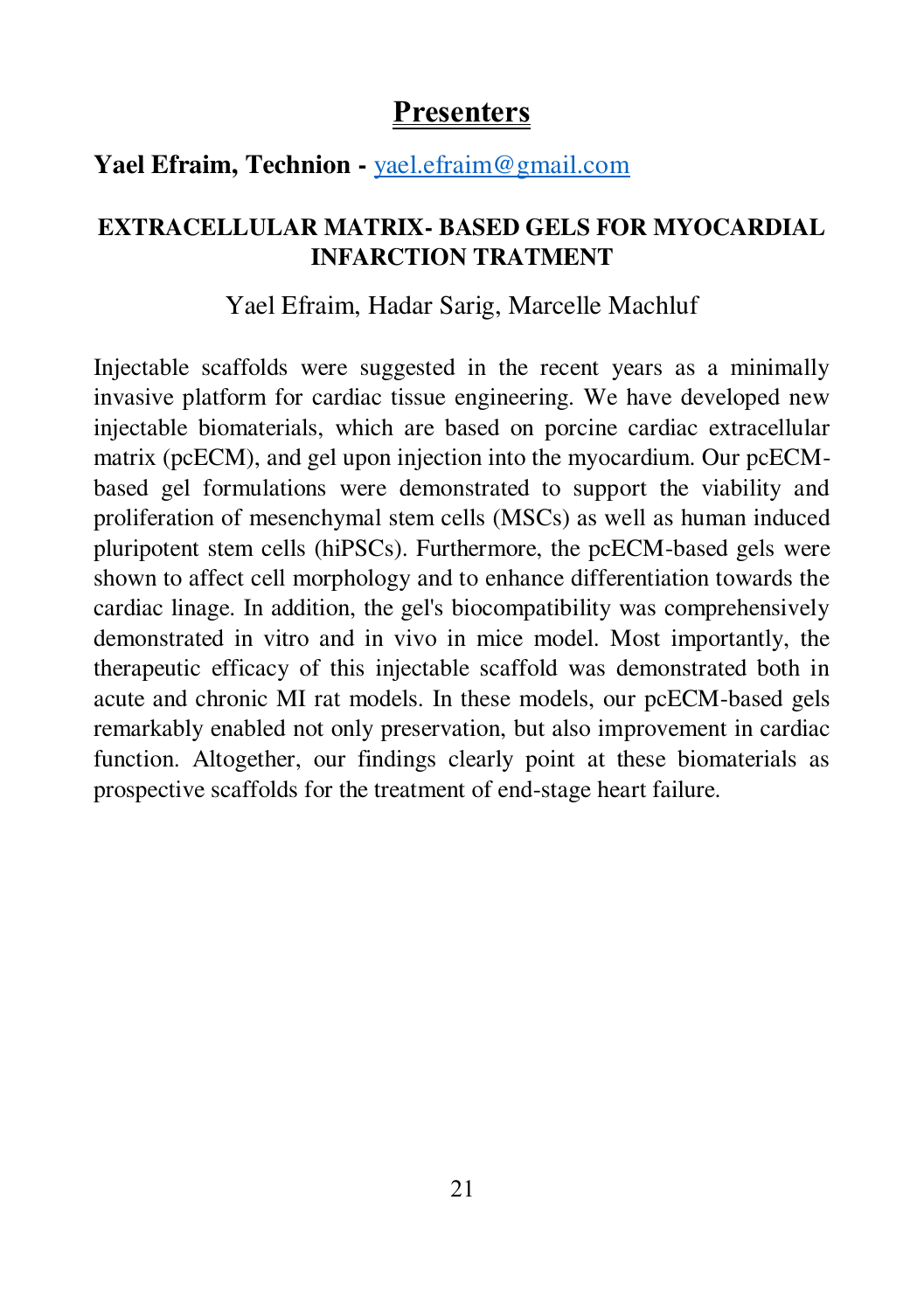#### **Yael Efraim, Technion -** [yael.efraim@gmail.com](mailto:yael.efraim@gmail.com)

### **EXTRACELLULAR MATRIX- BASED GELS FOR MYOCARDIAL INFARCTION TRATMENT**

#### Yael Efraim, Hadar Sarig, Marcelle Machluf

Injectable scaffolds were suggested in the recent years as a minimally invasive platform for cardiac tissue engineering. We have developed new injectable biomaterials, which are based on porcine cardiac extracellular matrix (pcECM), and gel upon injection into the myocardium. Our pcECMbased gel formulations were demonstrated to support the viability and proliferation of mesenchymal stem cells (MSCs) as well as human induced pluripotent stem cells (hiPSCs). Furthermore, the pcECM-based gels were shown to affect cell morphology and to enhance differentiation towards the cardiac linage. In addition, the gel's biocompatibility was comprehensively demonstrated in vitro and in vivo in mice model. Most importantly, the therapeutic efficacy of this injectable scaffold was demonstrated both in acute and chronic MI rat models. In these models, our pcECM-based gels remarkably enabled not only preservation, but also improvement in cardiac function. Altogether, our findings clearly point at these biomaterials as prospective scaffolds for the treatment of end-stage heart failure.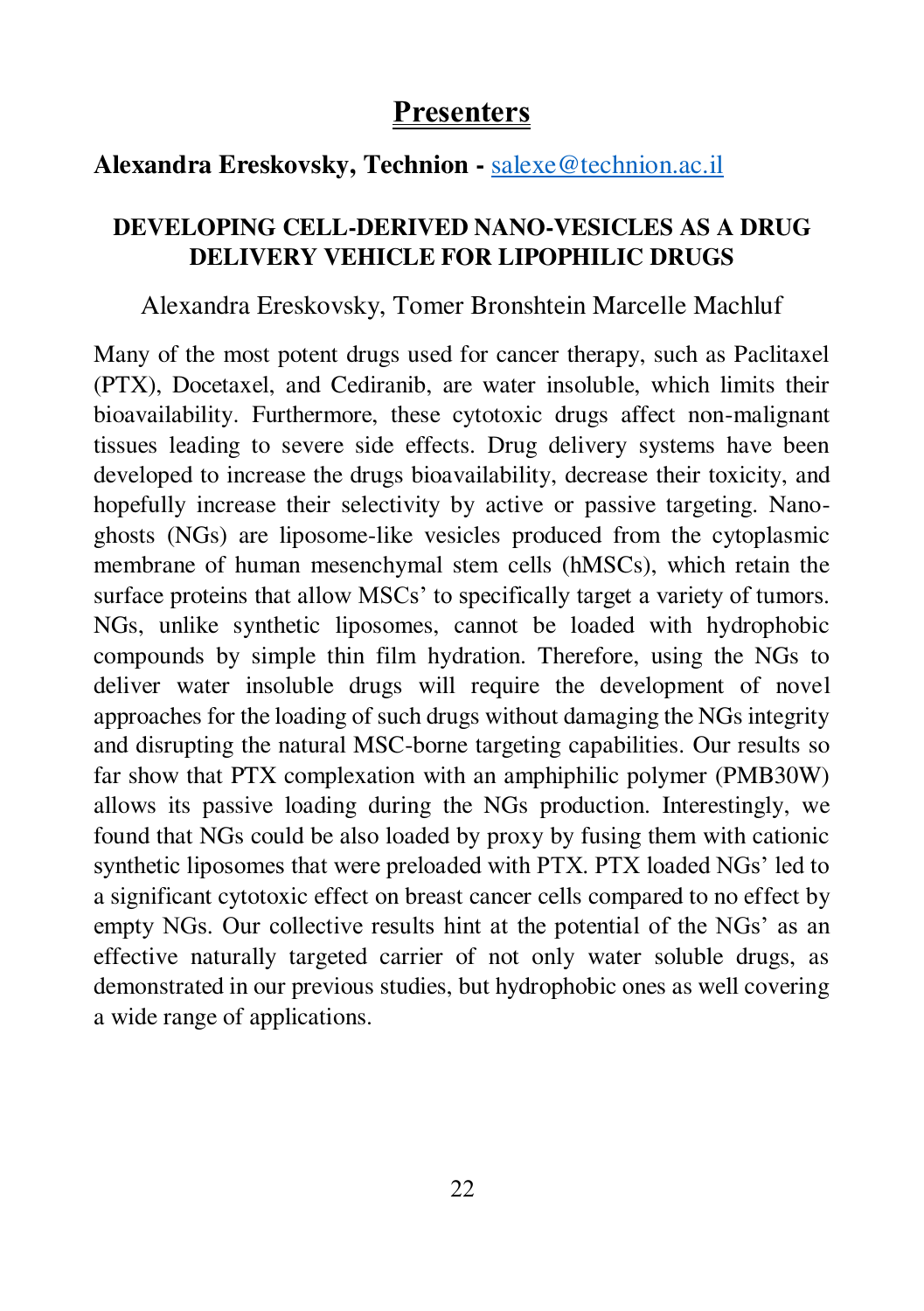## **Alexandra Ereskovsky, Technion -** [salexe@technion.ac.il](mailto:salexe@technion.ac.il)

### **DEVELOPING CELL-DERIVED NANO-VESICLES AS A DRUG DELIVERY VEHICLE FOR LIPOPHILIC DRUGS**

#### Alexandra Ereskovsky, Tomer Bronshtein Marcelle Machluf

Many of the most potent drugs used for cancer therapy, such as Paclitaxel (PTX), Docetaxel, and Cediranib, are water insoluble, which limits their bioavailability. Furthermore, these cytotoxic drugs affect non-malignant tissues leading to severe side effects. Drug delivery systems have been developed to increase the drugs bioavailability, decrease their toxicity, and hopefully increase their selectivity by active or passive targeting. Nanoghosts (NGs) are liposome-like vesicles produced from the cytoplasmic membrane of human mesenchymal stem cells (hMSCs), which retain the surface proteins that allow MSCs' to specifically target a variety of tumors. NGs, unlike synthetic liposomes, cannot be loaded with hydrophobic compounds by simple thin film hydration. Therefore, using the NGs to deliver water insoluble drugs will require the development of novel approaches for the loading of such drugs without damaging the NGs integrity and disrupting the natural MSC-borne targeting capabilities. Our results so far show that PTX complexation with an amphiphilic polymer (PMB30W) allows its passive loading during the NGs production. Interestingly, we found that NGs could be also loaded by proxy by fusing them with cationic synthetic liposomes that were preloaded with PTX. PTX loaded NGs' led to a significant cytotoxic effect on breast cancer cells compared to no effect by empty NGs. Our collective results hint at the potential of the NGs' as an effective naturally targeted carrier of not only water soluble drugs, as demonstrated in our previous studies, but hydrophobic ones as well covering a wide range of applications.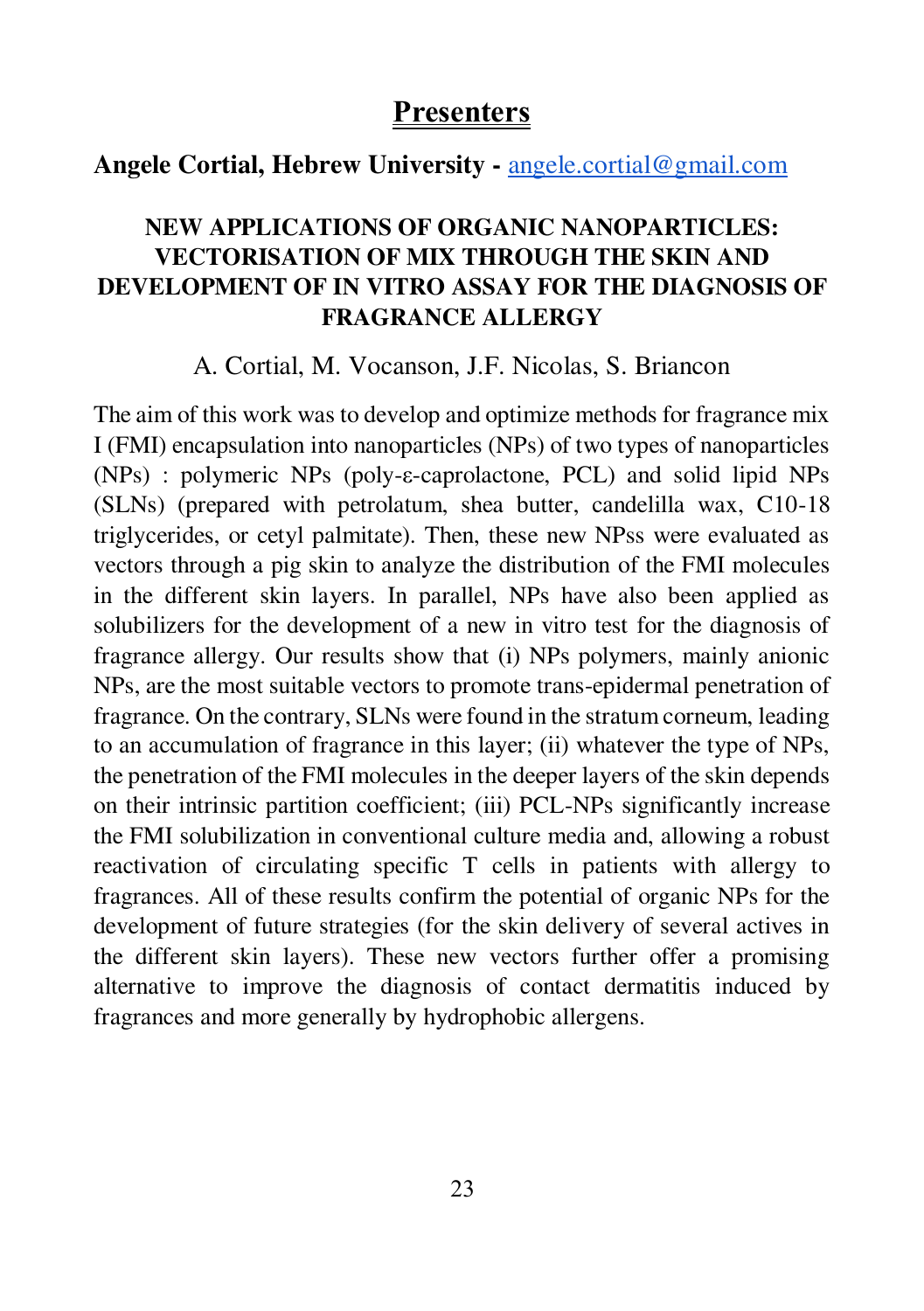#### **Angele Cortial, Hebrew University -** [angele.cortial@gmail.com](mailto:angele.cortial@gmail.com)

### **NEW APPLICATIONS OF ORGANIC NANOPARTICLES: VECTORISATION OF MIX THROUGH THE SKIN AND DEVELOPMENT OF IN VITRO ASSAY FOR THE DIAGNOSIS OF FRAGRANCE ALLERGY**

A. Cortial, M. Vocanson, J.F. Nicolas, S. Briancon

The aim of this work was to develop and optimize methods for fragrance mix I (FMI) encapsulation into nanoparticles (NPs) of two types of nanoparticles (NPs) : polymeric NPs (poly-ε-caprolactone, PCL) and solid lipid NPs (SLNs) (prepared with petrolatum, shea butter, candelilla wax, C10-18 triglycerides, or cetyl palmitate). Then, these new NPss were evaluated as vectors through a pig skin to analyze the distribution of the FMI molecules in the different skin layers. In parallel, NPs have also been applied as solubilizers for the development of a new in vitro test for the diagnosis of fragrance allergy. Our results show that (i) NPs polymers, mainly anionic NPs, are the most suitable vectors to promote trans-epidermal penetration of fragrance. On the contrary, SLNs were found in the stratum corneum, leading to an accumulation of fragrance in this layer; (ii) whatever the type of NPs, the penetration of the FMI molecules in the deeper layers of the skin depends on their intrinsic partition coefficient; (iii) PCL-NPs significantly increase the FMI solubilization in conventional culture media and, allowing a robust reactivation of circulating specific T cells in patients with allergy to fragrances. All of these results confirm the potential of organic NPs for the development of future strategies (for the skin delivery of several actives in the different skin layers). These new vectors further offer a promising alternative to improve the diagnosis of contact dermatitis induced by fragrances and more generally by hydrophobic allergens.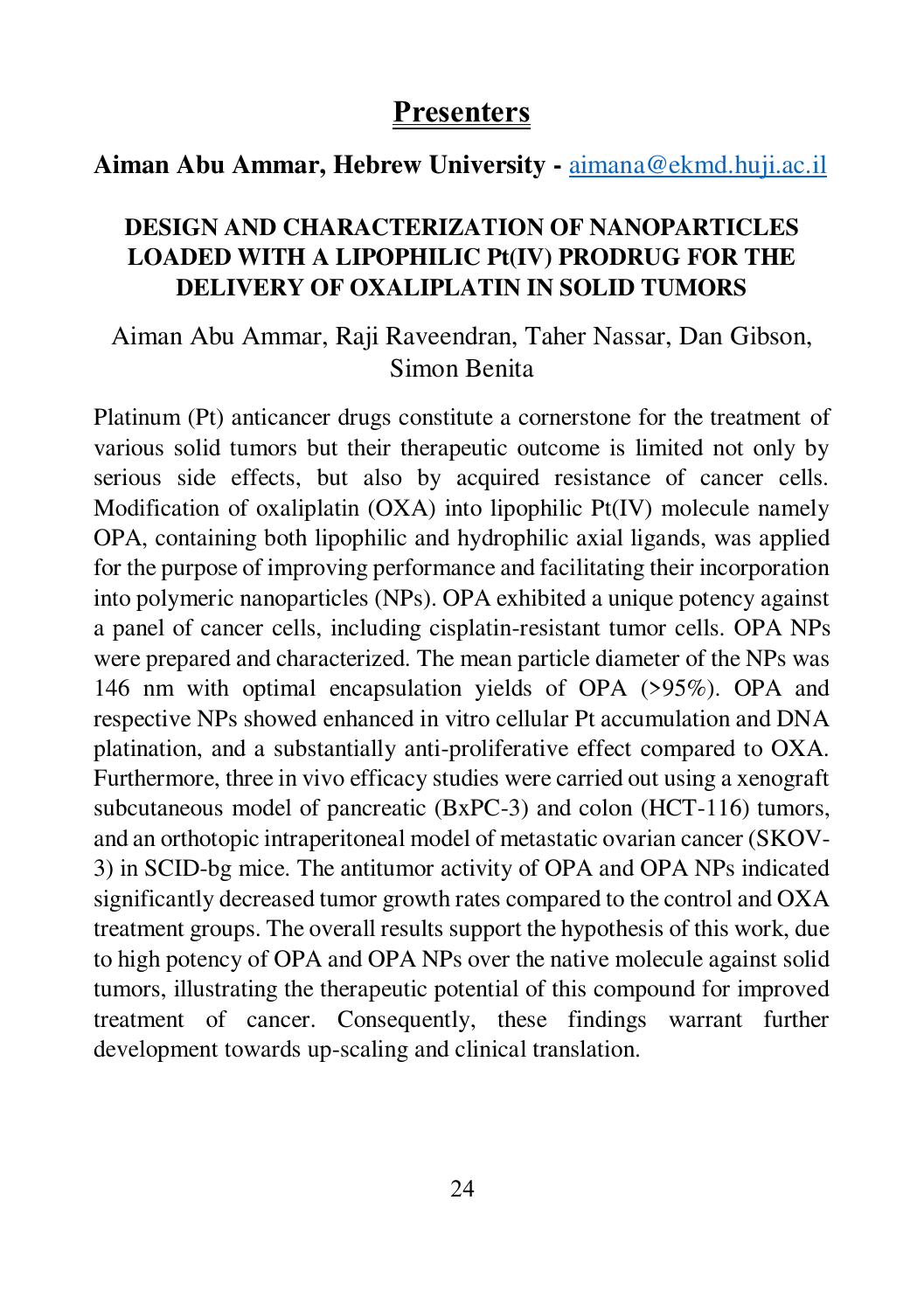#### **Aiman Abu Ammar, Hebrew University -** [aimana@ekmd.huji.ac.il](mailto:aimana@ekmd.huji.ac.il)

#### **DESIGN AND CHARACTERIZATION OF NANOPARTICLES LOADED WITH A LIPOPHILIC Pt(IV) PRODRUG FOR THE DELIVERY OF OXALIPLATIN IN SOLID TUMORS**

## Aiman Abu Ammar, Raji Raveendran, Taher Nassar, Dan Gibson, Simon Benita

Platinum (Pt) anticancer drugs constitute a cornerstone for the treatment of various solid tumors but their therapeutic outcome is limited not only by serious side effects, but also by acquired resistance of cancer cells. Modification of oxaliplatin (OXA) into lipophilic Pt(IV) molecule namely OPA, containing both lipophilic and hydrophilic axial ligands, was applied for the purpose of improving performance and facilitating their incorporation into polymeric nanoparticles (NPs). OPA exhibited a unique potency against a panel of cancer cells, including cisplatin-resistant tumor cells. OPA NPs were prepared and characterized. The mean particle diameter of the NPs was 146 nm with optimal encapsulation yields of OPA (>95%). OPA and respective NPs showed enhanced in vitro cellular Pt accumulation and DNA platination, and a substantially anti-proliferative effect compared to OXA. Furthermore, three in vivo efficacy studies were carried out using a xenograft subcutaneous model of pancreatic (BxPC-3) and colon (HCT-116) tumors, and an orthotopic intraperitoneal model of metastatic ovarian cancer (SKOV-3) in SCID-bg mice. The antitumor activity of OPA and OPA NPs indicated significantly decreased tumor growth rates compared to the control and OXA treatment groups. The overall results support the hypothesis of this work, due to high potency of OPA and OPA NPs over the native molecule against solid tumors, illustrating the therapeutic potential of this compound for improved treatment of cancer. Consequently, these findings warrant further development towards up-scaling and clinical translation.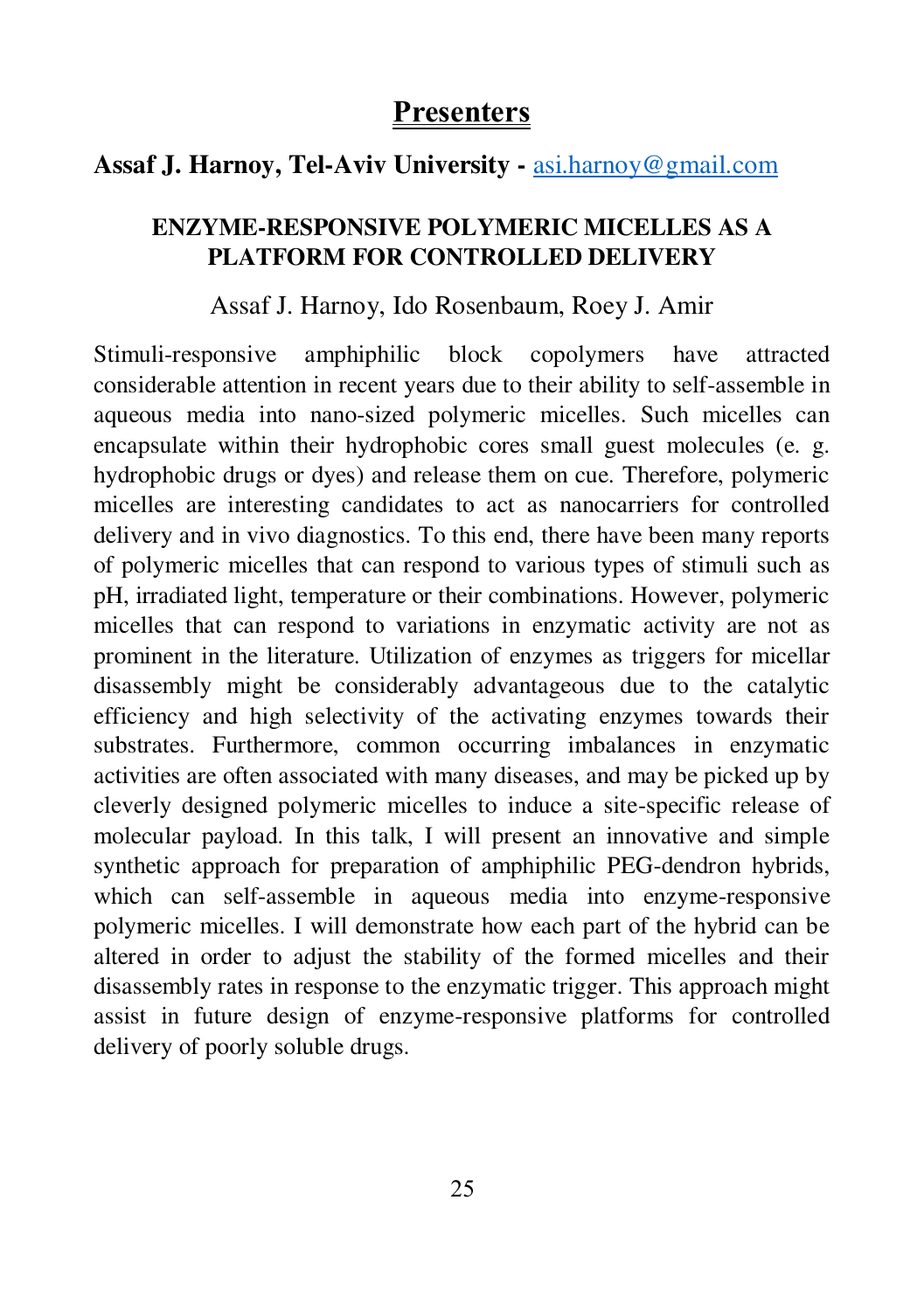## **Assaf J. Harnoy, Tel-Aviv University -** [asi.harnoy@gmail.com](mailto:asi.harnoy@gmail.com)

### **ENZYME-RESPONSIVE POLYMERIC MICELLES AS A PLATFORM FOR CONTROLLED DELIVERY**

#### Assaf J. Harnoy, Ido Rosenbaum, Roey J. Amir

Stimuli-responsive amphiphilic block copolymers have attracted considerable attention in recent years due to their ability to self-assemble in aqueous media into nano-sized polymeric micelles. Such micelles can encapsulate within their hydrophobic cores small guest molecules (e. g. hydrophobic drugs or dyes) and release them on cue. Therefore, polymeric micelles are interesting candidates to act as nanocarriers for controlled delivery and in vivo diagnostics. To this end, there have been many reports of polymeric micelles that can respond to various types of stimuli such as pH, irradiated light, temperature or their combinations. However, polymeric micelles that can respond to variations in enzymatic activity are not as prominent in the literature. Utilization of enzymes as triggers for micellar disassembly might be considerably advantageous due to the catalytic efficiency and high selectivity of the activating enzymes towards their substrates. Furthermore, common occurring imbalances in enzymatic activities are often associated with many diseases, and may be picked up by cleverly designed polymeric micelles to induce a site-specific release of molecular payload. In this talk, I will present an innovative and simple synthetic approach for preparation of amphiphilic PEG-dendron hybrids, which can self-assemble in aqueous media into enzyme-responsive polymeric micelles. I will demonstrate how each part of the hybrid can be altered in order to adjust the stability of the formed micelles and their disassembly rates in response to the enzymatic trigger. This approach might assist in future design of enzyme-responsive platforms for controlled delivery of poorly soluble drugs.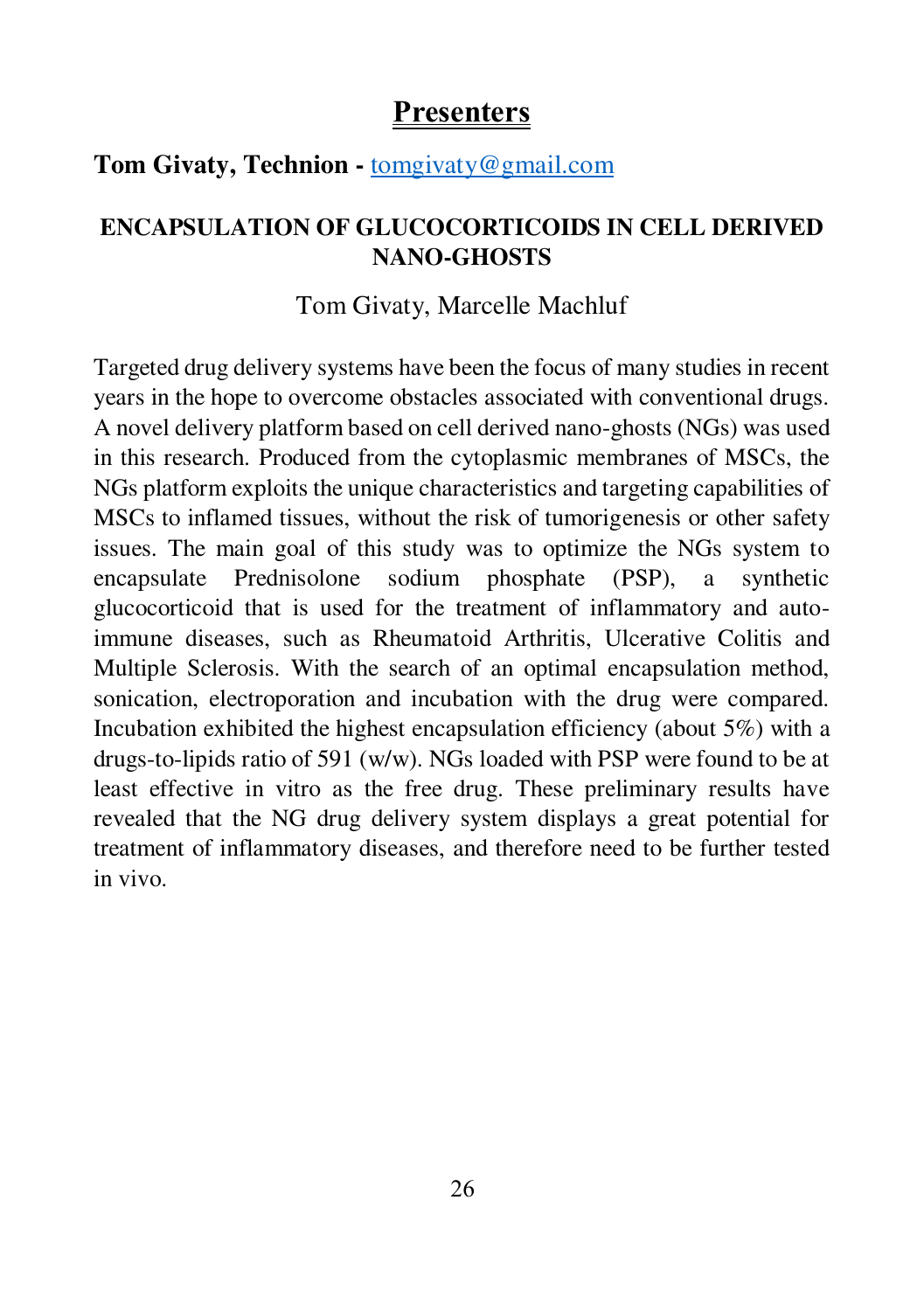#### **Tom Givaty, Technion -** [tomgivaty@gmail.com](mailto:tomgivaty@gmail.com)

#### **ENCAPSULATION OF GLUCOCORTICOIDS IN CELL DERIVED NANO-GHOSTS**

#### Tom Givaty, Marcelle Machluf

Targeted drug delivery systems have been the focus of many studies in recent years in the hope to overcome obstacles associated with conventional drugs. A novel delivery platform based on cell derived nano-ghosts (NGs) was used in this research. Produced from the cytoplasmic membranes of MSCs, the NGs platform exploits the unique characteristics and targeting capabilities of MSCs to inflamed tissues, without the risk of tumorigenesis or other safety issues. The main goal of this study was to optimize the NGs system to encapsulate Prednisolone sodium phosphate (PSP), a synthetic glucocorticoid that is used for the treatment of inflammatory and autoimmune diseases, such as Rheumatoid Arthritis, Ulcerative Colitis and Multiple Sclerosis. With the search of an optimal encapsulation method, sonication, electroporation and incubation with the drug were compared. Incubation exhibited the highest encapsulation efficiency (about 5%) with a drugs-to-lipids ratio of 591 (w/w). NGs loaded with PSP were found to be at least effective in vitro as the free drug. These preliminary results have revealed that the NG drug delivery system displays a great potential for treatment of inflammatory diseases, and therefore need to be further tested in vivo.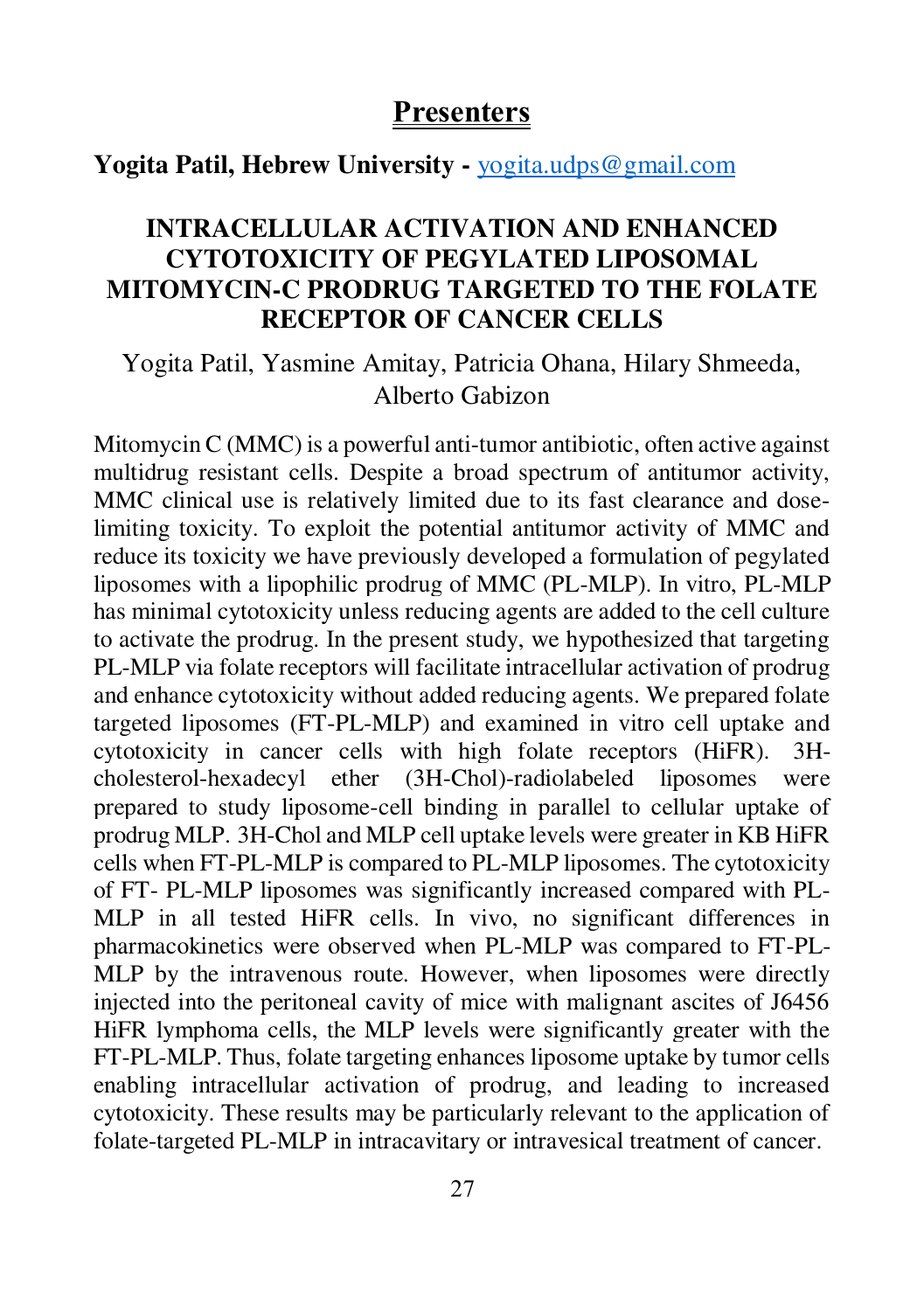**Yogita Patil, Hebrew University -** [yogita.udps@gmail.com](mailto:yogita.udps@gmail.com)

## **INTRACELLULAR ACTIVATION AND ENHANCED CYTOTOXICITY OF PEGYLATED LIPOSOMAL MITOMYCIN-C PRODRUG TARGETED TO THE FOLATE RECEPTOR OF CANCER CELLS**

### Yogita Patil, Yasmine Amitay, Patricia Ohana, Hilary Shmeeda, Alberto Gabizon

Mitomycin C (MMC) is a powerful anti-tumor antibiotic, often active against multidrug resistant cells. Despite a broad spectrum of antitumor activity, MMC clinical use is relatively limited due to its fast clearance and doselimiting toxicity. To exploit the potential antitumor activity of MMC and reduce its toxicity we have previously developed a formulation of pegylated liposomes with a lipophilic prodrug of MMC (PL-MLP). In vitro, PL-MLP has minimal cytotoxicity unless reducing agents are added to the cell culture to activate the prodrug. In the present study, we hypothesized that targeting PL-MLP via folate receptors will facilitate intracellular activation of prodrug and enhance cytotoxicity without added reducing agents. We prepared folate targeted liposomes (FT-PL-MLP) and examined in vitro cell uptake and cytotoxicity in cancer cells with high folate receptors (HiFR). 3Hcholesterol-hexadecyl ether (3H-Chol)-radiolabeled liposomes were prepared to study liposome-cell binding in parallel to cellular uptake of prodrug MLP. 3H-Chol and MLP cell uptake levels were greater in KB HiFR cells when FT-PL-MLP is compared to PL-MLP liposomes. The cytotoxicity of FT- PL-MLP liposomes was significantly increased compared with PL-MLP in all tested HiFR cells. In vivo, no significant differences in pharmacokinetics were observed when PL-MLP was compared to FT-PL-MLP by the intravenous route. However, when liposomes were directly injected into the peritoneal cavity of mice with malignant ascites of J6456 HiFR lymphoma cells, the MLP levels were significantly greater with the FT-PL-MLP. Thus, folate targeting enhances liposome uptake by tumor cells enabling intracellular activation of prodrug, and leading to increased cytotoxicity. These results may be particularly relevant to the application of folate-targeted PL-MLP in intracavitary or intravesical treatment of cancer.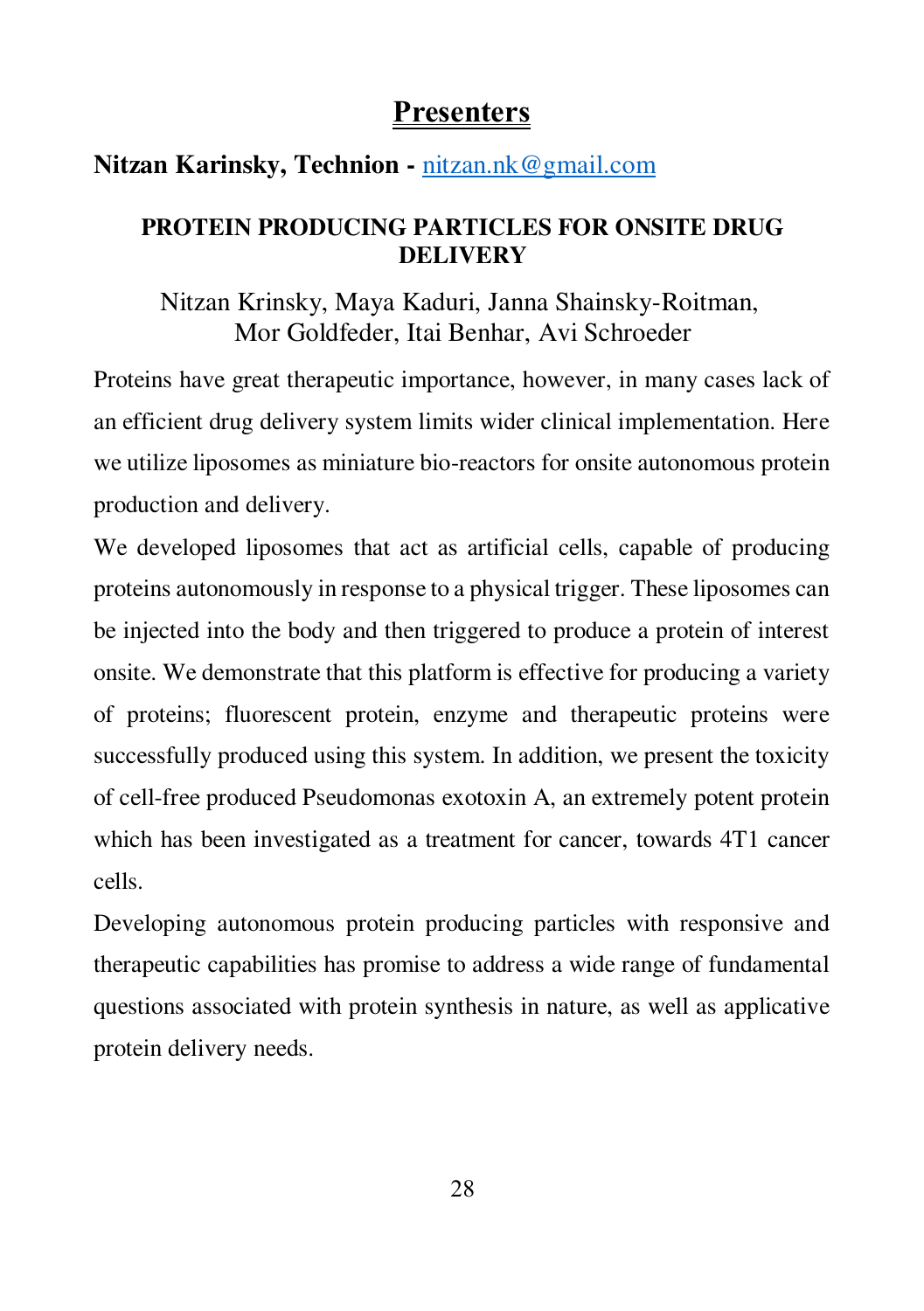### **Nitzan Karinsky, Technion -** [nitzan.nk@gmail.com](mailto:nitzan.nk@gmail.com)

#### **PROTEIN PRODUCING PARTICLES FOR ONSITE DRUG DELIVERY**

Nitzan Krinsky, Maya Kaduri, Janna Shainsky-Roitman, Mor Goldfeder, Itai Benhar, Avi Schroeder

Proteins have great therapeutic importance, however, in many cases lack of an efficient drug delivery system limits wider clinical implementation. Here we utilize liposomes as miniature bio-reactors for onsite autonomous protein production and delivery.

We developed liposomes that act as artificial cells, capable of producing proteins autonomously in response to a physical trigger. These liposomes can be injected into the body and then triggered to produce a protein of interest onsite. We demonstrate that this platform is effective for producing a variety of proteins; fluorescent protein, enzyme and therapeutic proteins were successfully produced using this system. In addition, we present the toxicity of cell-free produced Pseudomonas exotoxin A, an extremely potent protein which has been investigated as a treatment for cancer, towards 4T1 cancer cells.

Developing autonomous protein producing particles with responsive and therapeutic capabilities has promise to address a wide range of fundamental questions associated with protein synthesis in nature, as well as applicative protein delivery needs.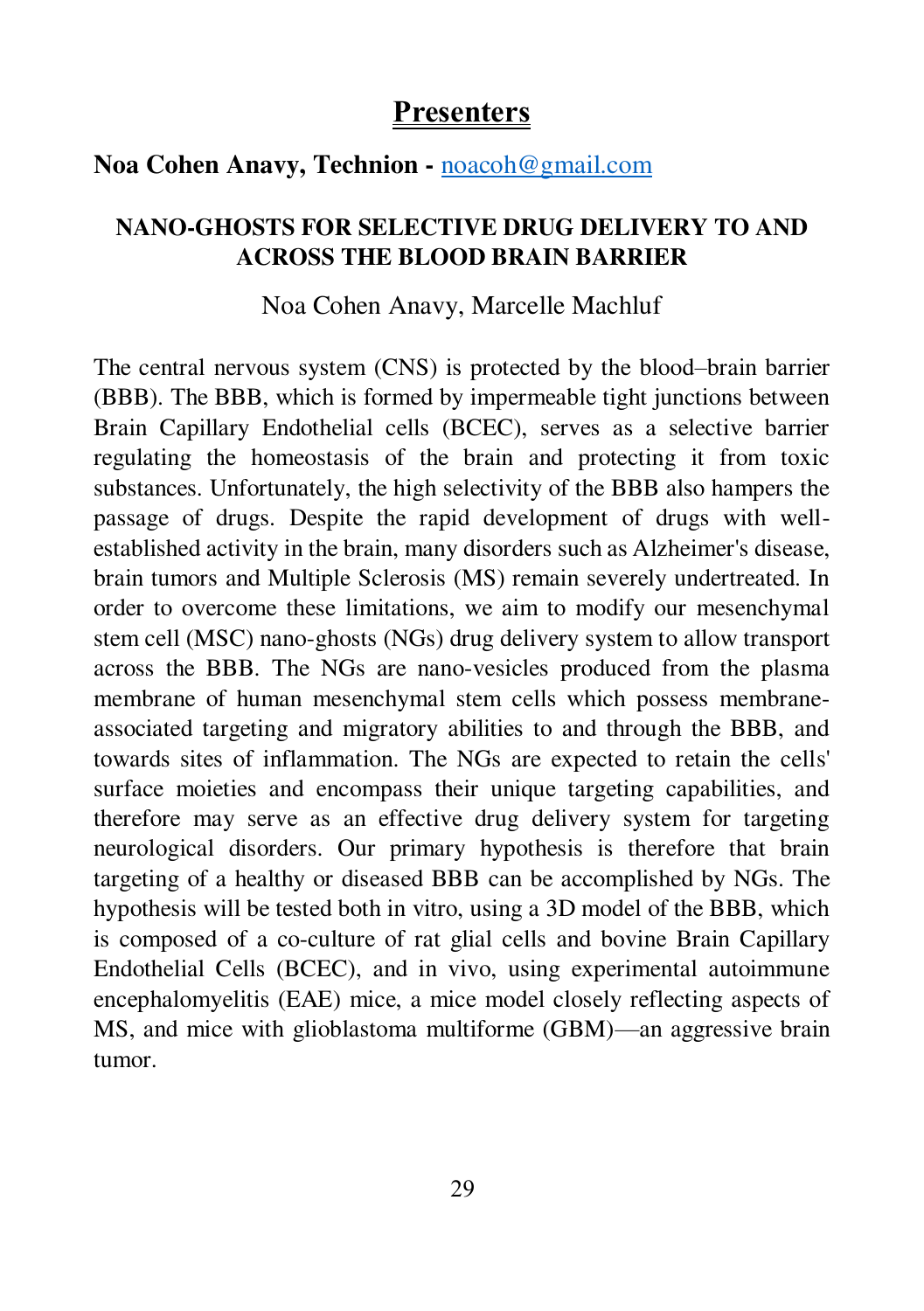#### **Noa Cohen Anavy, Technion -** [noacoh@gmail.com](mailto:noacoh@gmail.com)

#### **NANO-GHOSTS FOR SELECTIVE DRUG DELIVERY TO AND ACROSS THE BLOOD BRAIN BARRIER**

#### Noa Cohen Anavy, Marcelle Machluf

The central nervous system (CNS) is protected by the blood–brain barrier (BBB). The BBB, which is formed by impermeable tight junctions between Brain Capillary Endothelial cells (BCEC), serves as a selective barrier regulating the homeostasis of the brain and protecting it from toxic substances. Unfortunately, the high selectivity of the BBB also hampers the passage of drugs. Despite the rapid development of drugs with wellestablished activity in the brain, many disorders such as Alzheimer's disease, brain tumors and Multiple Sclerosis (MS) remain severely undertreated. In order to overcome these limitations, we aim to modify our mesenchymal stem cell (MSC) nano-ghosts (NGs) drug delivery system to allow transport across the BBB. The NGs are nano-vesicles produced from the plasma membrane of human mesenchymal stem cells which possess membraneassociated targeting and migratory abilities to and through the BBB, and towards sites of inflammation. The NGs are expected to retain the cells' surface moieties and encompass their unique targeting capabilities, and therefore may serve as an effective drug delivery system for targeting neurological disorders. Our primary hypothesis is therefore that brain targeting of a healthy or diseased BBB can be accomplished by NGs. The hypothesis will be tested both in vitro, using a 3D model of the BBB, which is composed of a co-culture of rat glial cells and bovine Brain Capillary Endothelial Cells (BCEC), and in vivo, using experimental autoimmune encephalomyelitis (EAE) mice, a mice model closely reflecting aspects of MS, and mice with glioblastoma multiforme (GBM)—an aggressive brain tumor.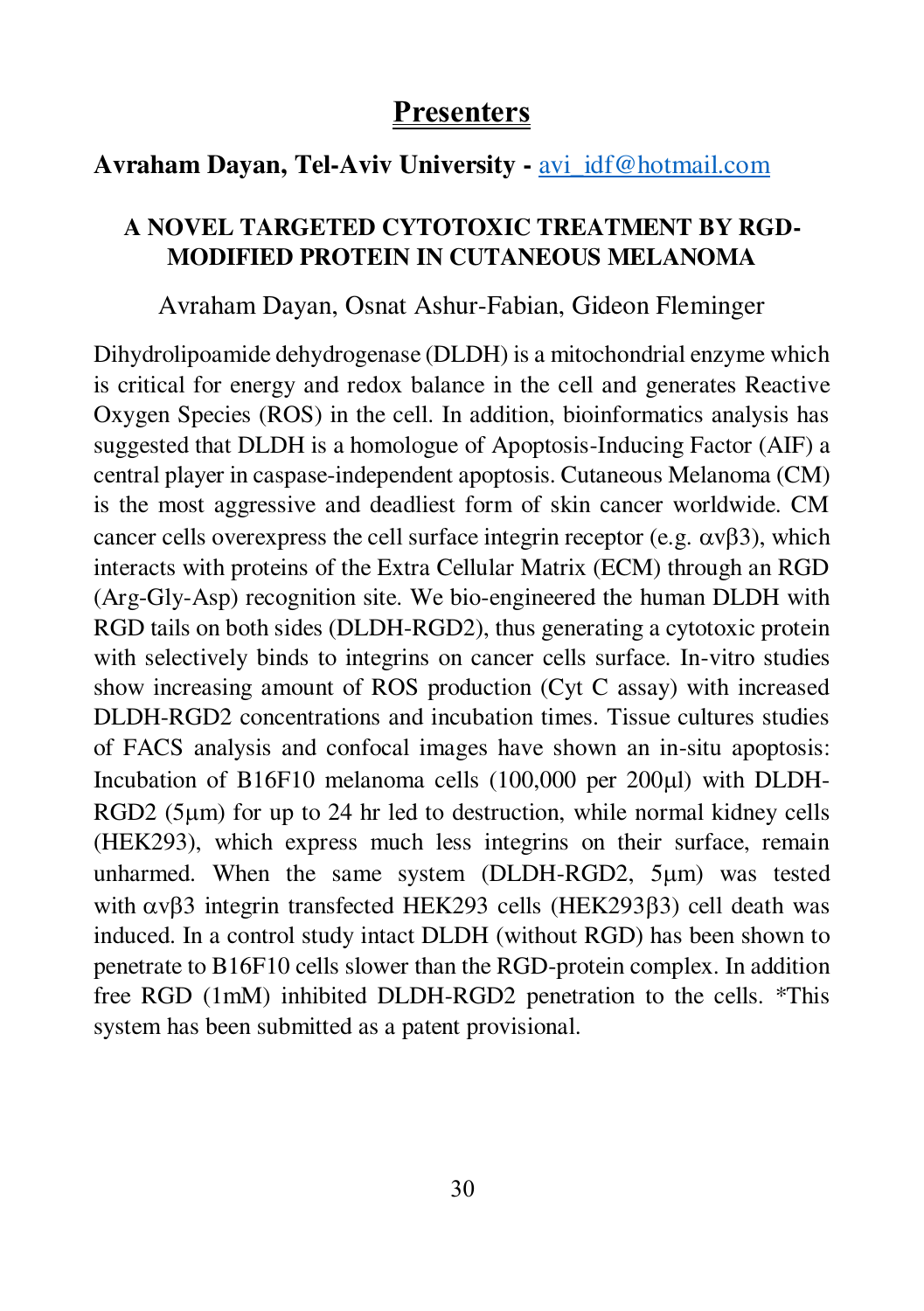## Avraham Davan, Tel-Aviv University - [avi\\_idf@hotmail.com](mailto:avi_idf@hotmail.com)

### **A NOVEL TARGETED CYTOTOXIC TREATMENT BY RGD-MODIFIED PROTEIN IN CUTANEOUS MELANOMA**

#### Avraham Dayan, Osnat Ashur-Fabian, Gideon Fleminger

Dihydrolipoamide dehydrogenase (DLDH) is a mitochondrial enzyme which is critical for energy and redox balance in the cell and generates Reactive Oxygen Species (ROS) in the cell. In addition, bioinformatics analysis has suggested that DLDH is a homologue of Apoptosis-Inducing Factor (AIF) a central player in caspase-independent apoptosis. Cutaneous Melanoma (CM) is the most aggressive and deadliest form of skin cancer worldwide. CM cancer cells overexpress the cell surface integrin receptor (e.g.  $\alpha v\beta 3$ ), which interacts with proteins of the Extra Cellular Matrix (ECM) through an RGD (Arg-Gly-Asp) recognition site. We bio-engineered the human DLDH with RGD tails on both sides (DLDH-RGD2), thus generating a cytotoxic protein with selectively binds to integrins on cancer cells surface. In-vitro studies show increasing amount of ROS production (Cyt C assay) with increased DLDH-RGD2 concentrations and incubation times. Tissue cultures studies of FACS analysis and confocal images have shown an in-situ apoptosis: Incubation of B16F10 melanoma cells  $(100,000$  per  $200 \mu$ l) with DLDH- $RGD2$  (5 $\mu$ m) for up to 24 hr led to destruction, while normal kidney cells (HEK293), which express much less integrins on their surface, remain unharmed. When the same system (DLDH-RGD2, 5um) was tested with  $\alpha \nu \beta$ 3 integrin transfected HEK293 cells (HEK293 $\beta$ 3) cell death was induced. In a control study intact DLDH (without RGD) has been shown to penetrate to B16F10 cells slower than the RGD-protein complex. In addition free RGD (1mM) inhibited DLDH-RGD2 penetration to the cells. \*This system has been submitted as a patent provisional.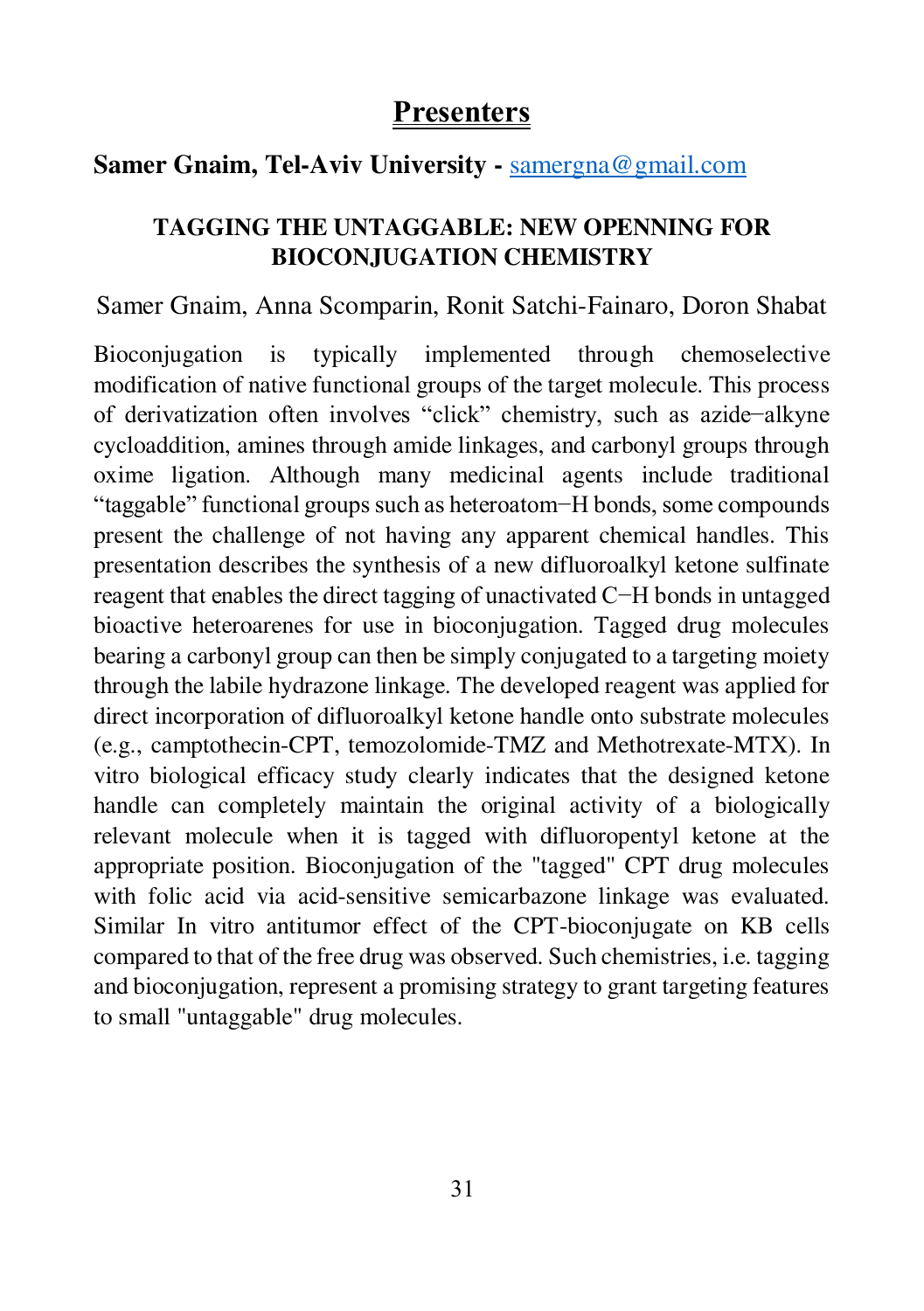### **Samer Gnaim, Tel-Aviv University -** [samergna@gmail.com](mailto:samergna@gmail.com)

## **TAGGING THE UNTAGGABLE: NEW OPENNING FOR BIOCONJUGATION CHEMISTRY**

#### Samer Gnaim, Anna Scomparin, Ronit Satchi-Fainaro, Doron Shabat

Bioconjugation is typically implemented through chemoselective modification of native functional groups of the target molecule. This process of derivatization often involves "click" chemistry, such as azide−alkyne cycloaddition, amines through amide linkages, and carbonyl groups through oxime ligation. Although many medicinal agents include traditional "taggable" functional groups such as heteroatom−H bonds, some compounds present the challenge of not having any apparent chemical handles. This presentation describes the synthesis of a new difluoroalkyl ketone sulfinate reagent that enables the direct tagging of unactivated C−H bonds in untagged bioactive heteroarenes for use in bioconjugation. Tagged drug molecules bearing a carbonyl group can then be simply conjugated to a targeting moiety through the labile hydrazone linkage. The developed reagent was applied for direct incorporation of difluoroalkyl ketone handle onto substrate molecules (e.g., camptothecin-CPT, temozolomide-TMZ and Methotrexate-MTX). In vitro biological efficacy study clearly indicates that the designed ketone handle can completely maintain the original activity of a biologically relevant molecule when it is tagged with difluoropentyl ketone at the appropriate position. Bioconjugation of the "tagged" CPT drug molecules with folic acid via acid-sensitive semicarbazone linkage was evaluated. Similar In vitro antitumor effect of the CPT-bioconjugate on KB cells compared to that of the free drug was observed. Such chemistries, i.e. tagging and bioconjugation, represent a promising strategy to grant targeting features to small "untaggable" drug molecules.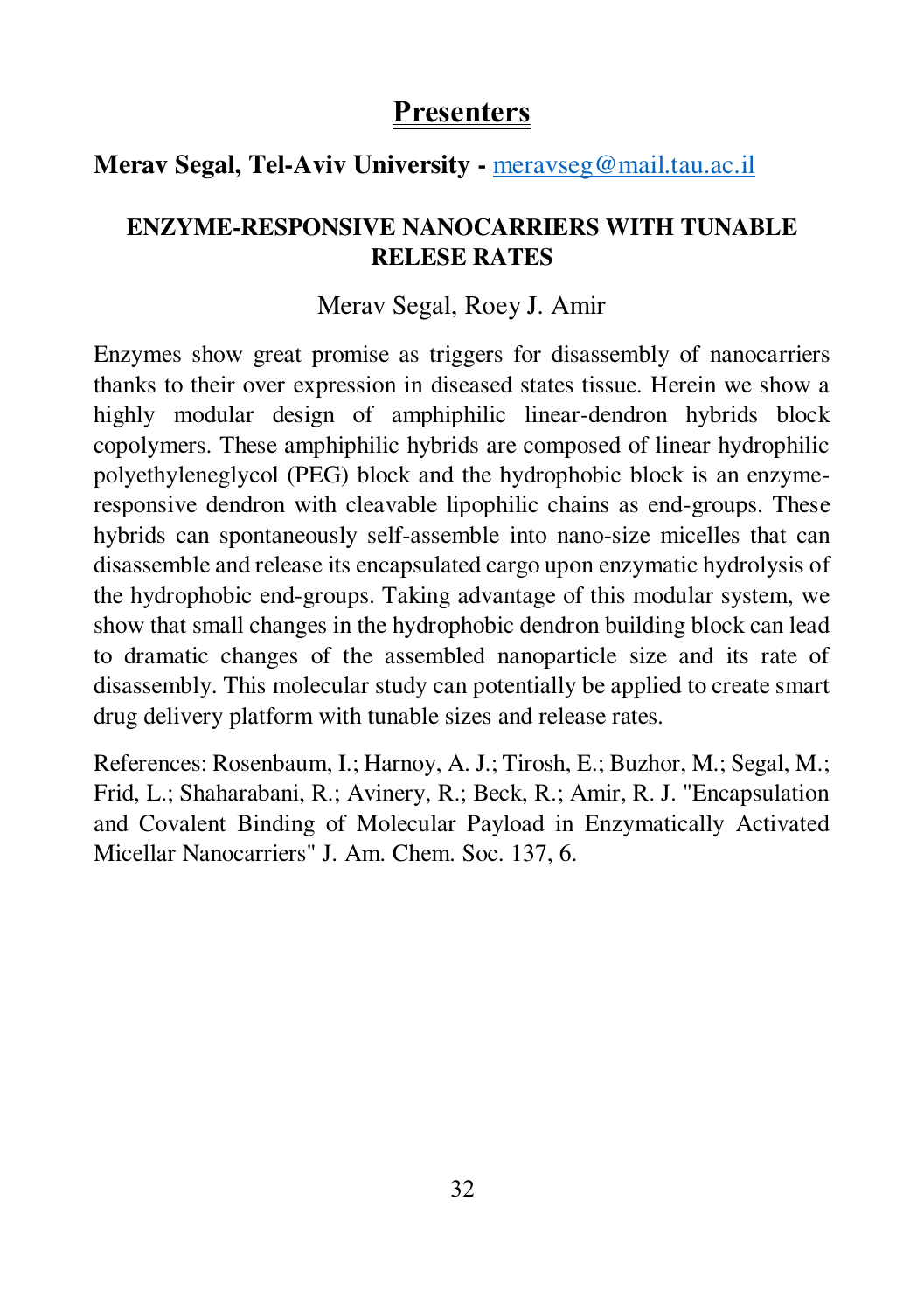### **Merav Segal, Tel-Aviv University -** [meravseg@mail.tau.ac.il](mailto:meravseg@mail.tau.ac.il)

### **ENZYME-RESPONSIVE NANOCARRIERS WITH TUNABLE RELESE RATES**

#### Merav Segal, Roey J. Amir

Enzymes show great promise as triggers for disassembly of nanocarriers thanks to their over expression in diseased states tissue. Herein we show a highly modular design of amphiphilic linear-dendron hybrids block copolymers. These amphiphilic hybrids are composed of linear hydrophilic polyethyleneglycol (PEG) block and the hydrophobic block is an enzymeresponsive dendron with cleavable lipophilic chains as end-groups. These hybrids can spontaneously self-assemble into nano-size micelles that can disassemble and release its encapsulated cargo upon enzymatic hydrolysis of the hydrophobic end-groups. Taking advantage of this modular system, we show that small changes in the hydrophobic dendron building block can lead to dramatic changes of the assembled nanoparticle size and its rate of disassembly. This molecular study can potentially be applied to create smart drug delivery platform with tunable sizes and release rates.

References: Rosenbaum, I.; Harnoy, A. J.; Tirosh, E.; Buzhor, M.; Segal, M.; Frid, L.; Shaharabani, R.; Avinery, R.; Beck, R.; Amir, R. J. "Encapsulation and Covalent Binding of Molecular Payload in Enzymatically Activated Micellar Nanocarriers" J. Am. Chem. Soc. 137, 6.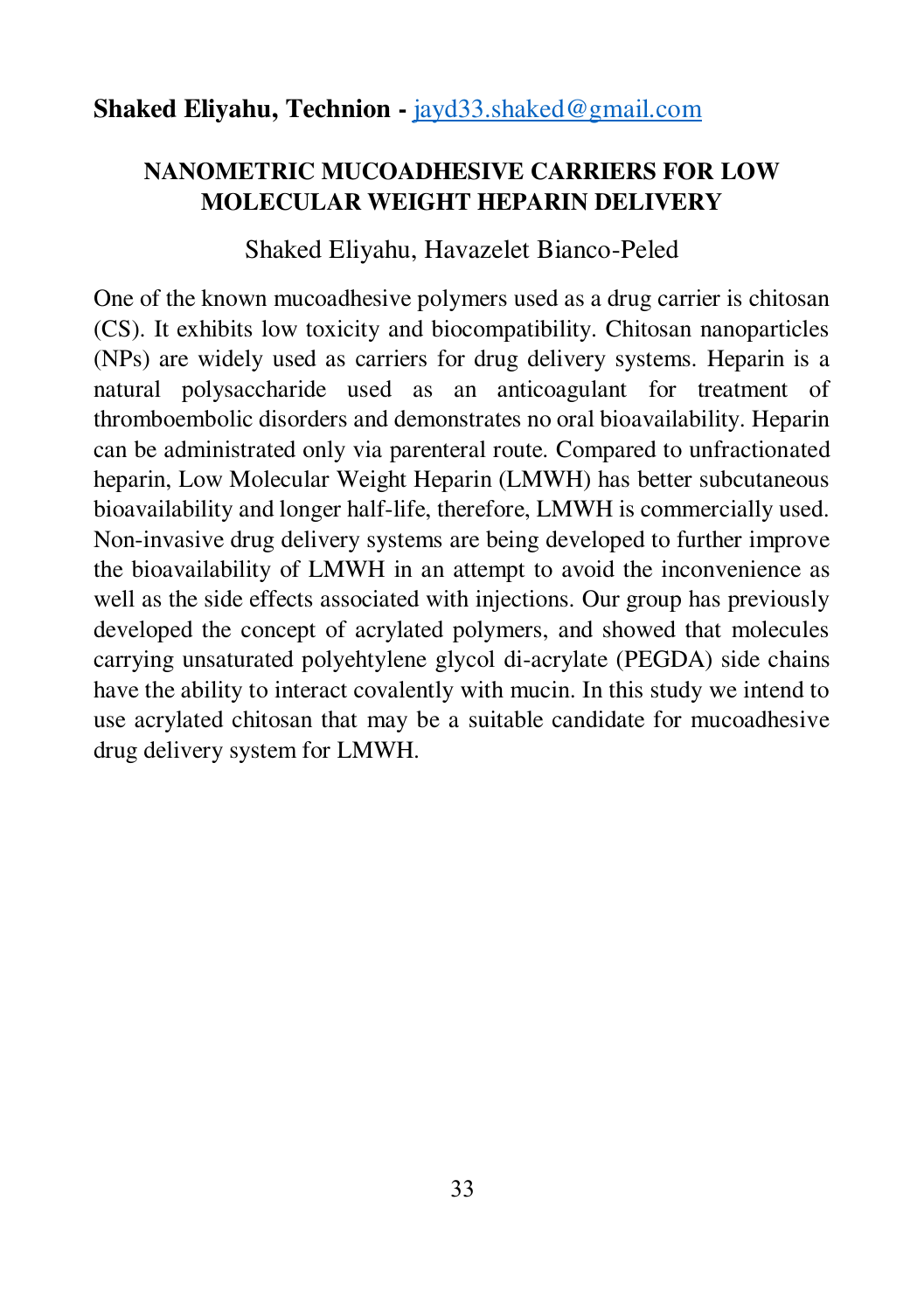#### **Shaked Eliyahu, Technion -** [jayd33.shaked@gmail.com](mailto:jayd33.shaked@gmail.com)

#### **NANOMETRIC MUCOADHESIVE CARRIERS FOR LOW MOLECULAR WEIGHT HEPARIN DELIVERY**

#### Shaked Eliyahu, Havazelet Bianco-Peled

One of the known mucoadhesive polymers used as a drug carrier is chitosan (CS). It exhibits low toxicity and biocompatibility. Chitosan nanoparticles (NPs) are widely used as carriers for drug delivery systems. Heparin is a natural polysaccharide used as an anticoagulant for treatment of thromboembolic disorders and demonstrates no oral bioavailability. Heparin can be administrated only via parenteral route. Compared to unfractionated heparin, Low Molecular Weight Heparin (LMWH) has better subcutaneous bioavailability and longer half-life, therefore, LMWH is commercially used. Non-invasive drug delivery systems are being developed to further improve the bioavailability of LMWH in an attempt to avoid the inconvenience as well as the side effects associated with injections. Our group has previously developed the concept of acrylated polymers, and showed that molecules carrying unsaturated polyehtylene glycol di-acrylate (PEGDA) side chains have the ability to interact covalently with mucin. In this study we intend to use acrylated chitosan that may be a suitable candidate for mucoadhesive drug delivery system for LMWH.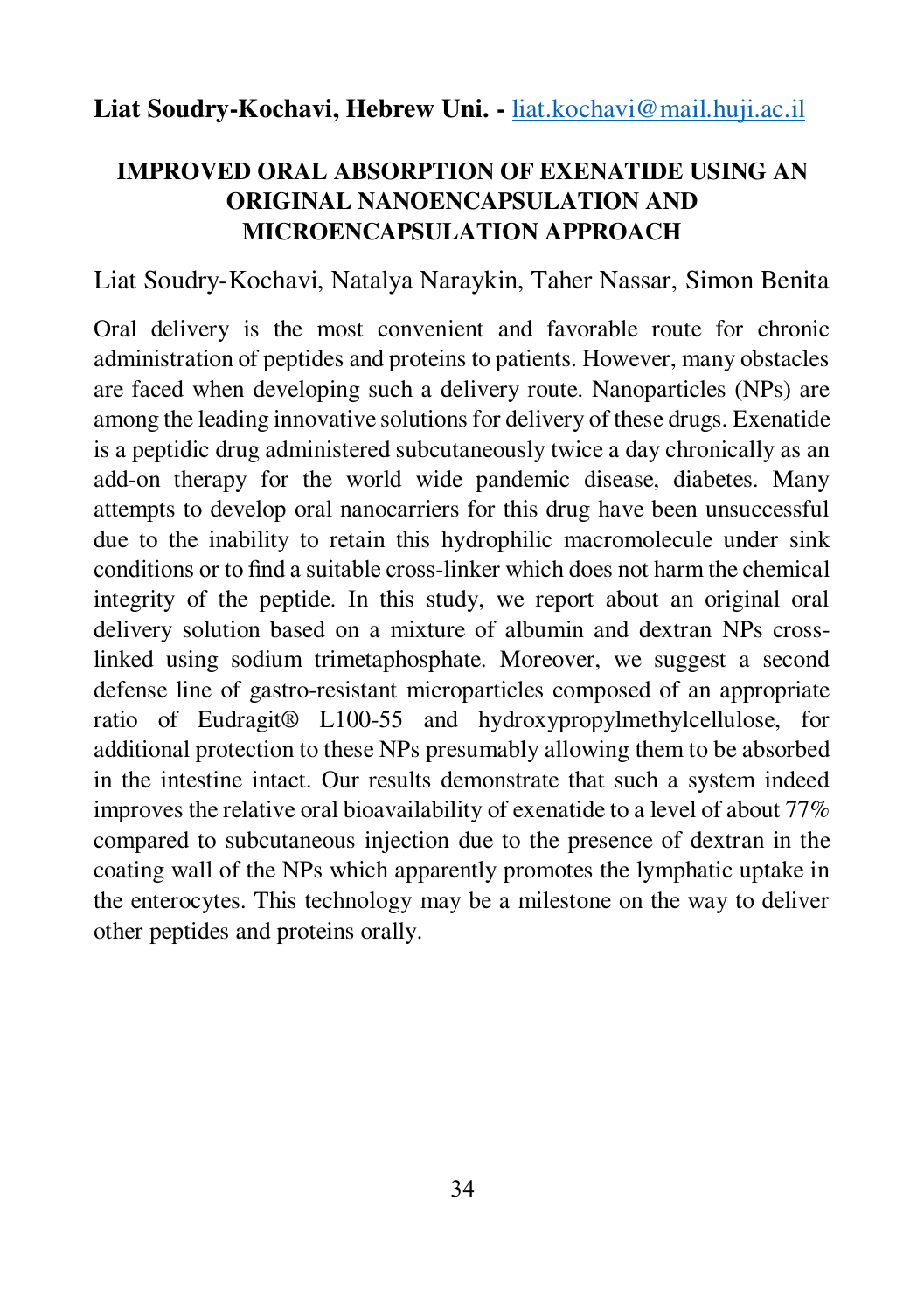### **Liat Soudry-Kochavi, Hebrew Uni. -** [liat.kochavi@mail.huji.ac.il](mailto:liat.kochavi@mail.huji.ac.il)

### **IMPROVED ORAL ABSORPTION OF EXENATIDE USING AN ORIGINAL NANOENCAPSULATION AND MICROENCAPSULATION APPROACH**

#### Liat Soudry-Kochavi, Natalya Naraykin, Taher Nassar, Simon Benita

Oral delivery is the most convenient and favorable route for chronic administration of peptides and proteins to patients. However, many obstacles are faced when developing such a delivery route. Nanoparticles (NPs) are among the leading innovative solutions for delivery of these drugs. Exenatide is a peptidic drug administered subcutaneously twice a day chronically as an add-on therapy for the world wide pandemic disease, diabetes. Many attempts to develop oral nanocarriers for this drug have been unsuccessful due to the inability to retain this hydrophilic macromolecule under sink conditions or to find a suitable cross-linker which does not harm the chemical integrity of the peptide. In this study, we report about an original oral delivery solution based on a mixture of albumin and dextran NPs crosslinked using sodium trimetaphosphate. Moreover, we suggest a second defense line of gastro-resistant microparticles composed of an appropriate ratio of Eudragit® L100-55 and hydroxypropylmethylcellulose, for additional protection to these NPs presumably allowing them to be absorbed in the intestine intact. Our results demonstrate that such a system indeed improves the relative oral bioavailability of exenatide to a level of about 77% compared to subcutaneous injection due to the presence of dextran in the coating wall of the NPs which apparently promotes the lymphatic uptake in the enterocytes. This technology may be a milestone on the way to deliver other peptides and proteins orally.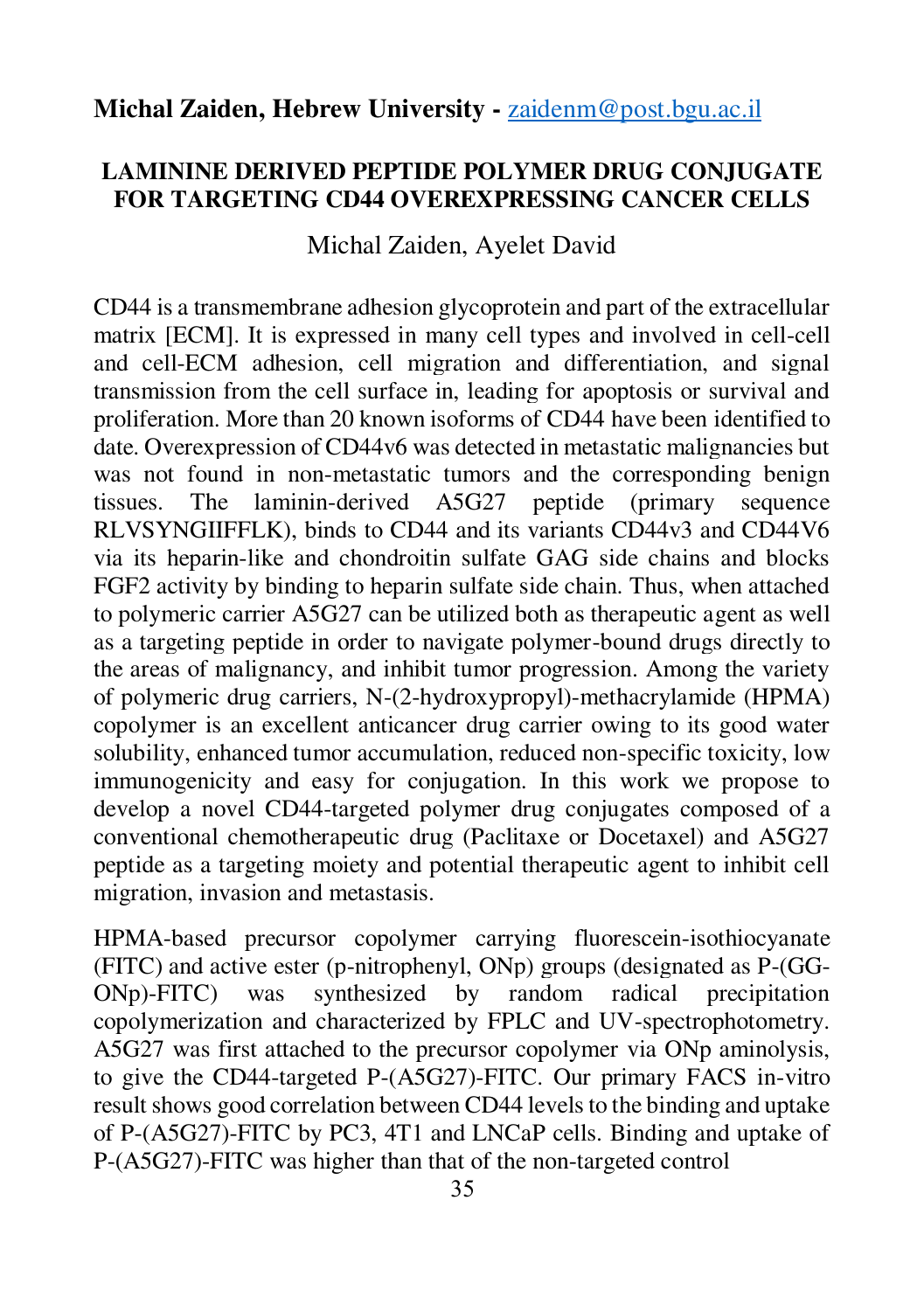#### **Michal Zaiden, Hebrew University -** [zaidenm@post.bgu.ac.il](mailto:zaidenm@post.bgu.ac.il)

#### **LAMININE DERIVED PEPTIDE POLYMER DRUG CONJUGATE FOR TARGETING CD44 OVEREXPRESSING CANCER CELLS**

#### Michal Zaiden, Ayelet David

CD44 is a transmembrane adhesion glycoprotein and part of the extracellular matrix [ECM]. It is expressed in many cell types and involved in cell-cell and cell-ECM adhesion, cell migration and differentiation, and signal transmission from the cell surface in, leading for apoptosis or survival and proliferation. More than 20 known isoforms of CD44 have been identified to date. Overexpression of CD44v6 was detected in metastatic malignancies but was not found in non-metastatic tumors and the corresponding benign tissues. The laminin-derived A5G27 peptide (primary sequence RLVSYNGIIFFLK), binds to CD44 and its variants CD44v3 and CD44V6 via its heparin-like and chondroitin sulfate GAG side chains and blocks FGF2 activity by binding to heparin sulfate side chain. Thus, when attached to polymeric carrier A5G27 can be utilized both as therapeutic agent as well as a targeting peptide in order to navigate polymer-bound drugs directly to the areas of malignancy, and inhibit tumor progression. Among the variety of polymeric drug carriers, N-(2-hydroxypropyl)-methacrylamide (HPMA) copolymer is an excellent anticancer drug carrier owing to its good water solubility, enhanced tumor accumulation, reduced non-specific toxicity, low immunogenicity and easy for conjugation. In this work we propose to develop a novel CD44-targeted polymer drug conjugates composed of a conventional chemotherapeutic drug (Paclitaxe or Docetaxel) and A5G27 peptide as a targeting moiety and potential therapeutic agent to inhibit cell migration, invasion and metastasis.

HPMA-based precursor copolymer carrying fluorescein-isothiocyanate (FITC) and active ester (p-nitrophenyl, ONp) groups (designated as P-(GG-<br>ONp)-FITC) was synthesized by random radical precipitation ONp)-FITC) was synthesized by random radical precipitation copolymerization and characterized by FPLC and UV-spectrophotometry. A5G27 was first attached to the precursor copolymer via ONp aminolysis, to give the CD44-targeted P-(A5G27)-FITC. Our primary FACS in-vitro result shows good correlation between CD44 levels to the binding and uptake of P-(A5G27)-FITC by PC3, 4T1 and LNCaP cells. Binding and uptake of P-(A5G27)-FITC was higher than that of the non-targeted control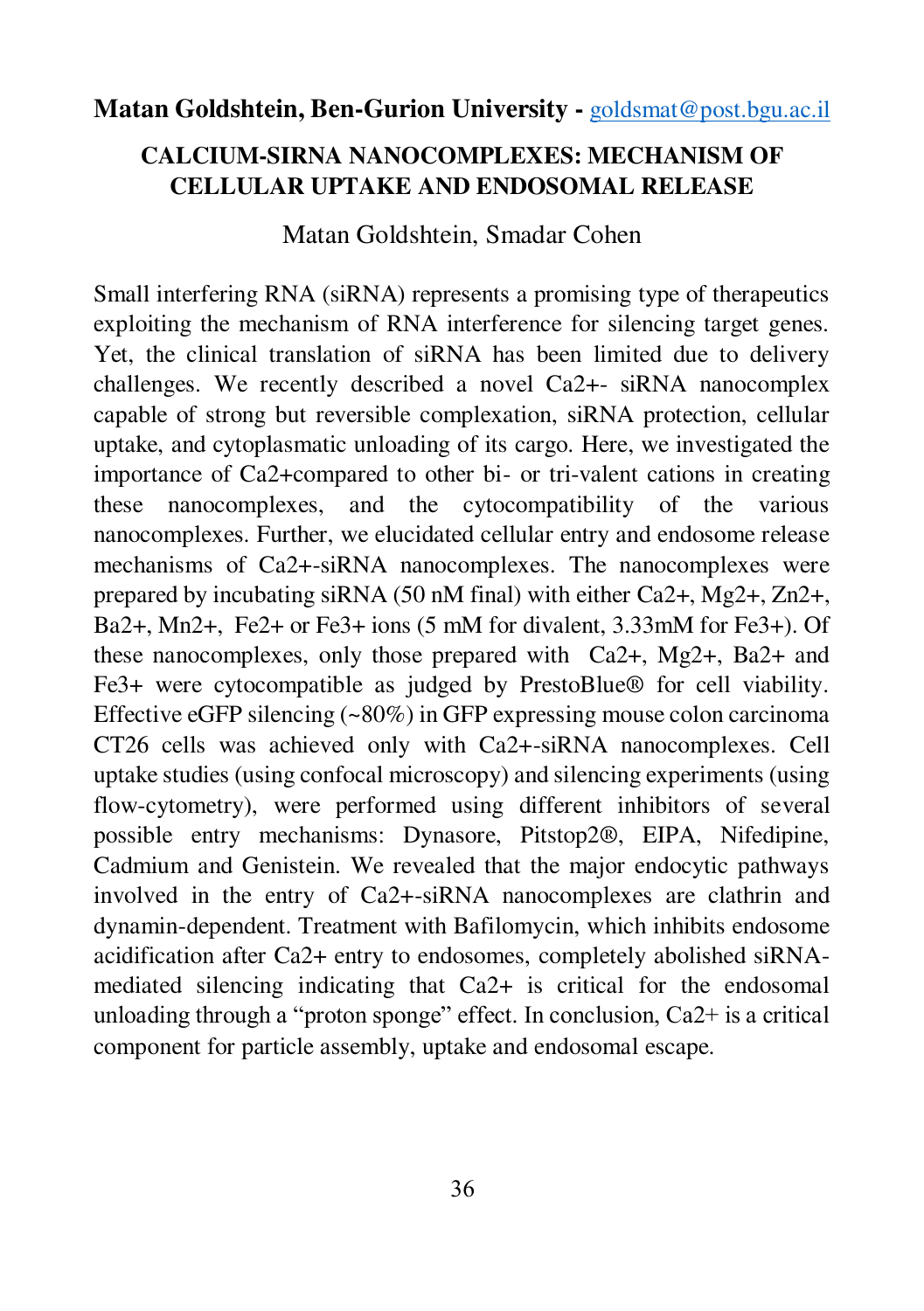#### **Matan Goldshtein, Ben-Gurion University -** [goldsmat@post.bgu.ac.il](mailto:goldsmat@post.bgu.ac.il)

### **CALCIUM-SIRNA NANOCOMPLEXES: MECHANISM OF CELLULAR UPTAKE AND ENDOSOMAL RELEASE**

#### Matan Goldshtein, Smadar Cohen

Small interfering RNA (siRNA) represents a promising type of therapeutics exploiting the mechanism of RNA interference for silencing target genes. Yet, the clinical translation of siRNA has been limited due to delivery challenges. We recently described a novel Ca2+- siRNA nanocomplex capable of strong but reversible complexation, siRNA protection, cellular uptake, and cytoplasmatic unloading of its cargo. Here, we investigated the importance of Ca2+compared to other bi- or tri-valent cations in creating these nanocomplexes, and the cytocompatibility of the various nanocomplexes. Further, we elucidated cellular entry and endosome release mechanisms of Ca2+-siRNA nanocomplexes. The nanocomplexes were prepared by incubating siRNA (50 nM final) with either Ca2+, Mg2+, Zn2+, Ba2+, Mn2+, Fe2+ or Fe3+ ions (5 mM for divalent, 3.33mM for Fe3+). Of these nanocomplexes, only those prepared with Ca2+, Mg2+, Ba2+ and Fe3+ were cytocompatible as judged by PrestoBlue® for cell viability. Effective eGFP silencing (~80%) in GFP expressing mouse colon carcinoma CT26 cells was achieved only with Ca2+-siRNA nanocomplexes. Cell uptake studies (using confocal microscopy) and silencing experiments (using flow-cytometry), were performed using different inhibitors of several possible entry mechanisms: Dynasore, Pitstop2®, EIPA, Nifedipine, Cadmium and Genistein. We revealed that the major endocytic pathways involved in the entry of Ca2+-siRNA nanocomplexes are clathrin and dynamin-dependent. Treatment with Bafilomycin, which inhibits endosome acidification after Ca2+ entry to endosomes, completely abolished siRNAmediated silencing indicating that Ca2+ is critical for the endosomal unloading through a "proton sponge" effect. In conclusion, Ca2+ is a critical component for particle assembly, uptake and endosomal escape.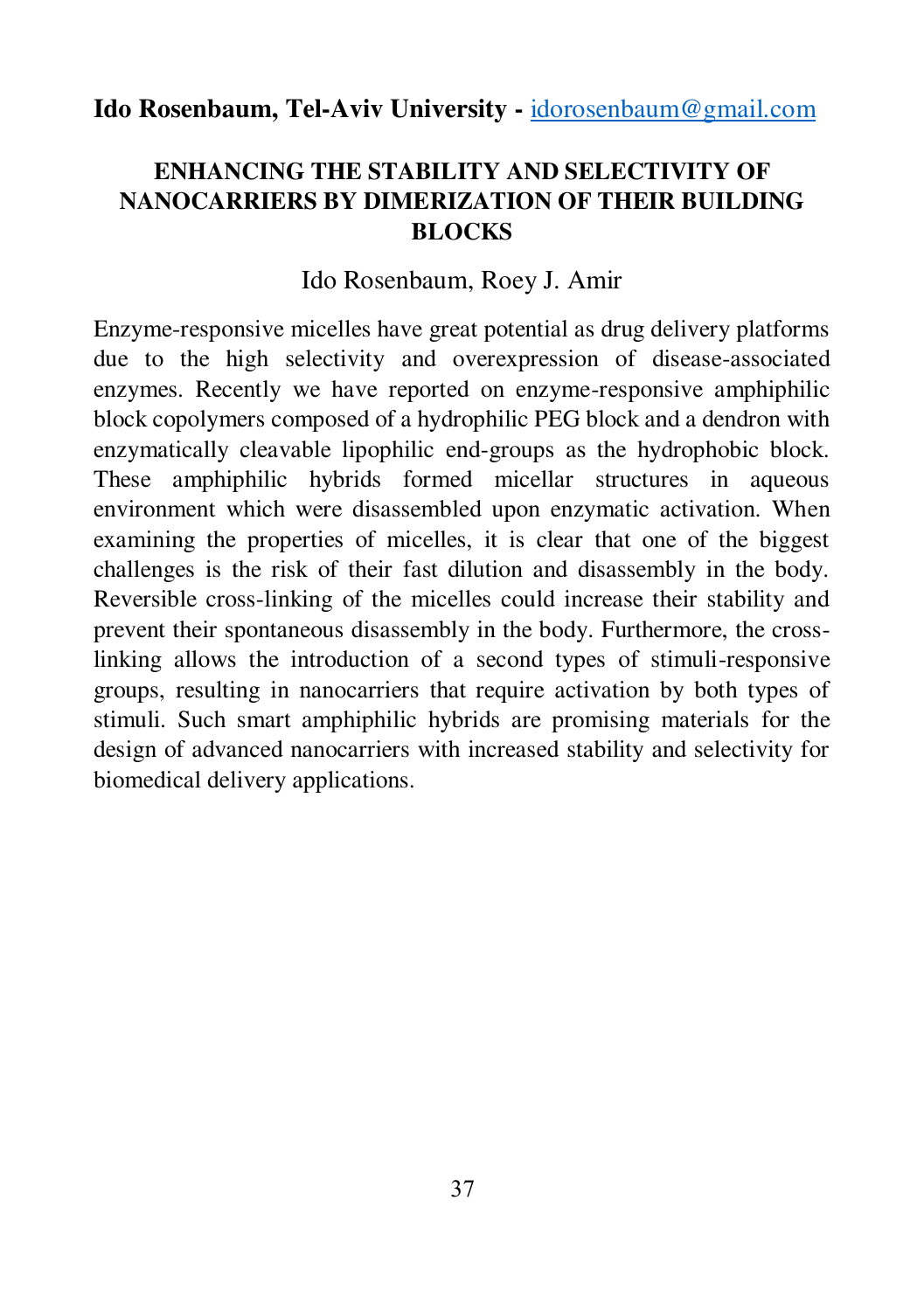#### **Ido Rosenbaum, Tel-Aviv University -** [idorosenbaum@gmail.com](mailto:idorosenbaum@gmail.com)

#### **ENHANCING THE STABILITY AND SELECTIVITY OF NANOCARRIERS BY DIMERIZATION OF THEIR BUILDING BLOCKS**

#### Ido Rosenbaum, Roey J. Amir

Enzyme-responsive micelles have great potential as drug delivery platforms due to the high selectivity and overexpression of disease-associated enzymes. Recently we have reported on enzyme-responsive amphiphilic block copolymers composed of a hydrophilic PEG block and a dendron with enzymatically cleavable lipophilic end-groups as the hydrophobic block. These amphiphilic hybrids formed micellar structures in aqueous environment which were disassembled upon enzymatic activation. When examining the properties of micelles, it is clear that one of the biggest challenges is the risk of their fast dilution and disassembly in the body. Reversible cross-linking of the micelles could increase their stability and prevent their spontaneous disassembly in the body. Furthermore, the crosslinking allows the introduction of a second types of stimuli-responsive groups, resulting in nanocarriers that require activation by both types of stimuli. Such smart amphiphilic hybrids are promising materials for the design of advanced nanocarriers with increased stability and selectivity for biomedical delivery applications.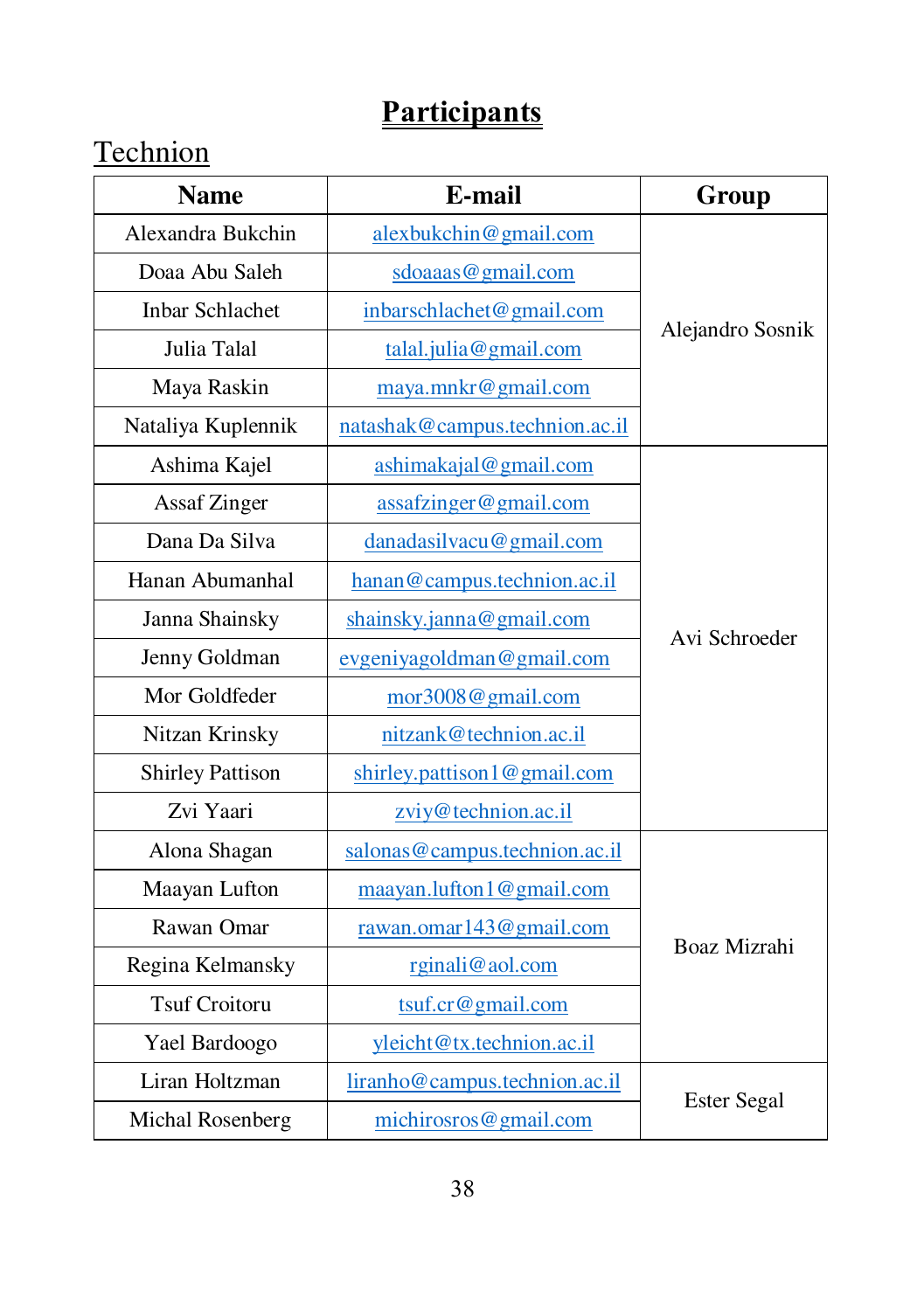## **Technion**

| <b>Name</b>             | E-mail                         |                    |  |
|-------------------------|--------------------------------|--------------------|--|
| Alexandra Bukchin       | alexbukchin@gmail.com          |                    |  |
| Doaa Abu Saleh          | sdoaaas@gmail.com              |                    |  |
| Inbar Schlachet         | inbarschlachet@gmail.com       |                    |  |
| Julia Talal             | talal.julia@gmail.com          | Alejandro Sosnik   |  |
| Maya Raskin             | maya.mnkr@gmail.com            |                    |  |
| Nataliya Kuplennik      | natashak@campus.technion.ac.il |                    |  |
| Ashima Kajel            | ashimakajal@gmail.com          |                    |  |
| <b>Assaf Zinger</b>     | assafzinger@gmail.com          |                    |  |
| Dana Da Silva           | danadasilvacu@gmail.com        |                    |  |
| Hanan Abumanhal         | hanan@campus.technion.ac.il    |                    |  |
| Janna Shainsky          | shainsky.janna@gmail.com       | Avi Schroeder      |  |
| Jenny Goldman           | evgeniyagoldman@gmail.com      |                    |  |
| Mor Goldfeder           | mor3008@gmail.com              |                    |  |
| Nitzan Krinsky          | nitzank@technion.ac.il         |                    |  |
| <b>Shirley Pattison</b> | shirley.pattison1@gmail.com    |                    |  |
| Zvi Yaari               | zviy@technion.ac.il            |                    |  |
| Alona Shagan            | salonas@campus.technion.ac.il  |                    |  |
| Maayan Lufton           | maayan.lufton1@gmail.com       |                    |  |
| Rawan Omar              | rawan.omar143@gmail.com        | Boaz Mizrahi       |  |
| Regina Kelmansky        | rginali@aol.com                |                    |  |
| <b>Tsuf Croitoru</b>    | $t$ suf.cr@gmail.com           |                    |  |
| Yael Bardoogo           | yleicht@tx.technion.ac.il      |                    |  |
| Liran Holtzman          | liranho@campus.technion.ac.il  |                    |  |
| Michal Rosenberg        | michirosros@gmail.com          | <b>Ester Segal</b> |  |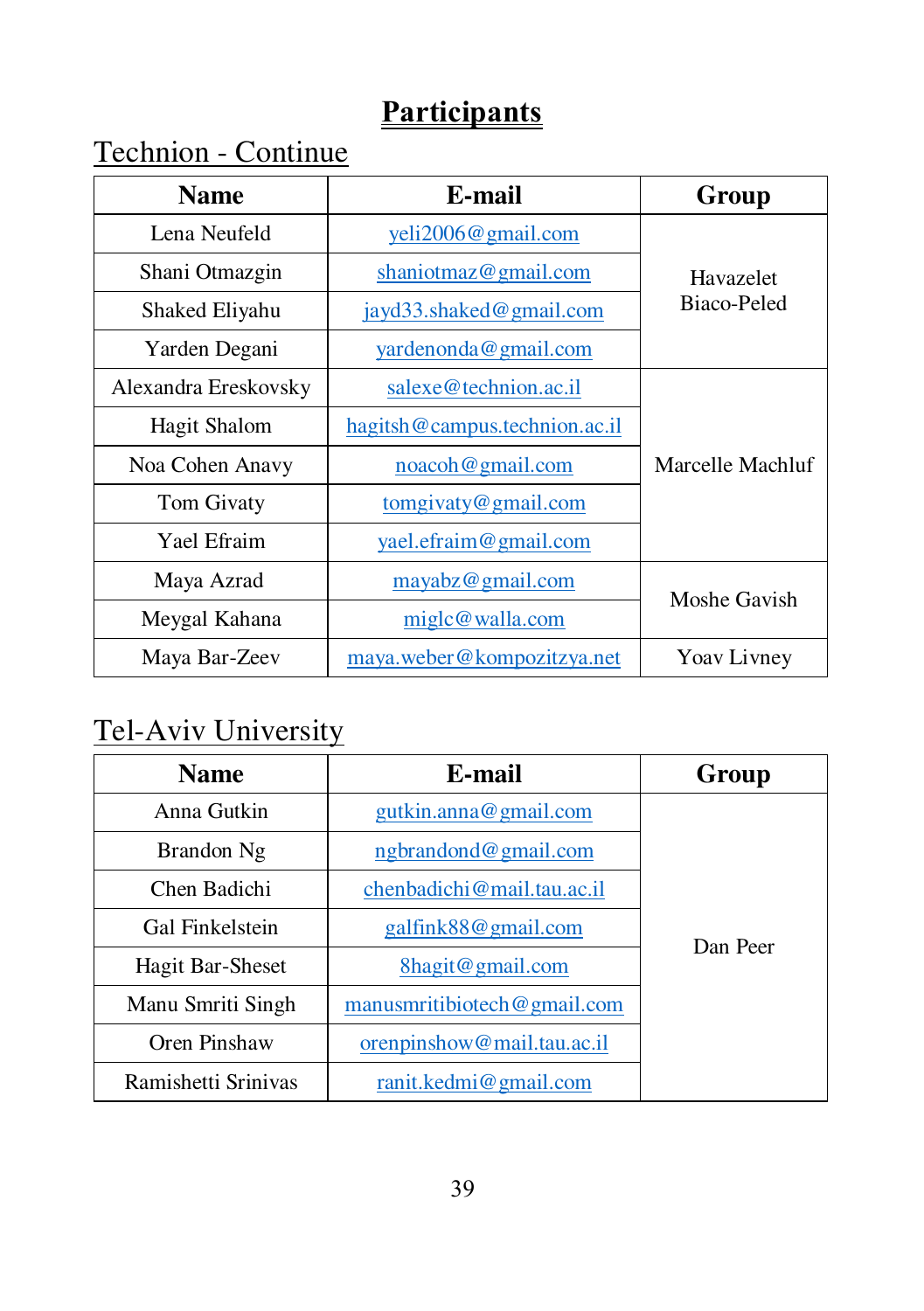Technion - Continue

| <b>Name</b>                    | E-mail                        | Group            |  |
|--------------------------------|-------------------------------|------------------|--|
| Lena Neufeld                   | yeli2006@gmail.com            |                  |  |
| Shani Otmazgin                 | shaniotmaz@gmail.com          |                  |  |
| Shaked Eliyahu                 | jayd33.shaked@gmail.com       | Biaco-Peled      |  |
| Yarden Degani                  | yardenonda@gmail.com          |                  |  |
| Alexandra Ereskovsky           | salexe@technion.ac.il         |                  |  |
| Hagit Shalom                   | hagitsh@campus.technion.ac.il |                  |  |
| Noa Cohen Anavy                | noacoh@gmail.com              | Marcelle Machluf |  |
| Tom Givaty                     | $t$ omgivaty@gmail.com        |                  |  |
| Yael Efraim                    | yael.efraim@gmail.com         |                  |  |
| Maya Azrad<br>mayabz@gmail.com |                               | Moshe Gavish     |  |
| Meygal Kahana                  | miglc@walla.com               |                  |  |
| Maya Bar-Zeev                  | maya.weber@kompozitzya.net    | Yoav Livney      |  |

## Tel-Aviv University

| <b>Name</b>         | E-mail                       | Group    |
|---------------------|------------------------------|----------|
| Anna Gutkin         | gutkin. anna@gmail.com       |          |
| Brandon Ng          | ngbrandond@gmail.com         |          |
| Chen Badichi        | chenbadichi@mail.tau.ac.il   |          |
| Gal Finkelstein     | galfink88@gmail.com          | Dan Peer |
| Hagit Bar-Sheset    | 8hagit@gmail.com             |          |
| Manu Smriti Singh   | manus mitibiotech @gmail.com |          |
| Oren Pinshaw        | orenpinshow@mail.tau.ac.il   |          |
| Ramishetti Srinivas | ranit.kedmi@gmail.com        |          |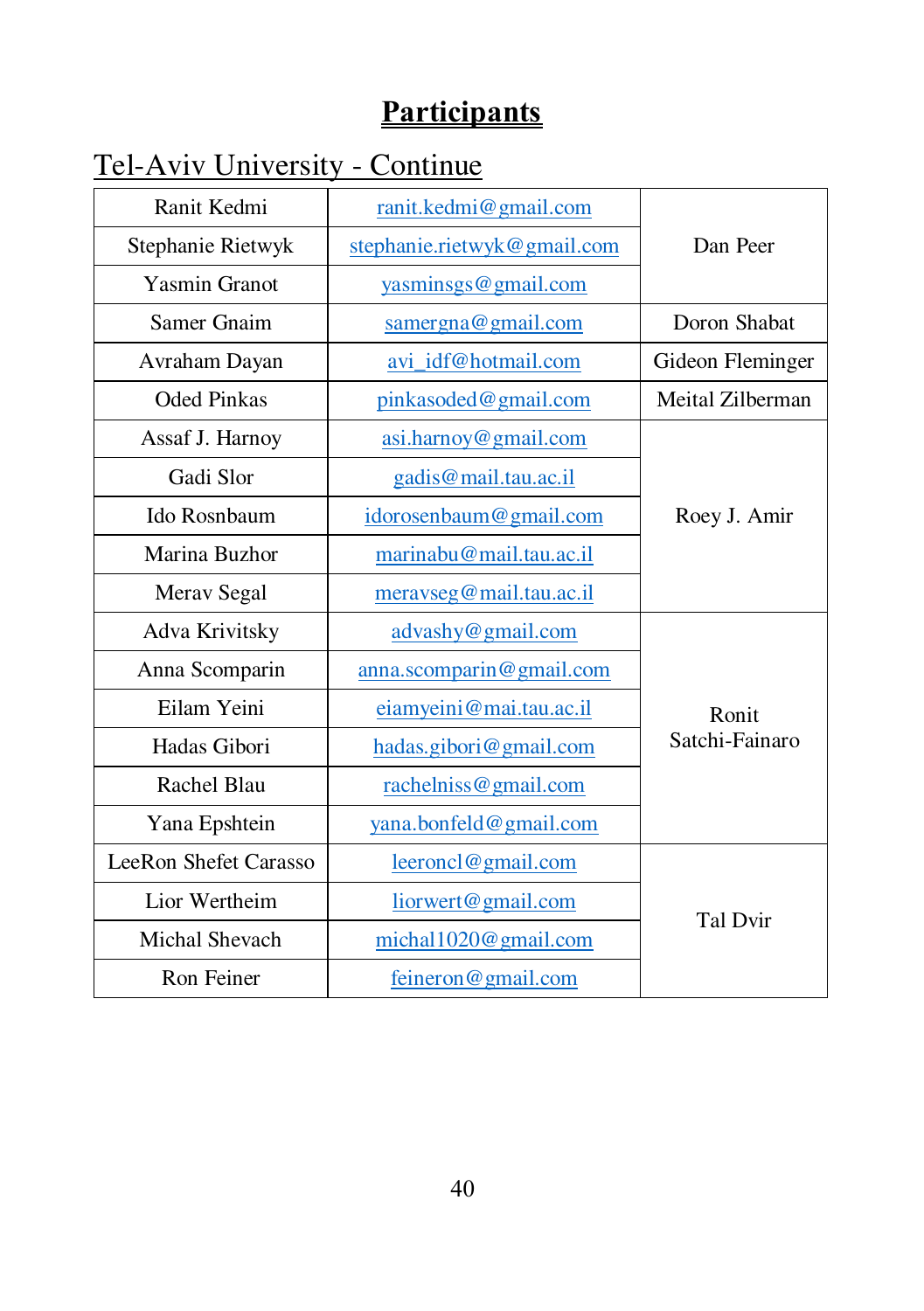# Tel-Aviv University - Continue

| Ranit Kedmi                                | ranit.kedmi@gmail.com        |                  |
|--------------------------------------------|------------------------------|------------------|
| Stephanie Rietwyk                          | stephanie.rietwyk@gmail.com  | Dan Peer         |
| <b>Yasmin Granot</b>                       | yasminsgs@gmail.com          |                  |
| Samer Gnaim                                | $\text{same}$ rgna@gmail.com | Doron Shabat     |
| Avraham Dayan                              | avi_idf@hotmail.com          | Gideon Fleminger |
| <b>Oded Pinkas</b>                         | pinkasoded@gmail.com         | Meital Zilberman |
| Assaf J. Harnoy                            | asi.harnoy@gmail.com         |                  |
| Gadi Slor                                  | gadis@mail.tau.ac.il         |                  |
| Ido Rosnbaum                               | idorosenbaum@gmail.com       | Roey J. Amir     |
| Marina Buzhor                              | marinabu@mail.tau.ac.il      |                  |
| Merav Segal                                | meravseg@mail.tau.ac.il      |                  |
| Adva Krivitsky                             | advashy@gmail.com            |                  |
| Anna Scomparin<br>anna.scomparin@gmail.com |                              |                  |
| Eilam Yeini                                | eiamyeini@mai.tau.ac.il      |                  |
| Hadas Gibori                               | hadas.gibori@gmail.com       | Satchi-Fainaro   |
| Rachel Blau                                | rachelniss@gmail.com         |                  |
| Yana Epshtein                              | yana.bonfeld@gmail.com       |                  |
| LeeRon Shefet Carasso                      | leeroncl@gmail.com           |                  |
| Lior Wertheim<br>liorwert@gmail.com        |                              |                  |
| Michal Shevach<br>michal1020@gmail.com     |                              | Tal Dvir         |
| Ron Feiner                                 | feineron@gmail.com           |                  |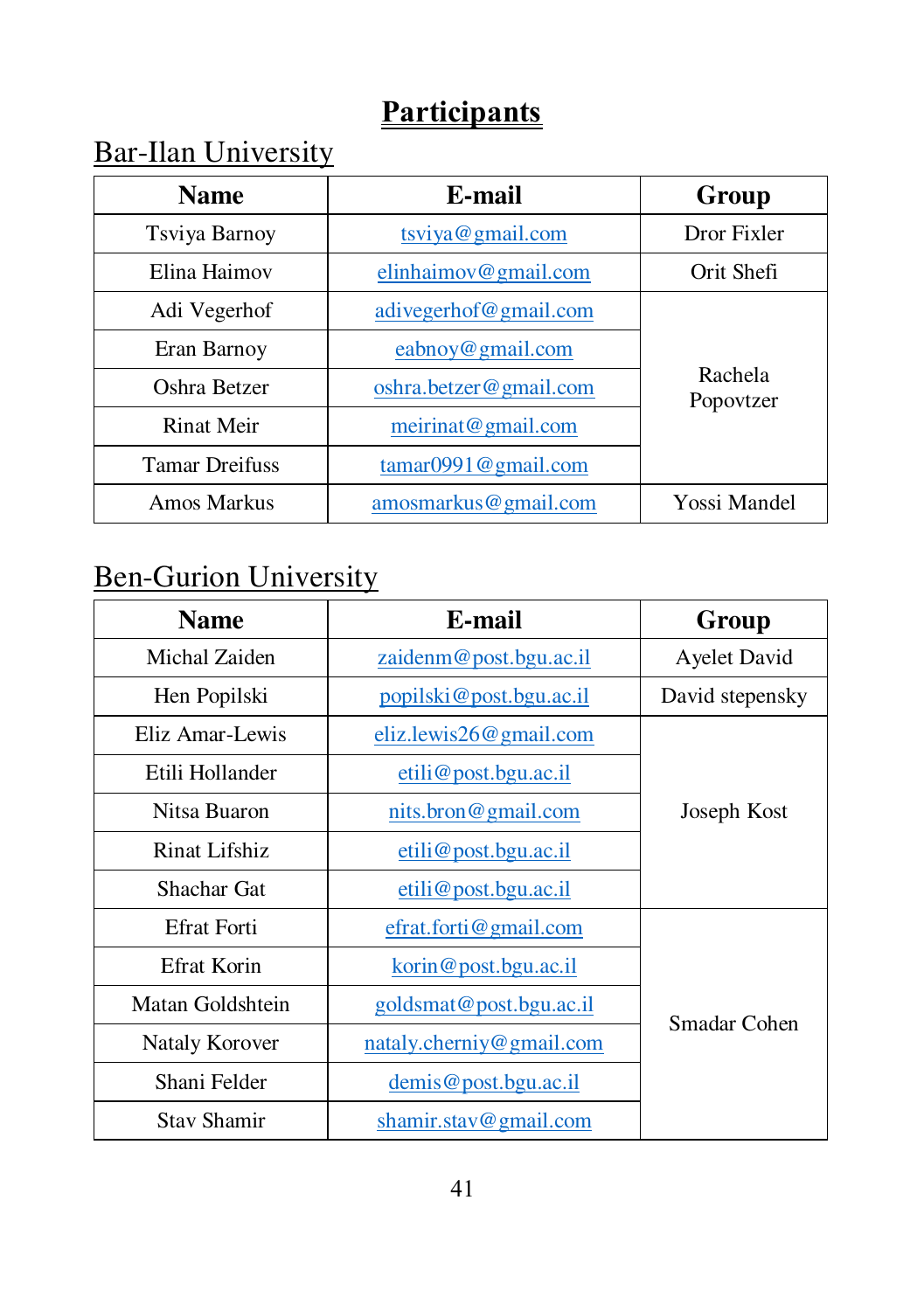## Bar-Ilan University

| <b>Name</b>           | E-mail                 |                      |
|-----------------------|------------------------|----------------------|
| Tsviya Barnoy         | tsviya@gmail.com       | Dror Fixler          |
| Elina Haimov          | elinhaimov@gmail.com   | Orit Shefi           |
| Adi Vegerhof          | adivegerhof@gmail.com  |                      |
| Eran Barnoy           | eabnov@gmail.com       |                      |
| Oshra Betzer          | oshra.betzer@gmail.com | Rachela<br>Popovtzer |
| Rinat Meir            | meirinat@gmail.com     |                      |
| <b>Tamar Dreifuss</b> | tamar0991@gmail.com    |                      |
| Amos Markus           | amosmarkus@gmail.com   | Yossi Mandel         |

# **Ben-Gurion University**

| <b>Name</b>                                 | E-mail                      | Group           |
|---------------------------------------------|-----------------------------|-----------------|
| Michal Zaiden                               | zaidenm@post.bgu.ac.il      | Ayelet David    |
| Hen Popilski                                | popilski@post.bgu.ac.il     | David stepensky |
| Eliz Amar-Lewis                             | $eliz. lewis 26@$ gmail.com |                 |
| Etili Hollander                             | etili@post.bgu.ac.id        |                 |
| Nitsa Buaron                                | nits.bron@gmail.com         | Joseph Kost     |
| Rinat Lifshiz                               | etili@post.bgu.ac.il        |                 |
| Shachar Gat                                 | etili@post.bgu.ac.id        |                 |
| <b>Efrat Forti</b>                          | efrat.forti@gmail.com       |                 |
| Efrat Korin                                 | korin@post.bgu.ac.i]        |                 |
| Matan Goldshtein<br>goldsmat@post.bgu.ac.il |                             | Smadar Cohen    |
| Nataly Korover                              | nataly.cherniy@gmail.com    |                 |
| Shani Felder                                | demis@post.bgu.ac.i         |                 |
| <b>Stav Shamir</b>                          | shamir.stav@gmail.com       |                 |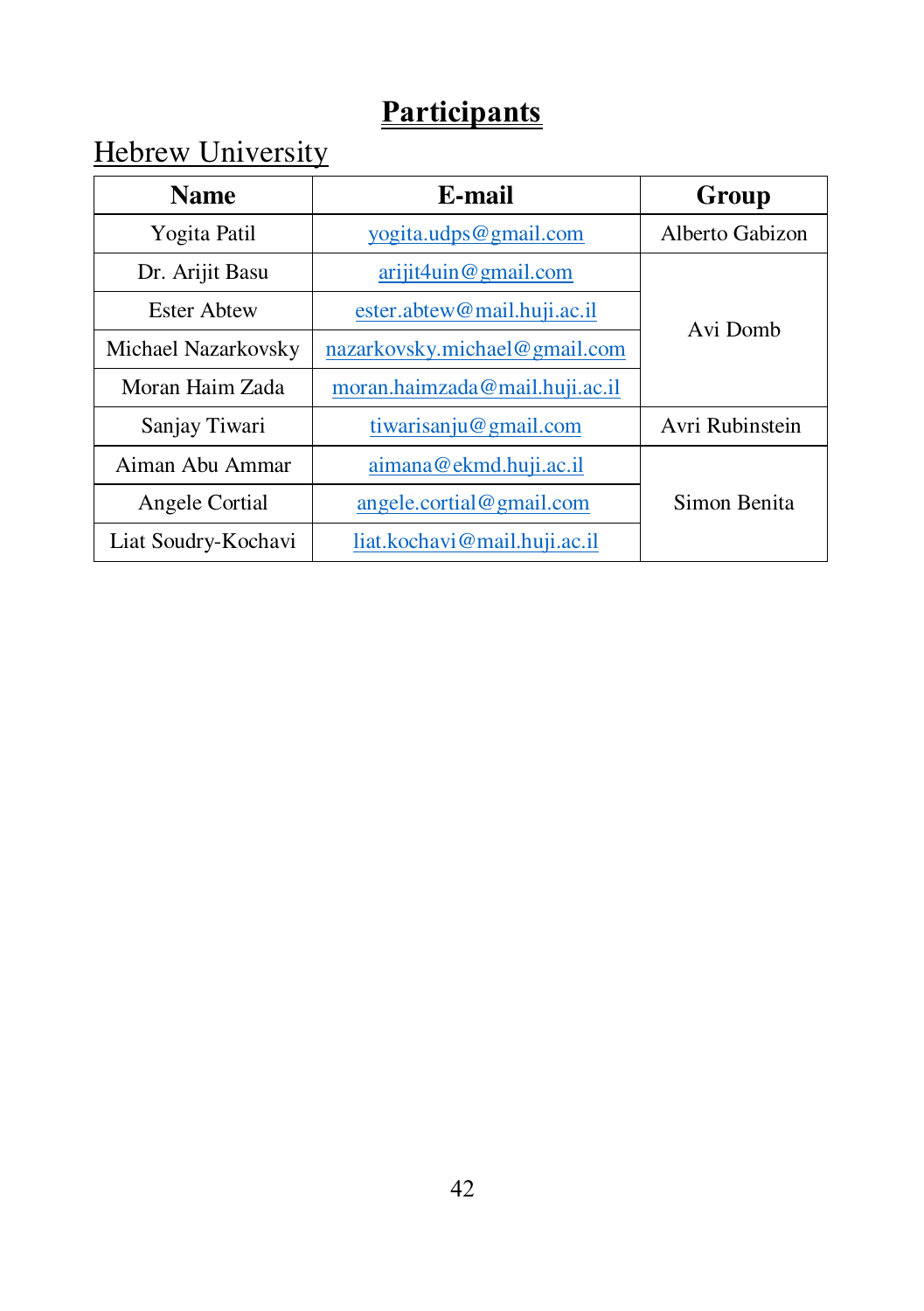# **Hebrew University**

| <b>Name</b>         | Group                          |                 |  |
|---------------------|--------------------------------|-----------------|--|
| Yogita Patil        | yogita.udps@gmail.com          | Alberto Gabizon |  |
| Dr. Arijit Basu     | ariji 4u in @ gmail.com        |                 |  |
| <b>Ester Abtew</b>  | ester.abtew@mail.huji.ac.il    | Avi Domb        |  |
| Michael Nazarkovsky | nazarkovsky.michael@gmail.com  |                 |  |
| Moran Haim Zada     | moran.haimzada@mail.huji.ac.il |                 |  |
| Sanjay Tiwari       | tiwarisanju@gmail.com          | Avri Rubinstein |  |
| Aiman Abu Ammar     | aimana@ekmd.huji.ac.il         |                 |  |
| Angele Cortial      | angle.cortial@gmail.com        | Simon Benita    |  |
| Liat Soudry-Kochavi | liat.kochavi@mail.huji.ac.il   |                 |  |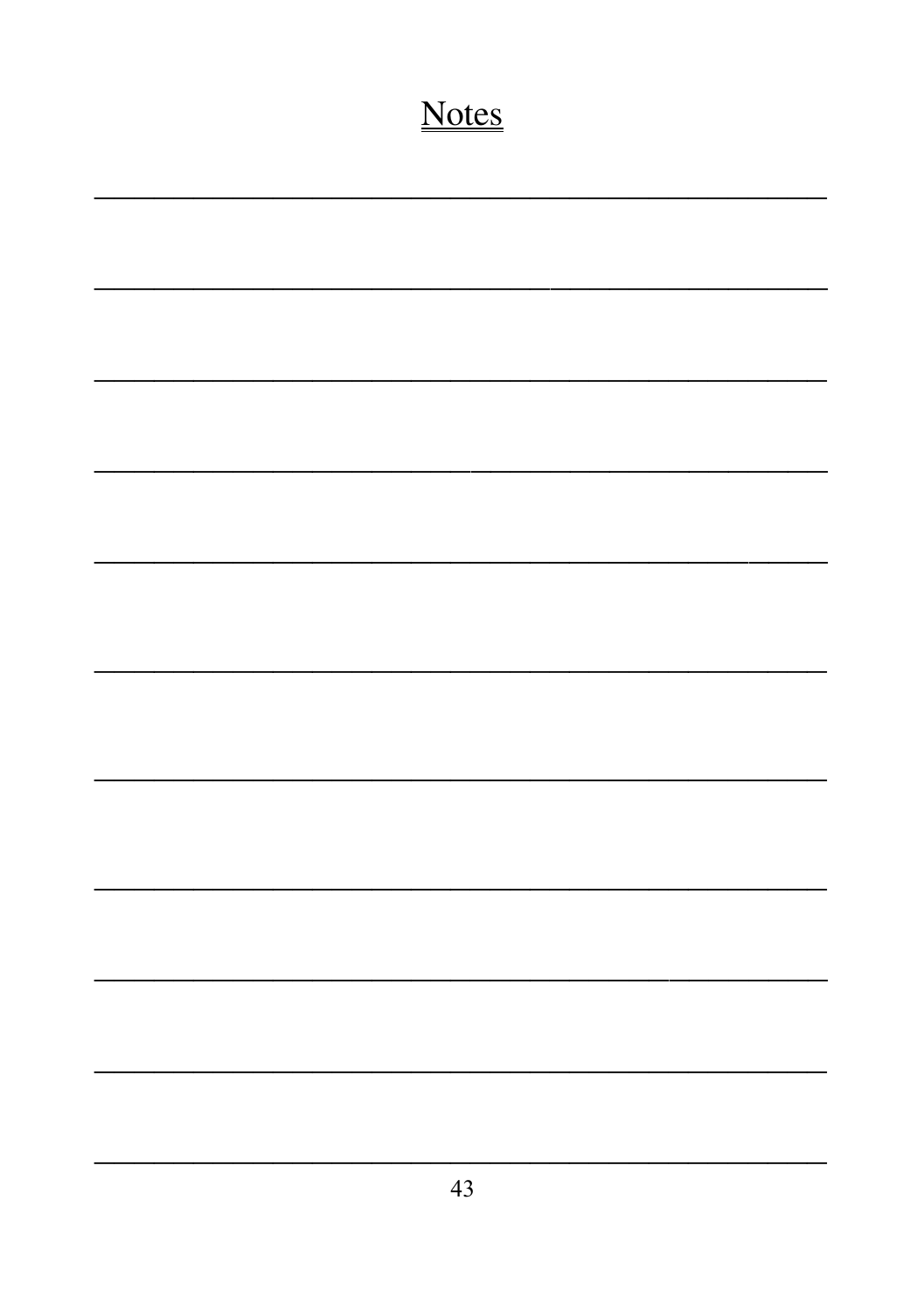# **Notes**